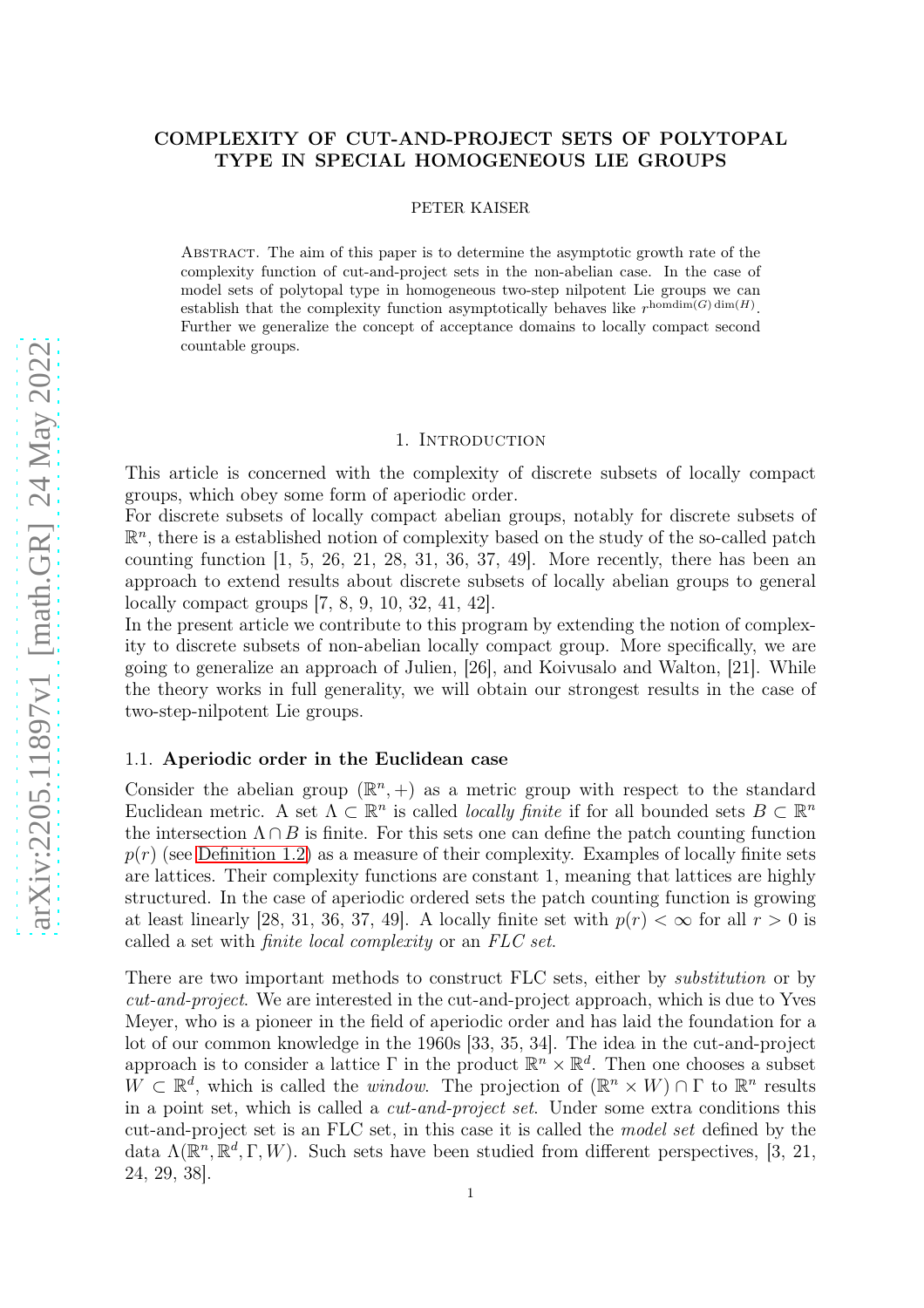# COMPLEXITY OF CUT-AND-PROJECT SETS OF POLYTOPAL TYPE IN SPECIAL HOMOGENEOUS LIE GROUPS

PETER KAISER

Abstract. The aim of this paper is to determine the asymptotic growth rate of the complexity function of cut-and-project sets in the non-abelian case. In the case of model sets of polytopal type in homogeneous two-step nilpotent Lie groups we can establish that the complexity function asymptotically behaves like  $r^{\text{homdim}(G)\dim(H)}$ . Further we generalize the concept of acceptance domains to locally compact second countable groups.

#### 1. INTRODUCTION

This article is concerned with the complexity of discrete subsets of locally compact groups, which obey some form of aperiodic order.

For discrete subsets of locally compact abelian groups, notably for discrete subsets of  $\mathbb{R}^n$ , there is a established notion of complexity based on the study of the so-called patch counting function  $\begin{bmatrix} 1, 5, 26, 21, 28, 31, 36, 37, 49 \end{bmatrix}$ . More recently, there has been an approach to extend results about discrete subsets of locally abelian groups to general locally compact groups [7, 8, 9, 10, 32, 41, 42].

In the present article we contribute to this program by extending the notion of complexity to discrete subsets of non-abelian locally compact group. More specifically, we are going to generalize an approach of Julien, [26], and Koivusalo and Walton, [21]. While the theory works in full generality, we will obtain our strongest results in the case of two-step-nilpotent Lie groups.

## 1.1. Aperiodic order in the Euclidean case

Consider the abelian group  $(\mathbb{R}^n, +)$  as a metric group with respect to the standard Euclidean metric. A set  $\Lambda \subset \mathbb{R}^n$  is called *locally finite* if for all bounded sets  $B \subset \mathbb{R}^n$ the intersection  $\Lambda \cap B$  is finite. For this sets one can define the patch counting function  $p(r)$  (see [Definition 1.2\)](#page-1-0) as a measure of their complexity. Examples of locally finite sets are lattices. Their complexity functions are constant 1, meaning that lattices are highly structured. In the case of aperiodic ordered sets the patch counting function is growing at least linearly [28, 31, 36, 37, 49]. A locally finite set with  $p(r) < \infty$  for all  $r > 0$  is called a set with finite local complexity or an FLC set.

There are two important methods to construct FLC sets, either by substitution or by cut-and-project. We are interested in the cut-and-project approach, which is due to Yves Meyer, who is a pioneer in the field of aperiodic order and has laid the foundation for a lot of our common knowledge in the 1960s [33, 35, 34]. The idea in the cut-and-project approach is to consider a lattice  $\Gamma$  in the product  $\mathbb{R}^n \times \mathbb{R}^d$ . Then one chooses a subset  $W \subset \mathbb{R}^d$ , which is called the *window*. The projection of  $(\mathbb{R}^n \times W) \cap \Gamma$  to  $\mathbb{R}^n$  results in a point set, which is called a cut-and-project set. Under some extra conditions this cut-and-project set is an FLC set, in this case it is called the model set defined by the data  $\Lambda(\mathbb{R}^n, \mathbb{R}^d, \Gamma, W)$ . Such sets have been studied from different perspectives, [3, 21, 24, 29, 38].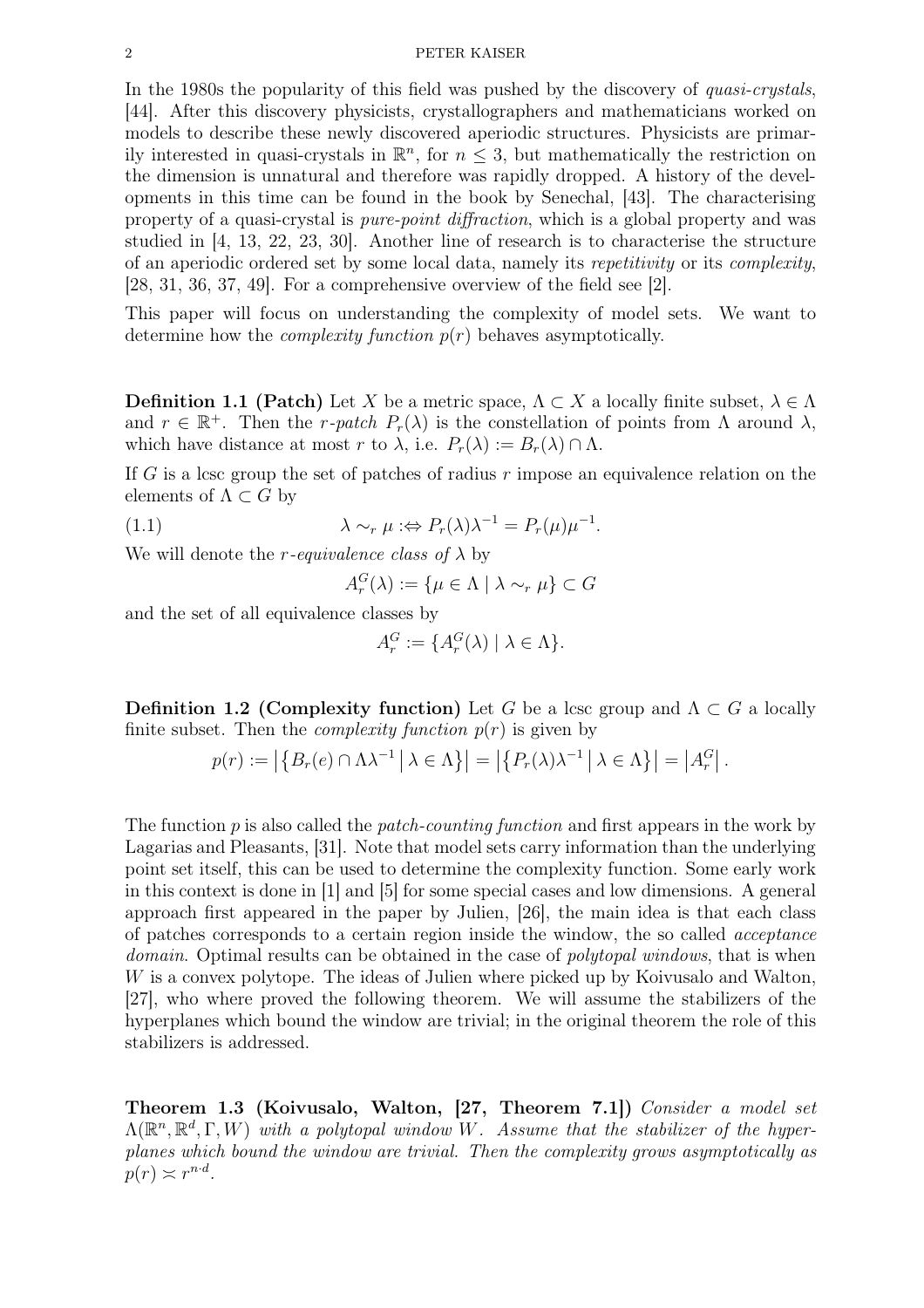In the 1980s the popularity of this field was pushed by the discovery of *quasi-crystals*, [44]. After this discovery physicists, crystallographers and mathematicians worked on models to describe these newly discovered aperiodic structures. Physicists are primarily interested in quasi-crystals in  $\mathbb{R}^n$ , for  $n \leq 3$ , but mathematically the restriction on the dimension is unnatural and therefore was rapidly dropped. A history of the developments in this time can be found in the book by Senechal, [43]. The characterising property of a quasi-crystal is pure-point diffraction, which is a global property and was studied in [4, 13, 22, 23, 30]. Another line of research is to characterise the structure of an aperiodic ordered set by some local data, namely its repetitivity or its complexity, [28, 31, 36, 37, 49]. For a comprehensive overview of the field see [2].

This paper will focus on understanding the complexity of model sets. We want to determine how the *complexity function*  $p(r)$  behaves asymptotically.

**Definition 1.1 (Patch)** Let X be a metric space,  $\Lambda \subset X$  a locally finite subset,  $\lambda \in \Lambda$ and  $r \in \mathbb{R}^+$ . Then the r-patch  $P_r(\lambda)$  is the constellation of points from  $\Lambda$  around  $\lambda$ , which have distance at most r to  $\lambda$ , i.e.  $P_r(\lambda) := B_r(\lambda) \cap \Lambda$ .

If G is a lcsc group the set of patches of radius  $r$  impose an equivalence relation on the elements of  $\Lambda \subset G$  by

(1.1)  $\lambda \sim_r \mu : \Leftrightarrow P_r(\lambda) \lambda^{-1} = P_r(\mu) \mu^{-1}.$ 

We will denote the *r*-equivalence class of  $\lambda$  by

$$
A_r^G(\lambda) := \{ \mu \in \Lambda \mid \lambda \sim_r \mu \} \subset G
$$

and the set of all equivalence classes by

$$
A_r^G := \{ A_r^G(\lambda) \mid \lambda \in \Lambda \}.
$$

<span id="page-1-0"></span>Definition 1.2 (Complexity function) Let G be a lcsc group and  $\Lambda \subset G$  a locally finite subset. Then the *complexity function*  $p(r)$  is given by

$$
p(r) := \left| \left\{ B_r(e) \cap \Lambda \lambda^{-1} \, \middle| \, \lambda \in \Lambda \right\} \right| = \left| \left\{ P_r(\lambda) \lambda^{-1} \, \middle| \, \lambda \in \Lambda \right\} \right| = \left| A_r^G \right|.
$$

The function  $p$  is also called the *patch-counting function* and first appears in the work by Lagarias and Pleasants, [31]. Note that model sets carry information than the underlying point set itself, this can be used to determine the complexity function. Some early work in this context is done in [1] and [5] for some special cases and low dimensions. A general approach first appeared in the paper by Julien, [26], the main idea is that each class of patches corresponds to a certain region inside the window, the so called acceptance domain. Optimal results can be obtained in the case of *polytopal windows*, that is when W is a convex polytope. The ideas of Julien where picked up by Koivusalo and Walton, [27], who where proved the following theorem. We will assume the stabilizers of the hyperplanes which bound the window are trivial; in the original theorem the role of this stabilizers is addressed.

Theorem 1.3 (Koivusalo, Walton, [27, Theorem 7.1]) Consider a model set  $\Lambda(\mathbb{R}^n, \mathbb{R}^d, \Gamma, W)$  with a polytopal window W. Assume that the stabilizer of the hyperplanes which bound the window are trivial. Then the complexity grows asymptotically as  $p(r) \asymp r^{n \cdot d}$ .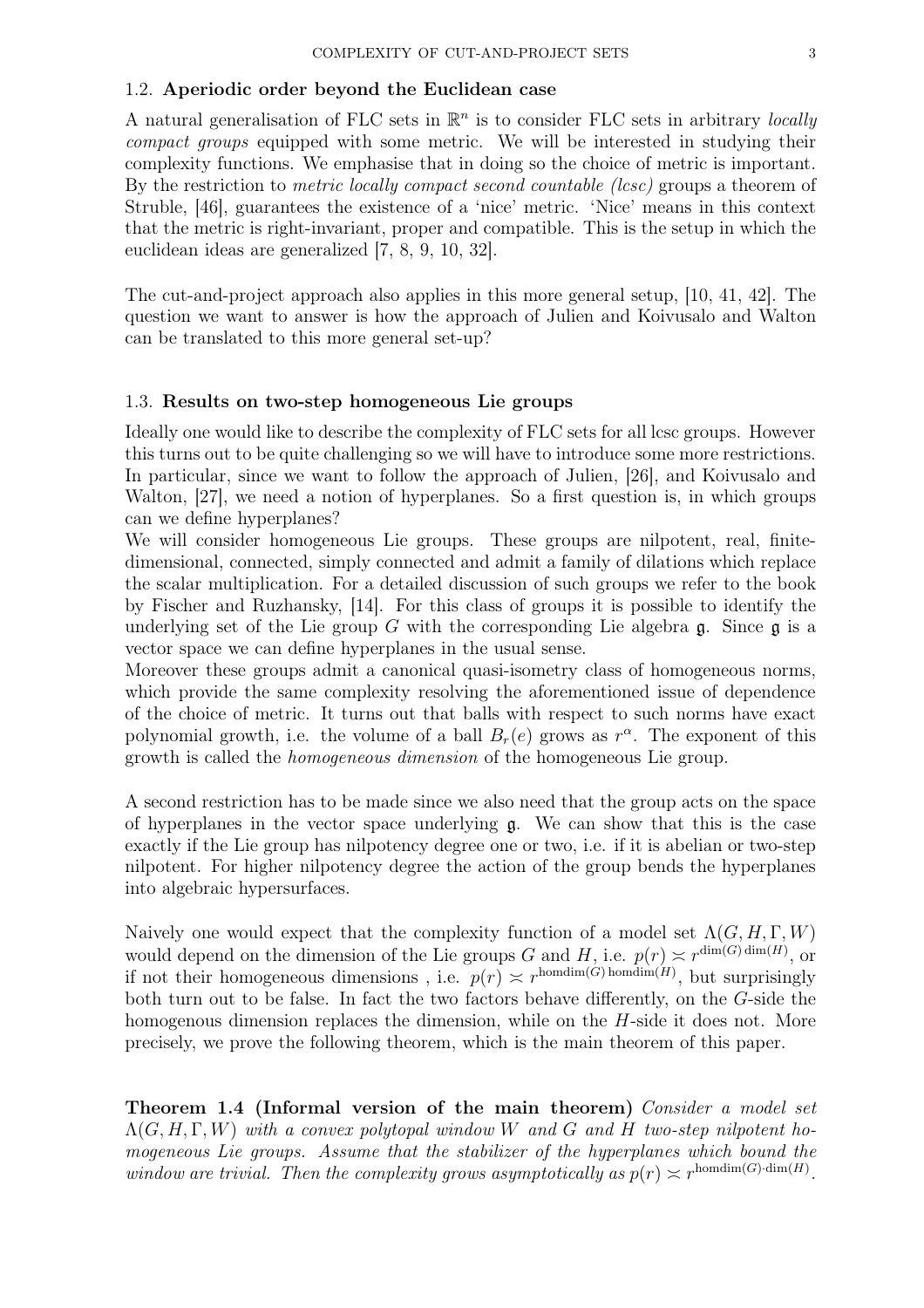## 1.2. Aperiodic order beyond the Euclidean case

A natural generalisation of FLC sets in  $\mathbb{R}^n$  is to consider FLC sets in arbitrary locally compact groups equipped with some metric. We will be interested in studying their complexity functions. We emphasise that in doing so the choice of metric is important. By the restriction to *metric locally compact second countable (lcsc)* groups a theorem of Struble, [46], guarantees the existence of a 'nice' metric. 'Nice' means in this context that the metric is right-invariant, proper and compatible. This is the setup in which the euclidean ideas are generalized [7, 8, 9, 10, 32].

The cut-and-project approach also applies in this more general setup, [10, 41, 42]. The question we want to answer is how the approach of Julien and Koivusalo and Walton can be translated to this more general set-up?

## 1.3. Results on two-step homogeneous Lie groups

Ideally one would like to describe the complexity of FLC sets for all lcsc groups. However this turns out to be quite challenging so we will have to introduce some more restrictions. In particular, since we want to follow the approach of Julien, [26], and Koivusalo and Walton, [27], we need a notion of hyperplanes. So a first question is, in which groups can we define hyperplanes?

We will consider homogeneous Lie groups. These groups are nilpotent, real, finitedimensional, connected, simply connected and admit a family of dilations which replace the scalar multiplication. For a detailed discussion of such groups we refer to the book by Fischer and Ruzhansky, [14]. For this class of groups it is possible to identify the underlying set of the Lie group G with the corresponding Lie algebra  $\mathfrak{g}$ . Since  $\mathfrak{g}$  is a vector space we can define hyperplanes in the usual sense.

Moreover these groups admit a canonical quasi-isometry class of homogeneous norms, which provide the same complexity resolving the aforementioned issue of dependence of the choice of metric. It turns out that balls with respect to such norms have exact polynomial growth, i.e. the volume of a ball  $B_r(e)$  grows as  $r^{\alpha}$ . The exponent of this growth is called the homogeneous dimension of the homogeneous Lie group.

A second restriction has to be made since we also need that the group acts on the space of hyperplanes in the vector space underlying  $\mathfrak{g}$ . We can show that this is the case exactly if the Lie group has nilpotency degree one or two, i.e. if it is abelian or two-step nilpotent. For higher nilpotency degree the action of the group bends the hyperplanes into algebraic hypersurfaces.

Naively one would expect that the complexity function of a model set  $\Lambda(G, H, \Gamma, W)$ would depend on the dimension of the Lie groups G and H, i.e.  $p(r) \approx r^{\dim(G)\dim(H)}$ , or if not their homogeneous dimensions, i.e.  $p(r) \approx r^{\text{homdim}(G) \text{ homdim}(H)}$ , but surprisingly both turn out to be false. In fact the two factors behave differently, on the G-side the homogenous dimension replaces the dimension, while on the H-side it does not. More precisely, we prove the following theorem, which is the main theorem of this paper.

Theorem 1.4 (Informal version of the main theorem) Consider a model set  $\Lambda(G, H, \Gamma, W)$  with a convex polytopal window W and G and H two-step nilpotent homogeneous Lie groups. Assume that the stabilizer of the hyperplanes which bound the window are trivial. Then the complexity grows asymptotically as  $p(r) \approx r^{\text{homdim}(G) \cdot \text{dim}(H)}$ .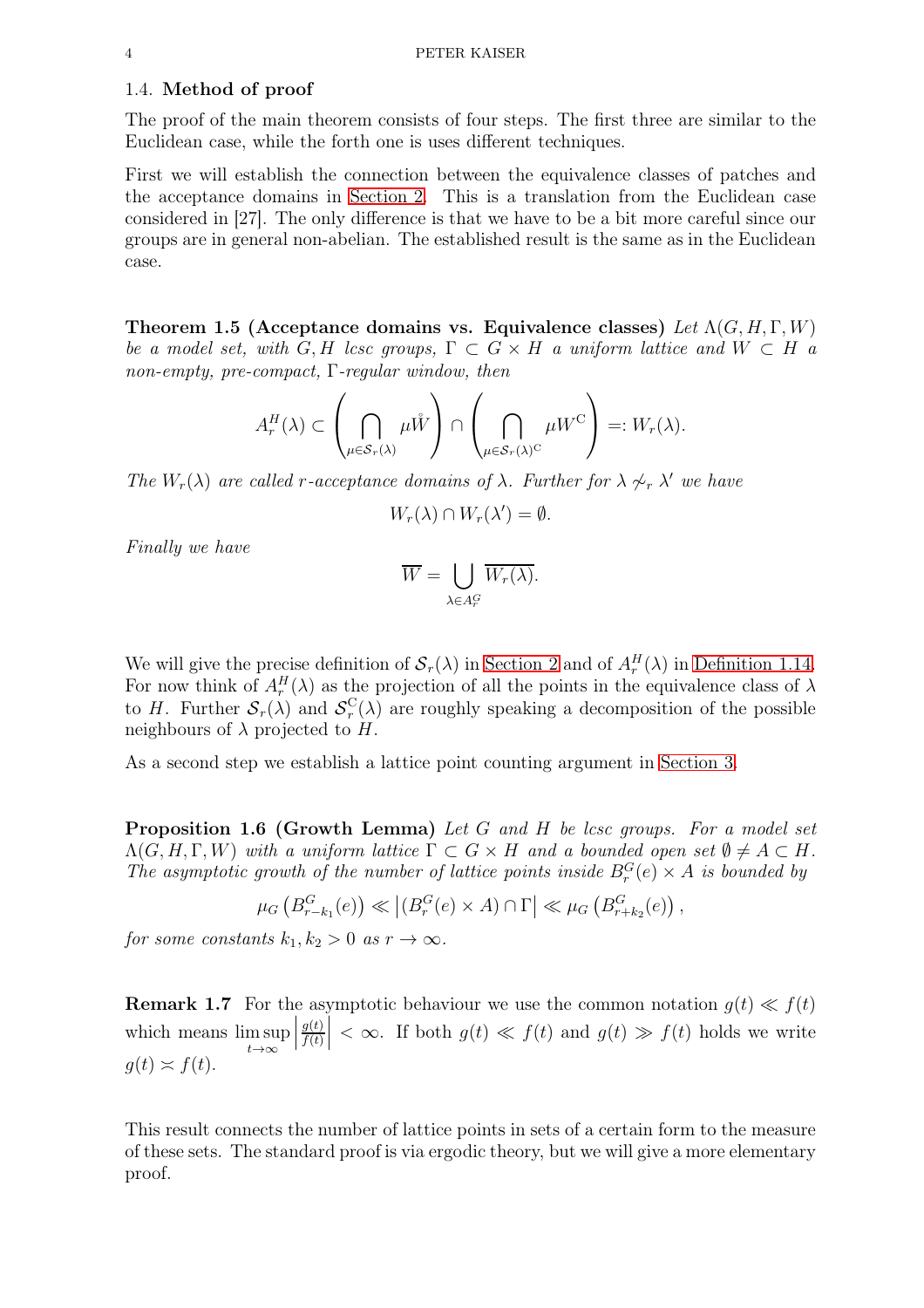### 1.4. Method of proof

The proof of the main theorem consists of four steps. The first three are similar to the Euclidean case, while the forth one is uses different techniques.

First we will establish the connection between the equivalence classes of patches and the acceptance domains in [Section 2.](#page-6-0) This is a translation from the Euclidean case considered in [27]. The only difference is that we have to be a bit more careful since our groups are in general non-abelian. The established result is the same as in the Euclidean case.

Theorem 1.5 (Acceptance domains vs. Equivalence classes) Let  $\Lambda(G, H, \Gamma, W)$ be a model set, with G, H lcsc groups,  $\Gamma \subset G \times H$  a uniform lattice and  $W \subset H$  a non-empty, pre-compact, Γ-regular window, then

$$
A_r^H(\lambda) \subset \left(\bigcap_{\mu \in \mathcal{S}_r(\lambda)} \mu \mathring{W}\right) \cap \left(\bigcap_{\mu \in \mathcal{S}_r(\lambda)^C} \mu W^C\right) =: W_r(\lambda).
$$

The  $W_r(\lambda)$  are called r-acceptance domains of  $\lambda$ . Further for  $\lambda \not\sim_r \lambda'$  we have

$$
W_r(\lambda) \cap W_r(\lambda') = \emptyset.
$$

Finally we have

$$
\overline{W} = \bigcup_{\lambda \in A_r^G} \overline{W_r(\lambda)}.
$$

We will give the precise definition of  $\mathcal{S}_r(\lambda)$  in [Section 2](#page-6-0) and of  $A_r^H(\lambda)$  in [Definition 1.14.](#page-6-1) For now think of  $A_r^H(\lambda)$  as the projection of all the points in the equivalence class of  $\lambda$ to H. Further  $S_r(\lambda)$  and  $S_r^C$  $r_r^{\text{C}}(\lambda)$  are roughly speaking a decomposition of the possible neighbours of  $\lambda$  projected to H.

As a second step we establish a lattice point counting argument in [Section 3.](#page-9-0)

Proposition 1.6 (Growth Lemma) Let G and H be lcsc groups. For a model set  $\Lambda(G, H, \Gamma, W)$  with a uniform lattice  $\Gamma \subset G \times H$  and a bounded open set  $\emptyset \neq A \subset H$ . The asymptotic growth of the number of lattice points inside  $B_r^G(e) \times A$  is bounded by

$$
\mu_G\left(B_{r-k_1}^G(e)\right) \ll \left| \left(B_r^G(e) \times A\right) \cap \Gamma \right| \ll \mu_G\left(B_{r+k_2}^G(e)\right),
$$

for some constants  $k_1, k_2 > 0$  as  $r \to \infty$ .

**Remark 1.7** For the asymptotic behaviour we use the common notation  $g(t) \ll f(t)$ which means lim sup  $t\rightarrow\infty$   $g(t)$  $f(t)$  $\vert < \infty$ . If both  $g(t) \ll f(t)$  and  $g(t) \gg f(t)$  holds we write  $q(t) \asymp f(t)$ .

This result connects the number of lattice points in sets of a certain form to the measure of these sets. The standard proof is via ergodic theory, but we will give a more elementary proof.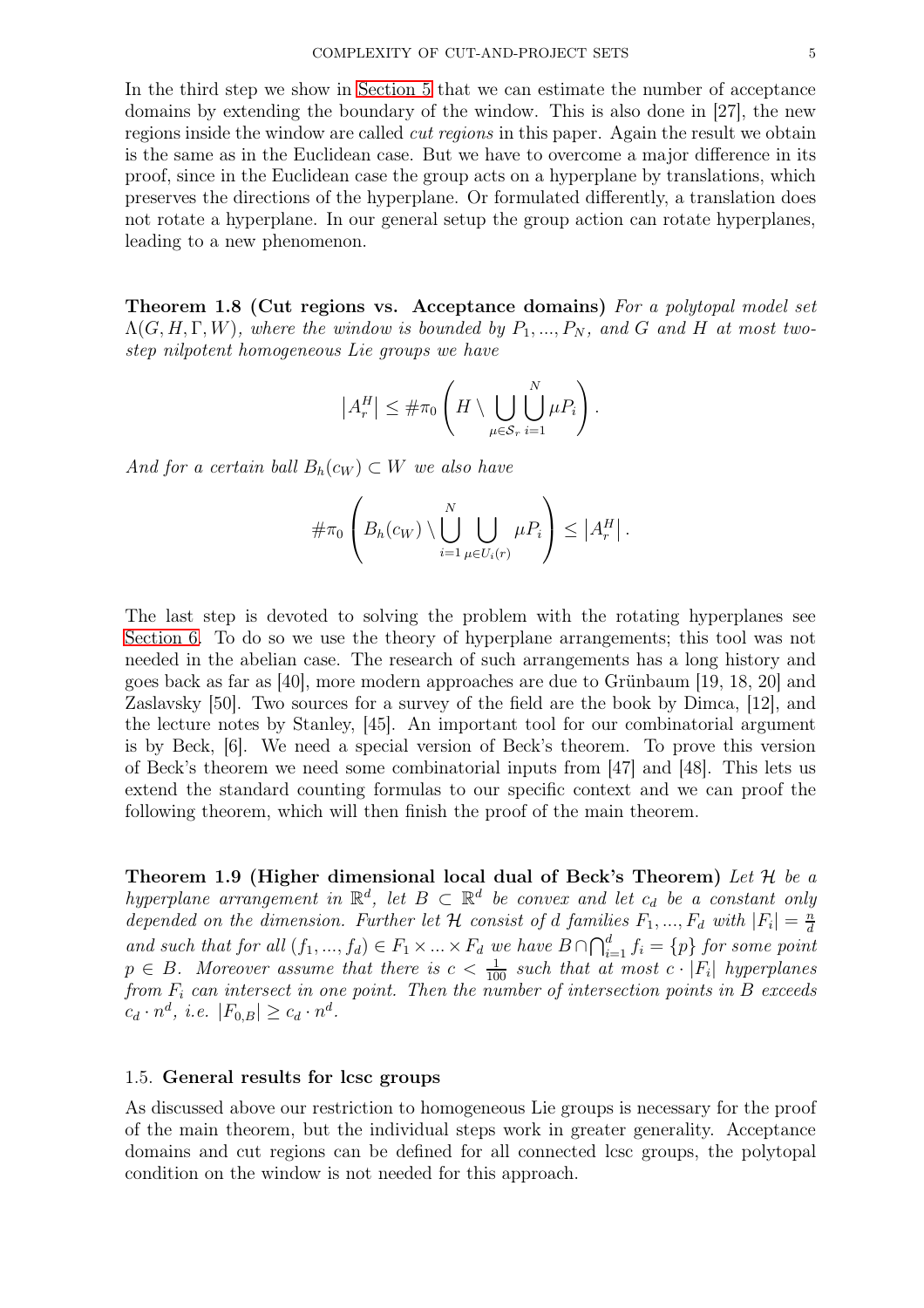In the third step we show in [Section 5](#page-17-0) that we can estimate the number of acceptance domains by extending the boundary of the window. This is also done in [27], the new regions inside the window are called cut regions in this paper. Again the result we obtain is the same as in the Euclidean case. But we have to overcome a major difference in its proof, since in the Euclidean case the group acts on a hyperplane by translations, which preserves the directions of the hyperplane. Or formulated differently, a translation does not rotate a hyperplane. In our general setup the group action can rotate hyperplanes, leading to a new phenomenon.

Theorem 1.8 (Cut regions vs. Acceptance domains) For a polytopal model set  $\Lambda(G, H, \Gamma, W)$ , where the window is bounded by  $P_1, ..., P_N$ , and G and H at most twostep nilpotent homogeneous Lie groups we have

$$
|A_r^H| \leq \#\pi_0 \left( H \setminus \bigcup_{\mu \in \mathcal{S}_r} \bigcup_{i=1}^N \mu P_i \right).
$$

And for a certain ball  $B_h(c_W) \subset W$  we also have

$$
\#\pi_0\left(B_h(c_W)\setminus\bigcup_{i=1}^N\bigcup_{\mu\in U_i(r)}\mu P_i\right)\leq |A_r^H|.
$$

The last step is devoted to solving the problem with the rotating hyperplanes see [Section 6.](#page-26-0) To do so we use the theory of hyperplane arrangements; this tool was not needed in the abelian case. The research of such arrangements has a long history and goes back as far as [40], more modern approaches are due to Grünbaum [19, 18, 20] and Zaslavsky [50]. Two sources for a survey of the field are the book by Dimca, [12], and the lecture notes by Stanley, [45]. An important tool for our combinatorial argument is by Beck, [6]. We need a special version of Beck's theorem. To prove this version of Beck's theorem we need some combinatorial inputs from [47] and [48]. This lets us extend the standard counting formulas to our specific context and we can proof the following theorem, which will then finish the proof of the main theorem.

Theorem 1.9 (Higher dimensional local dual of Beck's Theorem) Let  $\mathcal H$  be a hyperplane arrangement in  $\mathbb{R}^d$ , let  $B \subset \mathbb{R}^d$  be convex and let  $c_d$  be a constant only depended on the dimension. Further let  $\mathcal H$  consist of d families  $F_1, ..., F_d$  with  $|F_i| = \frac{n}{d}$ d and such that for all  $(f_1, ..., f_d) \in F_1 \times ... \times F_d$  we have  $B \cap \bigcap_{i=1}^d f_i = \{p\}$  for some point  $p \in B$ . Moreover assume that there is  $c < \frac{1}{100}$  such that at most  $c \cdot |F_i|$  hyperplanes from  $F_i$  can intersect in one point. Then the number of intersection points in B exceeds  $c_d \cdot n^d$ , *i.e.*  $|F_{0,B}| \ge c_d \cdot n^d$ .

#### 1.5. General results for lcsc groups

As discussed above our restriction to homogeneous Lie groups is necessary for the proof of the main theorem, but the individual steps work in greater generality. Acceptance domains and cut regions can be defined for all connected lcsc groups, the polytopal condition on the window is not needed for this approach.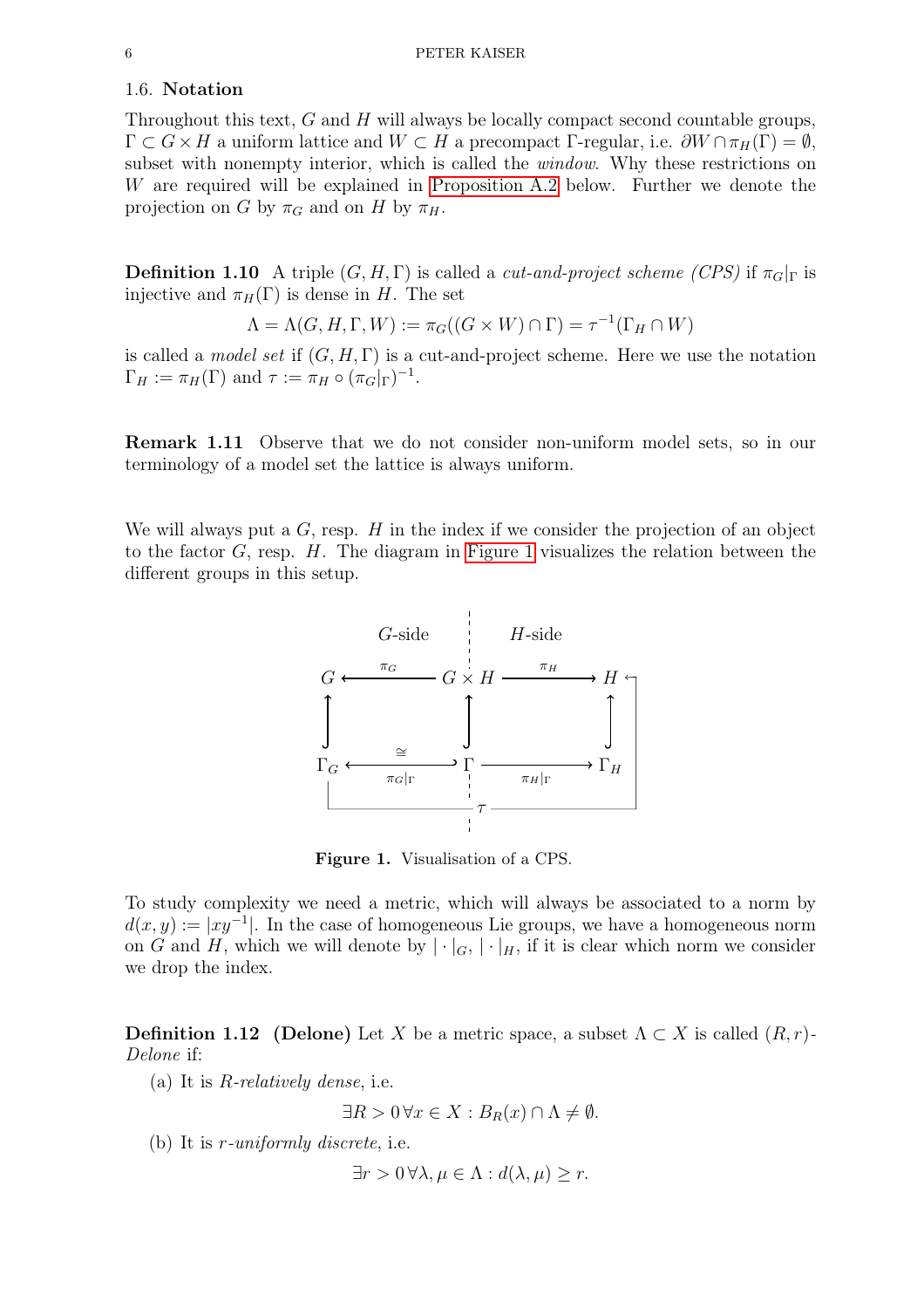### 1.6. Notation

Throughout this text, G and H will always be locally compact second countable groups,  $\Gamma \subset G \times H$  a uniform lattice and  $W \subset H$  a precompact Γ-regular, i.e.  $\partial W \cap \pi_H(\Gamma) = \emptyset$ , subset with nonempty interior, which is called the window. Why these restrictions on W are required will be explained in [Proposition A.2](#page-35-0) below. Further we denote the projection on G by  $\pi_G$  and on H by  $\pi_H$ .

**Definition 1.10** A triple  $(G, H, \Gamma)$  is called a *cut-and-project scheme (CPS)* if  $\pi_G|_{\Gamma}$  is injective and  $\pi_H(\Gamma)$  is dense in H. The set

$$
\Lambda = \Lambda(G, H, \Gamma, W) := \pi_G((G \times W) \cap \Gamma) = \tau^{-1}(\Gamma_H \cap W)
$$

is called a *model set* if  $(G, H, \Gamma)$  is a cut-and-project scheme. Here we use the notation  $\Gamma_H := \pi_H(\Gamma)$  and  $\tau := \pi_H \circ (\pi_G|_{\Gamma})^{-1}$ .

Remark 1.11 Observe that we do not consider non-uniform model sets, so in our terminology of a model set the lattice is always uniform.

<span id="page-5-0"></span>We will always put a  $G$ , resp.  $H$  in the index if we consider the projection of an object to the factor  $G$ , resp.  $H$ . The diagram in [Figure 1](#page-5-0) visualizes the relation between the different groups in this setup.



Figure 1. Visualisation of a CPS.

To study complexity we need a metric, which will always be associated to a norm by  $d(x, y) := |xy^{-1}|$ . In the case of homogeneous Lie groups, we have a homogeneous norm on G and H, which we will denote by  $|\cdot|_G, |\cdot|_H$ , if it is clear which norm we consider we drop the index.

**Definition 1.12** (Delone) Let X be a metric space, a subset  $\Lambda \subset X$  is called  $(R, r)$ -Delone if:

(a) It is  $R$ -relatively dense, i.e.

$$
\exists R > 0 \,\forall x \in X : B_R(x) \cap \Lambda \neq \emptyset.
$$

(b) It is r-uniformly discrete, i.e.

$$
\exists r > 0 \,\forall \lambda, \mu \in \Lambda : d(\lambda, \mu) \ge r.
$$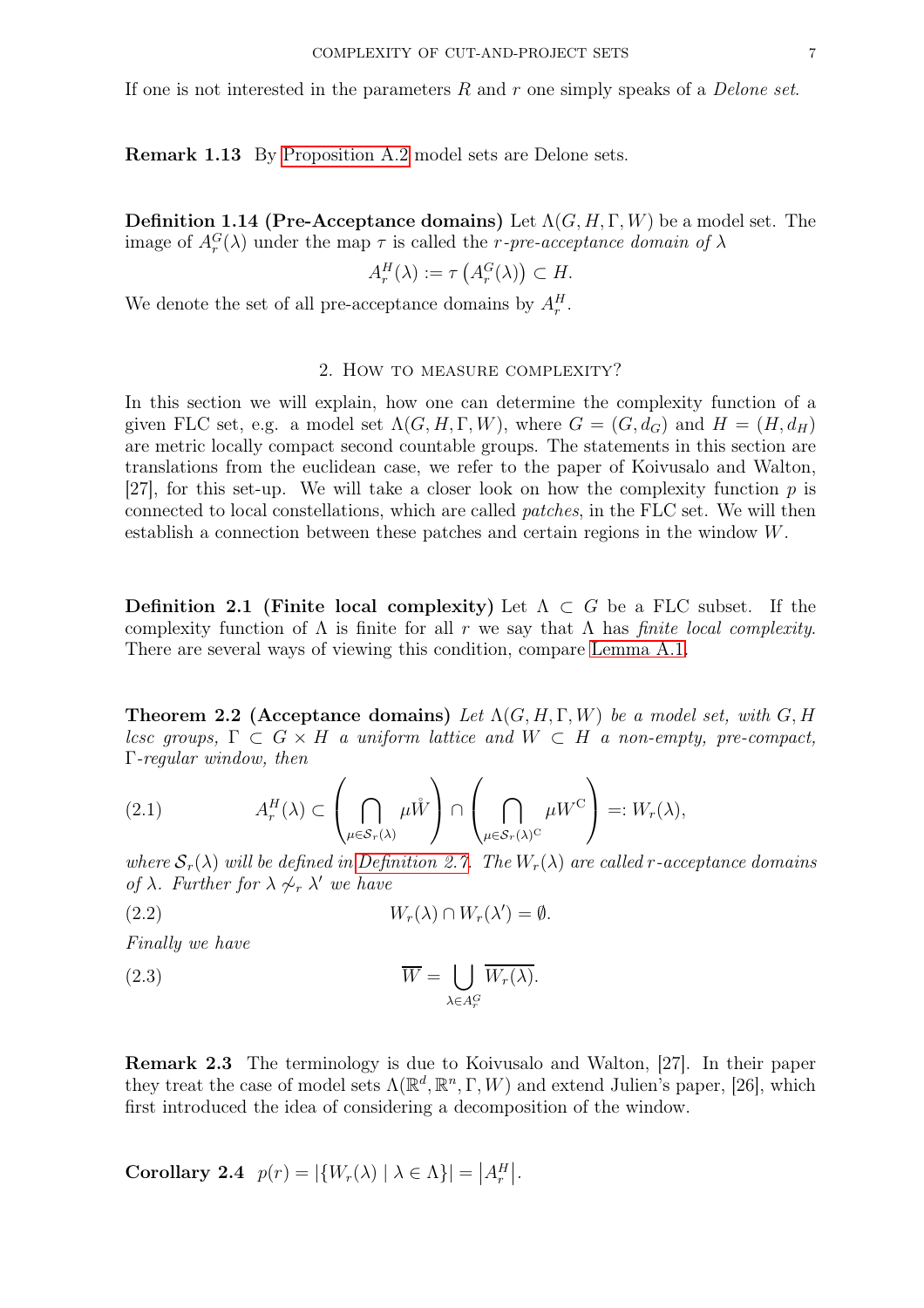If one is not interested in the parameters R and r one simply speaks of a *Delone set*.

Remark 1.13 By [Proposition A.2](#page-35-0) model sets are Delone sets.

<span id="page-6-1"></span>**Definition 1.14 (Pre-Acceptance domains)** Let  $\Lambda(G, H, \Gamma, W)$  be a model set. The image of  $A_r^G(\lambda)$  under the map  $\tau$  is called the *r*-pre-acceptance domain of  $\lambda$ 

$$
A_r^H(\lambda) := \tau\left(A_r^G(\lambda)\right) \subset H.
$$

<span id="page-6-0"></span>We denote the set of all pre-acceptance domains by  $A_r^H$ .

## 2. How to measure complexity?

In this section we will explain, how one can determine the complexity function of a given FLC set, e.g. a model set  $\Lambda(G, H, \Gamma, W)$ , where  $G = (G, d_G)$  and  $H = (H, d_H)$ are metric locally compact second countable groups. The statements in this section are translations from the euclidean case, we refer to the paper of Koivusalo and Walton, [27], for this set-up. We will take a closer look on how the complexity function  $p$  is connected to local constellations, which are called patches, in the FLC set. We will then establish a connection between these patches and certain regions in the window W.

<span id="page-6-4"></span>Definition 2.1 (Finite local complexity) Let  $\Lambda \subset G$  be a FLC subset. If the complexity function of  $\Lambda$  is finite for all r we say that  $\Lambda$  has *finite local complexity*. There are several ways of viewing this condition, compare [Lemma A.1.](#page-34-0)

<span id="page-6-2"></span>**Theorem 2.2 (Acceptance domains)** Let  $\Lambda(G, H, \Gamma, W)$  be a model set, with G, H lcsc groups,  $\Gamma \subset G \times H$  a uniform lattice and  $W \subset H$  a non-empty, pre-compact, Γ-regular window, then

<span id="page-6-3"></span>(2.1) 
$$
A_r^H(\lambda) \subset \left(\bigcap_{\mu \in S_r(\lambda)} \mu \mathring{W}\right) \cap \left(\bigcap_{\mu \in S_r(\lambda)^C} \mu W^C\right) =: W_r(\lambda),
$$

where  $S_r(\lambda)$  will be defined in [Definition 2.7.](#page-7-0) The  $W_r(\lambda)$  are called r-acceptance domains of  $\lambda$ . Further for  $\lambda \not\sim_r \lambda'$  we have

$$
(2.2) \t W_r(\lambda) \cap W_r(\lambda') = \emptyset.
$$

Finally we have

(2.3) 
$$
\overline{W} = \bigcup_{\lambda \in A_r^G} \overline{W_r(\lambda)}.
$$

Remark 2.3 The terminology is due to Koivusalo and Walton, [27]. In their paper they treat the case of model sets  $\Lambda(\mathbb{R}^d, \mathbb{R}^n, \Gamma, W)$  and extend Julien's paper, [26], which first introduced the idea of considering a decomposition of the window.

Corollary 2.4  $p(r) = |\{W_r(\lambda) | \lambda \in \Lambda\}| = |A_r^H|.$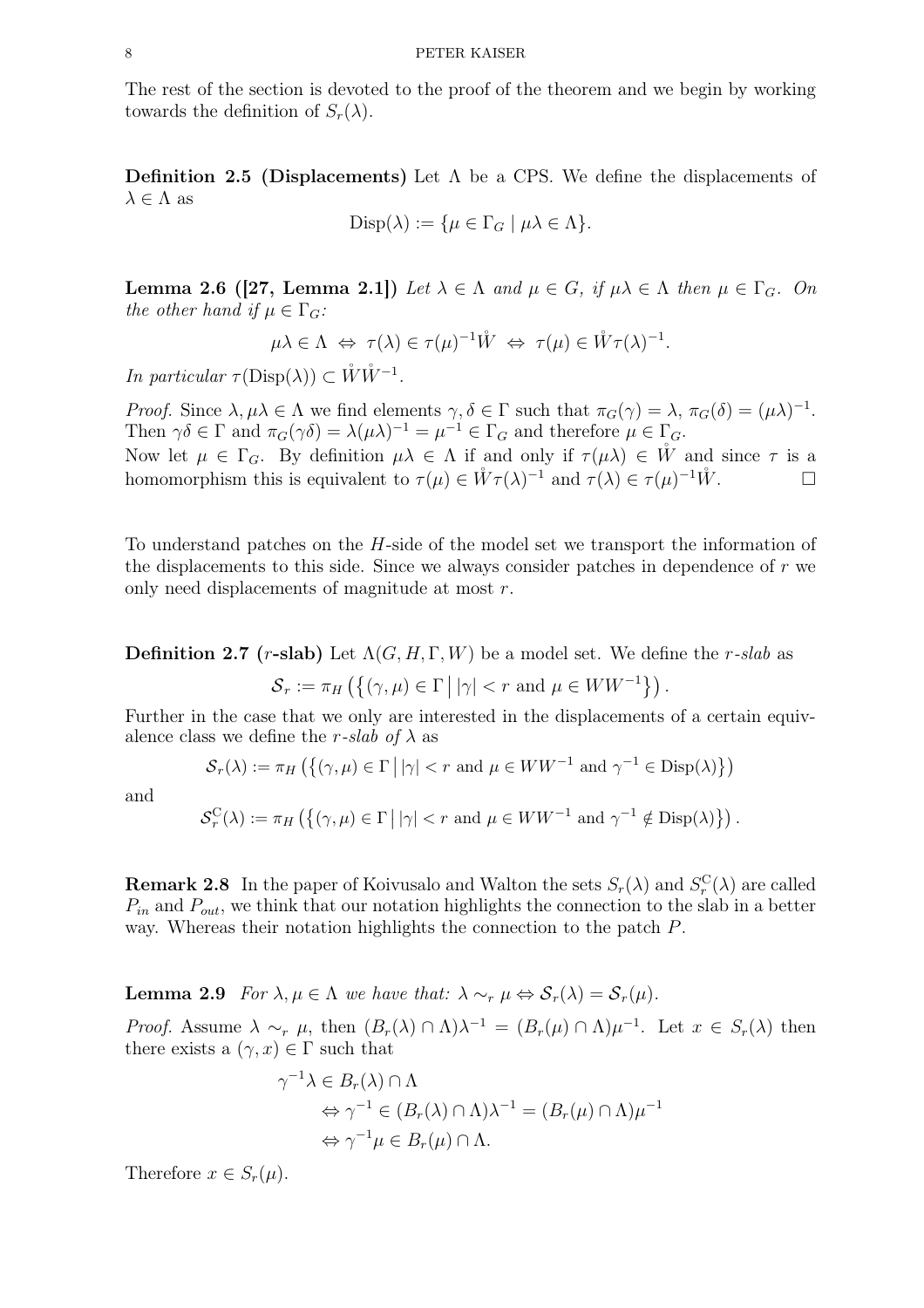The rest of the section is devoted to the proof of the theorem and we begin by working towards the definition of  $S_r(\lambda)$ .

**Definition 2.5 (Displacements)** Let  $\Lambda$  be a CPS. We define the displacements of  $\lambda \in \Lambda$  as

$$
\text{Disp}(\lambda) := \{ \mu \in \Gamma_G \mid \mu \lambda \in \Lambda \}.
$$

<span id="page-7-2"></span>**Lemma 2.6 ([27, Lemma 2.1])** Let  $\lambda \in \Lambda$  and  $\mu \in G$ , if  $\mu\lambda \in \Lambda$  then  $\mu \in \Gamma_G$ . On the other hand if  $\mu \in \Gamma_G$ :

 $\mu\lambda \in \Lambda \iff \tau(\lambda) \in \tau(\mu)^{-1} \mathring{W} \iff \tau(\mu) \in \mathring{W}\tau(\lambda)^{-1}.$ 

In particular  $\tau(\text{Disp}(\lambda)) \subset \mathring{W}\mathring{W}^{-1}$ .

Proof. Since  $\lambda, \mu\lambda \in \Lambda$  we find elements  $\gamma, \delta \in \Gamma$  such that  $\pi_G(\gamma) = \lambda, \pi_G(\delta) = (\mu\lambda)^{-1}$ . Then  $\gamma \delta \in \Gamma$  and  $\pi_G(\gamma \delta) = \lambda(\mu \lambda)^{-1} = \mu^{-1} \in \Gamma_G$  and therefore  $\mu \in \Gamma_G$ . Now let  $\mu \in \Gamma_G$ . By definition  $\mu\lambda \in \Lambda$  if and only if  $\tau(\mu\lambda) \in \mathring{W}$  and since  $\tau$  is a

homomorphism this is equivalent to  $\tau(\mu) \in \overset{\circ}{W}\tau(\lambda)^{-1}$  and  $\tau(\lambda) \in \tau(\mu)^{-1}\overset{\circ}{W}$ .

<span id="page-7-0"></span>To understand patches on the H-side of the model set we transport the information of the displacements to this side. Since we always consider patches in dependence of  $r$  we only need displacements of magnitude at most r.

**Definition 2.7** (*r*-slab) Let  $\Lambda(G, H, \Gamma, W)$  be a model set. We define the *r*-slab as  $S_r := \pi_H \left( \left\{ (\gamma, \mu) \in \Gamma \, \middle| \, |\gamma| < r \text{ and } \mu \in WW^{-1} \right\} \right).$ 

Further in the case that we only are interested in the displacements of a certain equivalence class we define the r-slab of  $\lambda$  as

 $S_r(\lambda) := \pi_H \left( \{ (\gamma, \mu) \in \Gamma \mid |\gamma| < r \text{ and } \mu \in WW^{-1} \text{ and } \gamma^{-1} \in \text{Disp}(\lambda) \} \right)$ 

and

$$
\mathcal{S}_r^{\mathcal{C}}(\lambda) := \pi_H \left( \left\{ (\gamma, \mu) \in \Gamma \, \middle| \, |\gamma| < r \text{ and } \mu \in WW^{-1} \text{ and } \gamma^{-1} \notin \text{Disp}(\lambda) \right\} \right).
$$

<span id="page-7-1"></span>**Remark 2.8** In the paper of Koivusalo and Walton the sets  $S_r(\lambda)$  and  $S_r^{\mathcal{C}}(\lambda)$  are called  $P_{in}$  and  $P_{out}$ , we think that our notation highlights the connection to the slab in a better way. Whereas their notation highlights the connection to the patch P.

**Lemma 2.9** For  $\lambda, \mu \in \Lambda$  we have that:  $\lambda \sim_r \mu \Leftrightarrow \mathcal{S}_r(\lambda) = \mathcal{S}_r(\mu)$ .

*Proof.* Assume  $\lambda \sim_r \mu$ , then  $(B_r(\lambda) \cap \Lambda)\lambda^{-1} = (B_r(\mu) \cap \Lambda)\mu^{-1}$ . Let  $x \in S_r(\lambda)$  then there exists a  $(\gamma, x) \in \Gamma$  such that

$$
\gamma^{-1}\lambda \in B_r(\lambda) \cap \Lambda
$$
  
\n
$$
\Leftrightarrow \gamma^{-1} \in (B_r(\lambda) \cap \Lambda)\lambda^{-1} = (B_r(\mu) \cap \Lambda)\mu^{-1}
$$
  
\n
$$
\Leftrightarrow \gamma^{-1}\mu \in B_r(\mu) \cap \Lambda.
$$

Therefore  $x \in S_r(\mu)$ .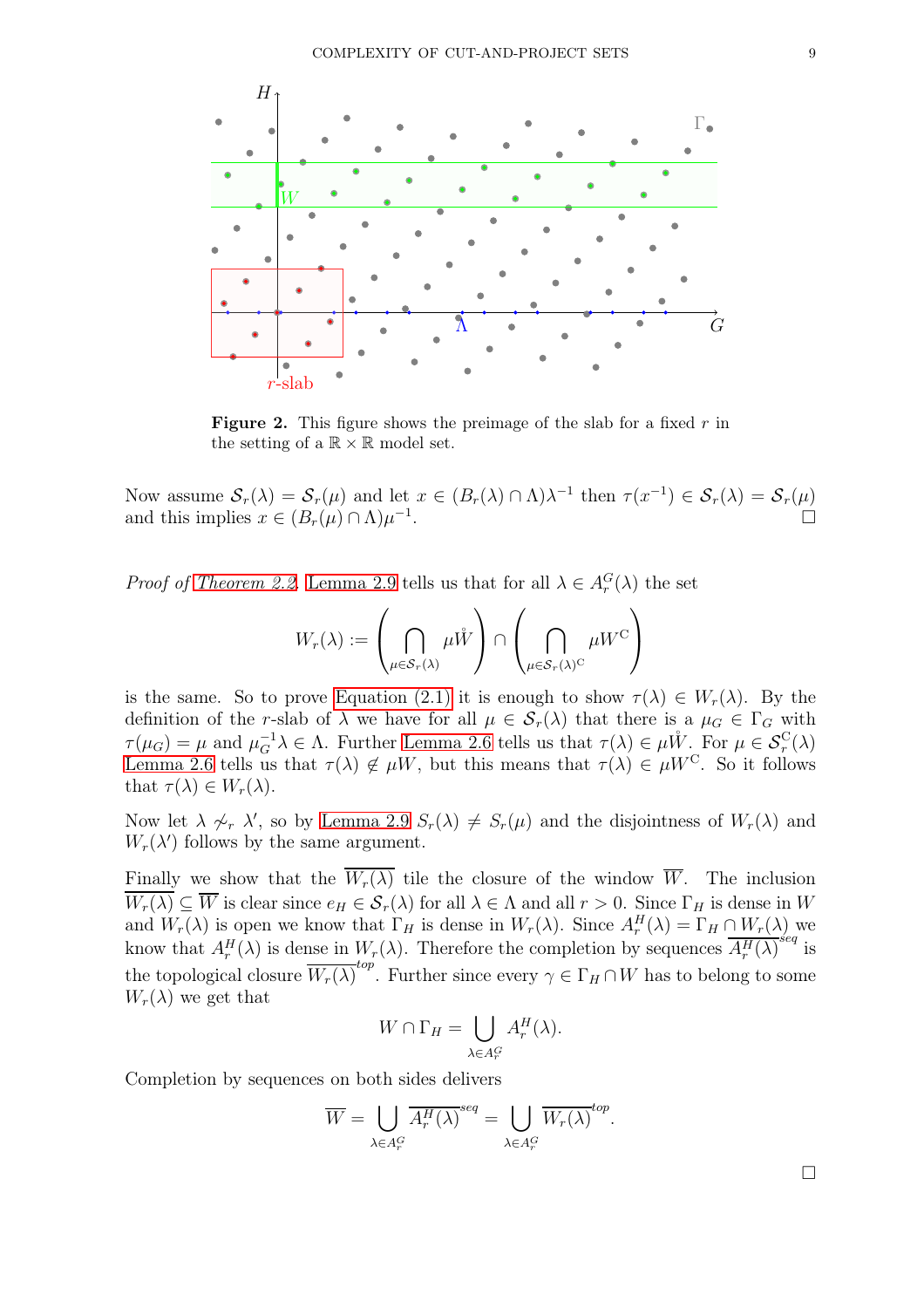

**Figure 2.** This figure shows the preimage of the slab for a fixed  $r$  in the setting of a  $\mathbb{R} \times \mathbb{R}$  model set.

Now assume  $S_r(\lambda) = S_r(\mu)$  and let  $x \in (B_r(\lambda) \cap \Lambda)\lambda^{-1}$  then  $\tau(x^{-1}) \in S_r(\lambda) = S_r(\mu)$ and this implies  $x \in (B_r(\mu) \cap \Lambda)\mu^{-1}$ .

*Proof of [Theorem 2.2.](#page-6-2)* [Lemma 2.9](#page-7-1) tells us that for all  $\lambda \in A_r^G(\lambda)$  the set

$$
W_r(\lambda) := \left(\bigcap_{\mu \in \mathcal{S}_r(\lambda)} \mu \mathring{W}\right) \cap \left(\bigcap_{\mu \in \mathcal{S}_r(\lambda)^{\mathbb{C}}} \mu W^{\mathbb{C}}\right)
$$

is the same. So to prove [Equation \(2.1\)](#page-6-3) it is enough to show  $\tau(\lambda) \in W_r(\lambda)$ . By the definition of the r-slab of  $\lambda$  we have for all  $\mu \in S_r(\lambda)$  that there is a  $\mu_G \in \Gamma_G$  with  $\tau(\mu_G) = \mu$  and  $\mu_G^{-1}\lambda \in \Lambda$ . Further [Lemma 2.6](#page-7-2) tells us that  $\tau(\lambda) \in \mu \overset{\circ}{W}$ . For  $\mu \in \mathcal{S}_r^C(\lambda)$ [Lemma 2.6](#page-7-2) tells us that  $\tau(\lambda) \notin \mu W$ , but this means that  $\tau(\lambda) \in \mu W^C$ . So it follows that  $\tau(\lambda) \in W_r(\lambda)$ .

Now let  $\lambda \not\sim_r \lambda'$ , so by [Lemma 2.9](#page-7-1)  $S_r(\lambda) \neq S_r(\mu)$  and the disjointness of  $W_r(\lambda)$  and  $W_r(\lambda')$  follows by the same argument.

Finally we show that the  $\overline{W_r(\lambda)}$  tile the closure of the window  $\overline{W}$ . The inclusion  $\overline{W_r(\lambda)} \subseteq \overline{W}$  is clear since  $e_H \in \mathcal{S}_r(\lambda)$  for all  $\lambda \in \Lambda$  and all  $r > 0$ . Since  $\Gamma_H$  is dense in W and  $W_r(\lambda)$  is open we know that  $\Gamma_H$  is dense in  $W_r(\lambda)$ . Since  $A_r^H(\lambda) = \Gamma_H \cap W_r(\lambda)$  we know that  $A_r^H(\lambda)$  is dense in  $W_r(\lambda)$ . Therefore the completion by sequences  $\overline{A_r^H(\lambda)}^{seq}$  is the topological closure  $\overline{W_r(\lambda)}^{top}$ . Further since every  $\gamma \in \Gamma_H \cap W$  has to belong to some  $W_r(\lambda)$  we get that

$$
W \cap \Gamma_H = \bigcup_{\lambda \in A_r^G} A_r^H(\lambda).
$$

Completion by sequences on both sides delivers

$$
\overline{W} = \bigcup_{\lambda \in A_r^G} \overline{A_r^H(\lambda)}^{seq} = \bigcup_{\lambda \in A_r^G} \overline{W_r(\lambda)}^{top}.
$$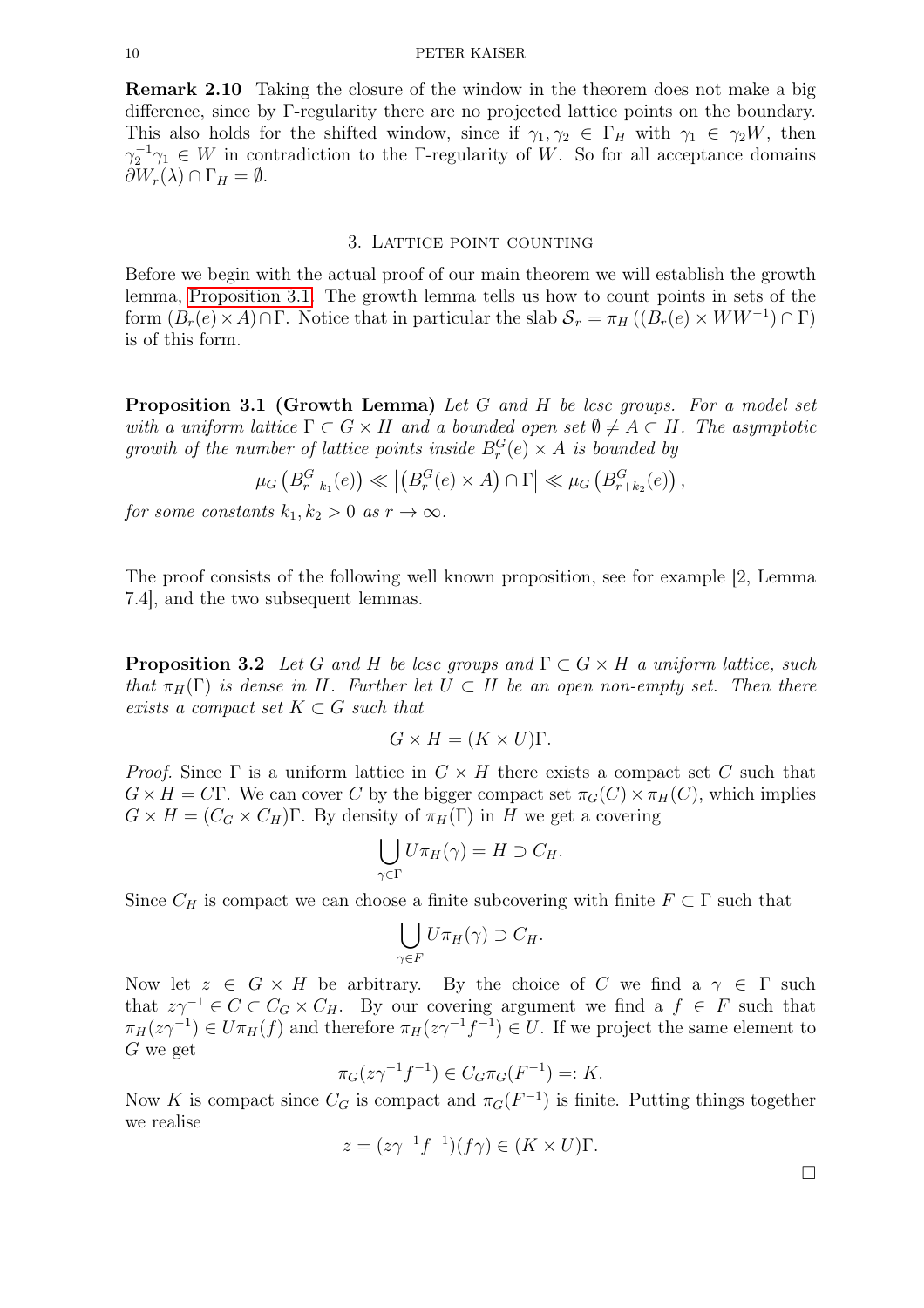#### 10 PETER KAISER

Remark 2.10 Taking the closure of the window in the theorem does not make a big difference, since by Γ-regularity there are no projected lattice points on the boundary. This also holds for the shifted window, since if  $\gamma_1, \gamma_2 \in \Gamma_H$  with  $\gamma_1 \in \gamma_2W$ , then  $\gamma_2^{-1}\gamma_1 \in W$  in contradiction to the Γ-regularity of W. So for all acceptance domains  $\partial W_r(\lambda) \cap \Gamma_H = \emptyset.$ 

#### 3. Lattice point counting

<span id="page-9-1"></span><span id="page-9-0"></span>Before we begin with the actual proof of our main theorem we will establish the growth lemma, [Proposition 3.1.](#page-9-1) The growth lemma tells us how to count points in sets of the form  $(B_r(e) \times A) \cap \Gamma$ . Notice that in particular the slab  $S_r = \pi_H((B_r(e) \times WW^{-1}) \cap \Gamma)$ is of this form.

**Proposition 3.1 (Growth Lemma)** Let G and H be last groups. For a model set with a uniform lattice  $\Gamma \subset G \times H$  and a bounded open set  $\emptyset \neq A \subset H$ . The asymptotic growth of the number of lattice points inside  $B_r^G(e) \times A$  is bounded by

$$
\mu_G\left(B_{r-k_1}^G(e)\right)\ll \left|\left(B_r^G(e)\times A\right)\cap \Gamma\right|\ll \mu_G\left(B_{r+k_2}^G(e)\right),\,
$$

for some constants  $k_1, k_2 > 0$  as  $r \to \infty$ .

<span id="page-9-2"></span>The proof consists of the following well known proposition, see for example [2, Lemma 7.4], and the two subsequent lemmas.

**Proposition 3.2** Let G and H be lcsc groups and  $\Gamma \subset G \times H$  a uniform lattice, such that  $\pi_H(\Gamma)$  is dense in H. Further let  $U \subset H$  be an open non-empty set. Then there exists a compact set  $K \subset G$  such that

$$
G \times H = (K \times U)\Gamma.
$$

*Proof.* Since  $\Gamma$  is a uniform lattice in  $G \times H$  there exists a compact set C such that  $G \times H = C\Gamma$ . We can cover C by the bigger compact set  $\pi_G(C) \times \pi_H(C)$ , which implies  $G \times H = (C_G \times C_H)$ Γ. By density of  $\pi_H(\Gamma)$  in H we get a covering

$$
\bigcup_{\gamma \in \Gamma} U \pi_H(\gamma) = H \supset C_H.
$$

Since  $C_H$  is compact we can choose a finite subcovering with finite  $F \subset \Gamma$  such that

$$
\bigcup_{\gamma \in F} U \pi_H(\gamma) \supset C_H.
$$

Now let  $z \in G \times H$  be arbitrary. By the choice of C we find a  $\gamma \in \Gamma$  such that  $z\gamma^{-1} \in C \subset C_G \times C_H$ . By our covering argument we find a  $f \in F$  such that  $\pi_H(z\gamma^{-1}) \in U\pi_H(f)$  and therefore  $\pi_H(z\gamma^{-1}f^{-1}) \in U$ . If we project the same element to G we get

$$
\pi_G(z\gamma^{-1}f^{-1}) \in C_G \pi_G(F^{-1}) =: K.
$$

Now K is compact since  $C_G$  is compact and  $\pi_G(F^{-1})$  is finite. Putting things together we realise

$$
z = (z\gamma^{-1}f^{-1})(f\gamma) \in (K \times U)\Gamma.
$$

 $\Box$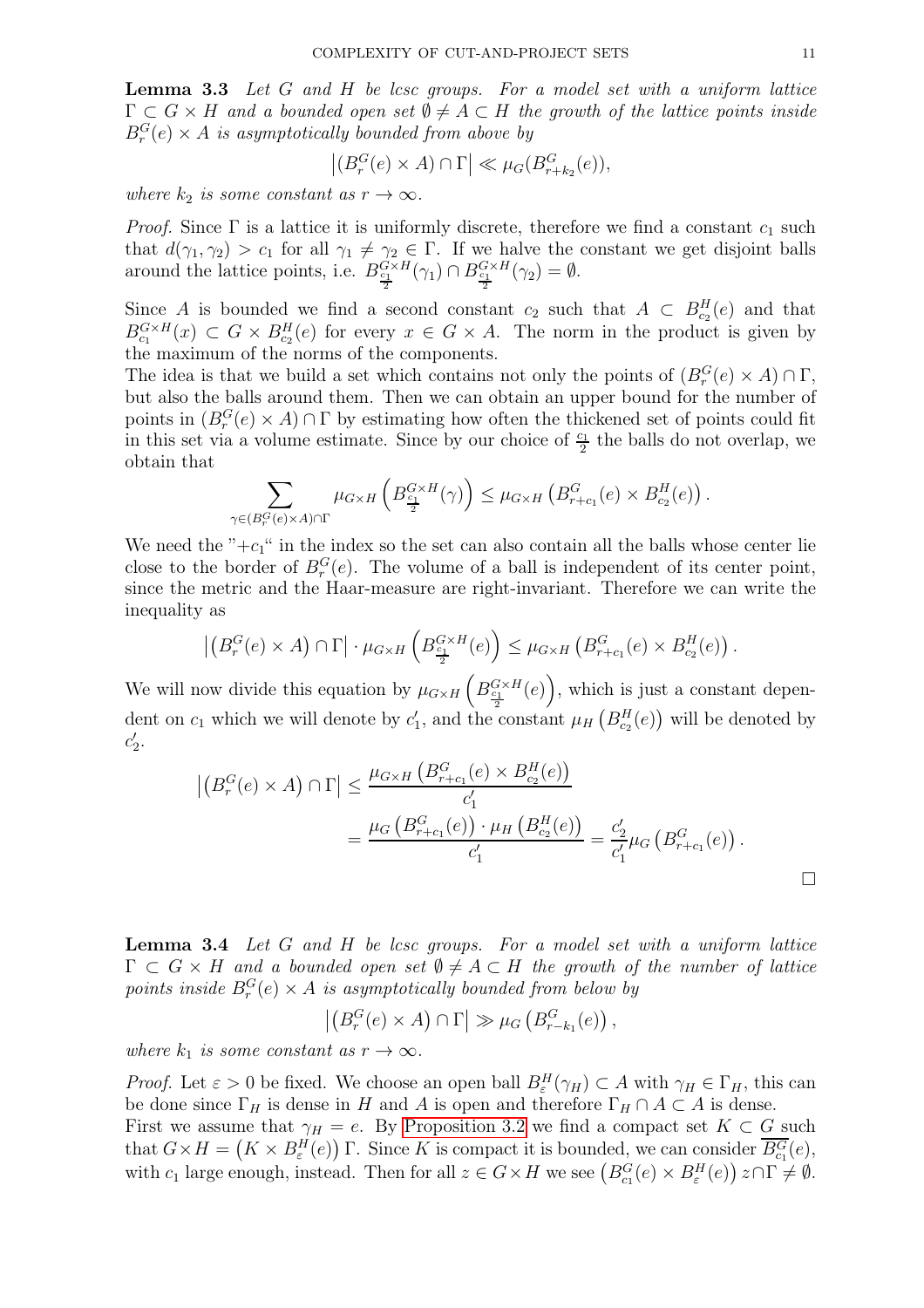**Lemma 3.3** Let G and H be lcsc groups. For a model set with a uniform lattice  $\Gamma \subset G \times H$  and a bounded open set  $\emptyset \neq A \subset H$  the growth of the lattice points inside  $B_r^G(e) \times A$  is asymptotically bounded from above by

$$
\left| (B_r^G(e) \times A) \cap \Gamma \right| \ll \mu_G(B_{r+k_2}^G(e)),
$$

where  $k_2$  is some constant as  $r \to \infty$ .

*Proof.* Since  $\Gamma$  is a lattice it is uniformly discrete, therefore we find a constant  $c_1$  such that  $d(\gamma_1, \gamma_2) > c_1$  for all  $\gamma_1 \neq \gamma_2 \in \Gamma$ . If we halve the constant we get disjoint balls around the lattice points, i.e.  $B_{\frac{c_1}{2}}^{G \times H}(\gamma_1) \cap B_{\frac{c_1}{2}}^{G \times H}(\gamma_2) = \emptyset$ .

Since A is bounded we find a second constant  $c_2$  such that  $A \subset B_{c_2}^H(e)$  and that  $B_{c_1}^{G \times H}(x) \subset G \times B_{c_2}^H(e)$  for every  $x \in G \times A$ . The norm in the product is given by the maximum of the norms of the components.

The idea is that we build a set which contains not only the points of  $(B_r^G(e) \times A) \cap \Gamma$ , but also the balls around them. Then we can obtain an upper bound for the number of points in  $(B_r^G(e) \times A) \cap \Gamma$  by estimating how often the thickened set of points could fit in this set via a volume estimate. Since by our choice of  $\frac{c_1}{2}$  the balls do not overlap, we obtain that

$$
\sum_{\gamma \in (B_r^G(e) \times A) \cap \Gamma} \mu_{G \times H} \left( B_{\frac{c_1}{2}}^{G \times H}(\gamma) \right) \leq \mu_{G \times H} \left( B_{r+c_1}^G(e) \times B_{c_2}^H(e) \right).
$$

We need the " $+c_1$ " in the index so the set can also contain all the balls whose center lie close to the border of  $B_r^G(e)$ . The volume of a ball is independent of its center point, since the metric and the Haar-measure are right-invariant. Therefore we can write the inequality as

$$
\left| \left( B_r^G(e) \times A \right) \cap \Gamma \right| \cdot \mu_{G \times H} \left( B_{\frac{c_1}{2}}^{G \times H}(e) \right) \leq \mu_{G \times H} \left( B_{r+c_1}^G(e) \times B_{c_2}^H(e) \right).
$$

We will now divide this equation by  $\mu_{G\times H}\left(B_{\frac{c_1}{2}}^{G\times H}(e)\right)$ , which is just a constant dependent on  $c_1$  which we will denote by  $c'_1$ , and the constant  $\mu$ <sub>H</sub>  $(B_{c_2}^H(e))$  will be denoted by  $c'_2.$ 

$$
\left| \left( B_r^G(e) \times A \right) \cap \Gamma \right| \leq \frac{\mu_{G \times H} \left( B_{r+c_1}^G(e) \times B_{c_2}^H(e) \right)}{c'_1} \n= \frac{\mu_G \left( B_{r+c_1}^G(e) \right) \cdot \mu_H \left( B_{c_2}^H(e) \right)}{c'_1} = \frac{c'_2}{c'_1} \mu_G \left( B_{r+c_1}^G(e) \right).
$$

**Lemma 3.4** Let G and H be less groups. For a model set with a uniform lattice  $\Gamma \subset G \times H$  and a bounded open set  $\emptyset \neq A \subset H$  the growth of the number of lattice points inside  $B_r^G(e) \times A$  is asymptotically bounded from below by

$$
\left| \left( B_r^G(e) \times A \right) \cap \Gamma \right| \gg \mu_G \left( B_{r-k_1}^G(e) \right),\,
$$

where  $k_1$  is some constant as  $r \to \infty$ .

*Proof.* Let  $\varepsilon > 0$  be fixed. We choose an open ball  $B_{\varepsilon}^H(\gamma_H) \subset A$  with  $\gamma_H \in \Gamma_H$ , this can be done since  $\Gamma_H$  is dense in H and A is open and therefore  $\Gamma_H \cap A \subset A$  is dense. First we assume that  $\gamma_H = e$ . By [Proposition 3.2](#page-9-2) we find a compact set  $K \subset G$  such that  $G \times H = (K \times B_{\varepsilon}^H(e))$   $\Gamma$ . Since K is compact it is bounded, we can consider  $\overline{B_{c_1}^G}(e)$ , with  $c_1$  large enough, instead. Then for all  $z \in G \times H$  we see  $(B_{c_1}^G(e) \times B_{\varepsilon}^H(e))$   $z \cap \Gamma \neq \emptyset$ .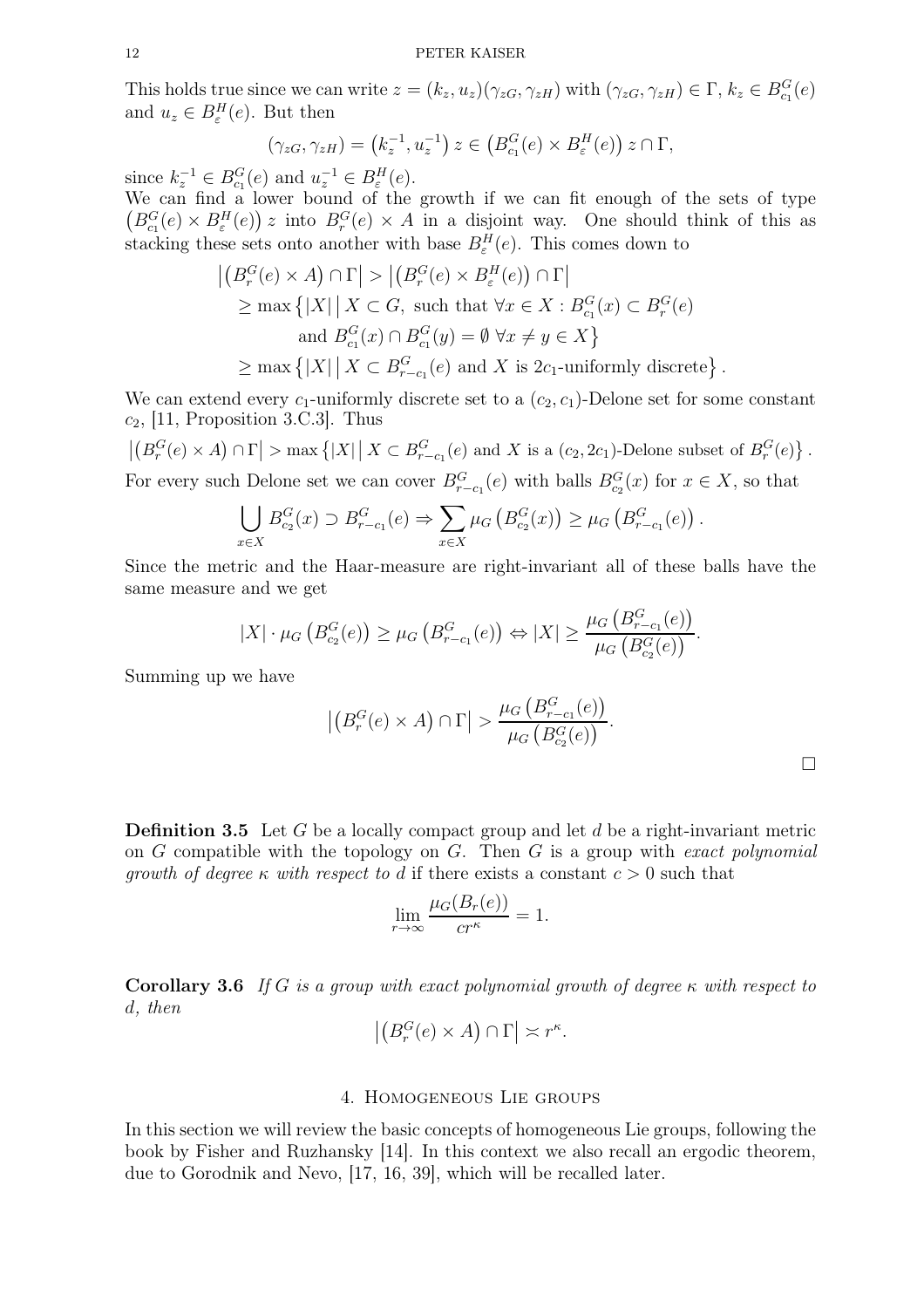This holds true since we can write  $z = (k_z, u_z)(\gamma_{zG}, \gamma_{zH})$  with  $(\gamma_{zG}, \gamma_{zH}) \in \Gamma$ ,  $k_z \in B_{c_1}^G(e)$ and  $u_z \in B_{\varepsilon}^H(e)$ . But then

$$
(\gamma_{zG}, \gamma_{zH}) = (k_z^{-1}, u_z^{-1}) z \in (B_{c_1}^G(e) \times B_{\varepsilon}^H(e)) z \cap \Gamma,
$$

since  $k_z^{-1} \in B_{c_1}^G(e)$  and  $u_z^{-1} \in B_{\varepsilon}^H(e)$ .

We can find a lower bound of the growth if we can fit enough of the sets of type  $(B_{c_1}^G(e) \times B_{\varepsilon}^H(e))$  into  $B_r^G(e) \times A$  in a disjoint way. One should think of this as stacking these sets onto another with base  $B_{\varepsilon}^{H}(e)$ . This comes down to

$$
\left| \left( B_r^G(e) \times A \right) \cap \Gamma \right| > \left| \left( B_r^G(e) \times B_\varepsilon^H(e) \right) \cap \Gamma \right|
$$
  
\n
$$
\geq \max \left\{ |X| \mid X \subset G, \text{ such that } \forall x \in X : B_{c_1}^G(x) \subset B_r^G(e)
$$
  
\nand  $B_{c_1}^G(x) \cap B_{c_1}^G(y) = \emptyset \ \forall x \neq y \in X \right\}$   
\n
$$
\geq \max \left\{ |X| \mid X \subset B_{r-c_1}^G(e) \text{ and } X \text{ is } 2c_1\text{-uniformly discrete} \right\}
$$

We can extend every  $c_1$ -uniformly discrete set to a  $(c_2, c_1)$ -Delone set for some constant  $c_2$ , [11, Proposition 3.C.3]. Thus

 $|(B_r^G(e) \times A) \cap \Gamma| > \max\{|X| | X \subset B_{r-c_1}^G(e) \text{ and } X \text{ is a } (c_2, 2c_1) \text{-Delone subset of } B_r^G(e) \}$ .

For every such Delone set we can cover  $B_{r-c_1}^G(e)$  with balls  $B_{c_2}^G(x)$  for  $x \in X$ , so that

$$
\bigcup_{x \in X} B_{c_2}^G(x) \supset B_{r-c_1}^G(e) \Rightarrow \sum_{x \in X} \mu_G \left( B_{c_2}^G(x) \right) \geq \mu_G \left( B_{r-c_1}^G(e) \right).
$$

Since the metric and the Haar-measure are right-invariant all of these balls have the same measure and we get

$$
|X| \cdot \mu_G\left(B_{c_2}^G(e)\right) \geq \mu_G\left(B_{r-c_1}^G(e)\right) \Leftrightarrow |X| \geq \frac{\mu_G\left(B_{r-c_1}^G(e)\right)}{\mu_G\left(B_{c_2}^G(e)\right)}.
$$

Summing up we have

$$
\left| \left( B_r^G(e) \times A \right) \cap \Gamma \right| > \frac{\mu_G \left( B_{r-c_1}^G(e) \right)}{\mu_G \left( B_{c_2}^G(e) \right)}.
$$

.

**Definition 3.5** Let G be a locally compact group and let  $d$  be a right-invariant metric on  $G$  compatible with the topology on  $G$ . Then  $G$  is a group with exact polynomial growth of degree  $\kappa$  with respect to d if there exists a constant  $c > 0$  such that

$$
\lim_{r \to \infty} \frac{\mu_G(B_r(e))}{cr^{\kappa}} = 1.
$$

**Corollary 3.6** If G is a group with exact polynomial growth of degree  $\kappa$  with respect to d, then

$$
\left| \left( B_r^G(e) \times A \right) \cap \Gamma \right| \asymp r^{\kappa}.
$$

#### 4. Homogeneous Lie groups

<span id="page-11-0"></span>In this section we will review the basic concepts of homogeneous Lie groups, following the book by Fisher and Ruzhansky [14]. In this context we also recall an ergodic theorem, due to Gorodnik and Nevo, [17, 16, 39], which will be recalled later.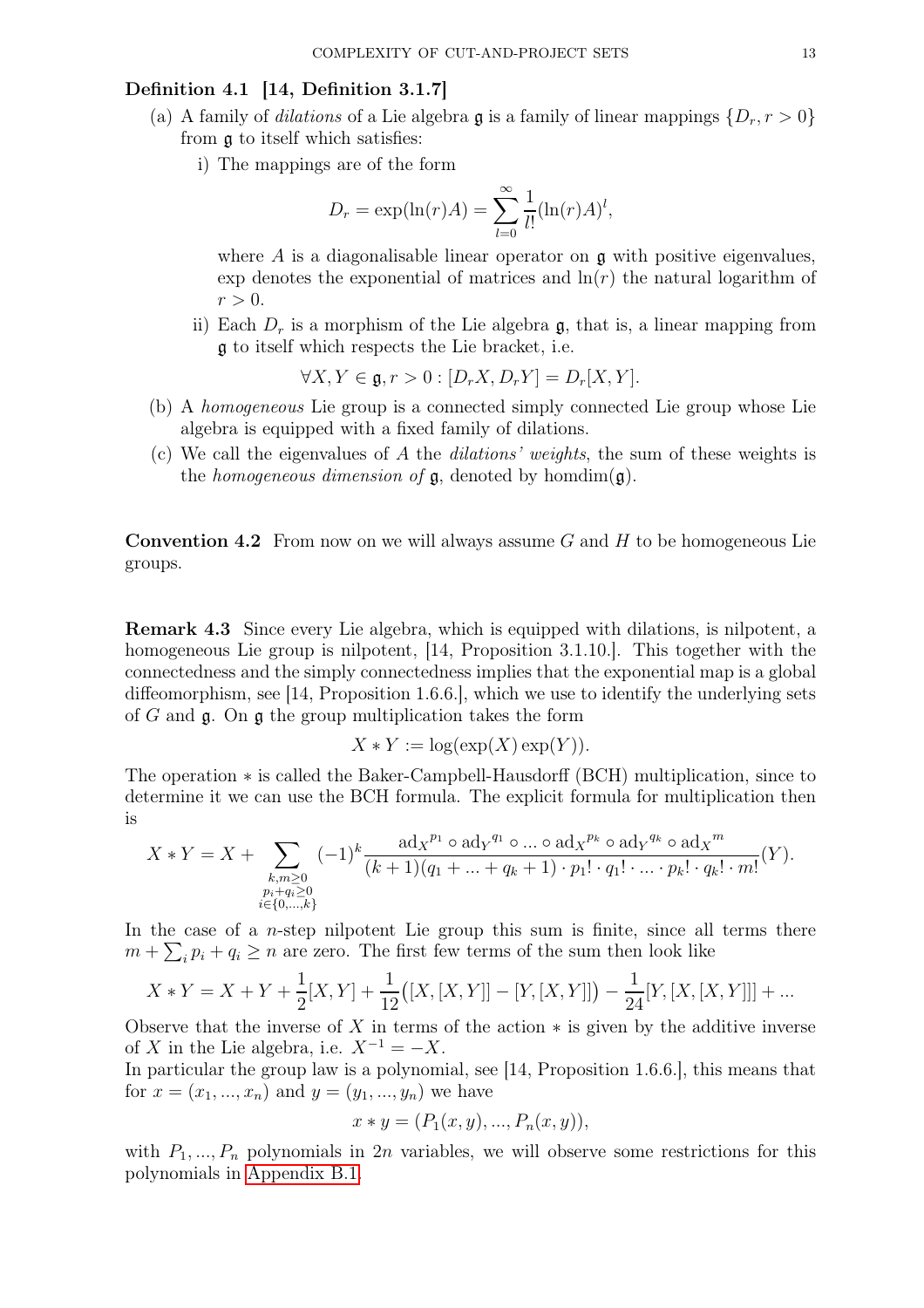# Definition 4.1 [14, Definition 3.1.7]

- (a) A family of *dilations* of a Lie algebra g is a family of linear mappings  $\{D_r, r > 0\}$ from g to itself which satisfies:
	- i) The mappings are of the form

$$
D_r = \exp(\ln(r)A) = \sum_{l=0}^{\infty} \frac{1}{l!} (\ln(r)A)^l,
$$

where A is a diagonalisable linear operator on  $\alpha$  with positive eigenvalues, exp denotes the exponential of matrices and  $\ln(r)$  the natural logarithm of  $r > 0$ .

ii) Each  $D_r$  is a morphism of the Lie algebra  $\mathfrak{g}$ , that is, a linear mapping from g to itself which respects the Lie bracket, i.e.

$$
\forall X, Y \in \mathfrak{g}, r > 0: [D_r X, D_r Y] = D_r [X, Y].
$$

- (b) A homogeneous Lie group is a connected simply connected Lie group whose Lie algebra is equipped with a fixed family of dilations.
- (c) We call the eigenvalues of A the *dilations' weights*, the sum of these weights is the *homogeneous dimension of*  $\mathfrak{g}$ , denoted by homdim $(\mathfrak{g})$ .

**Convention 4.2** From now on we will always assume G and H to be homogeneous Lie groups.

Remark 4.3 Since every Lie algebra, which is equipped with dilations, is nilpotent, a homogeneous Lie group is nilpotent, [14, Proposition 3.1.10.]. This together with the connectedness and the simply connectedness implies that the exponential map is a global diffeomorphism, see [14, Proposition 1.6.6.], which we use to identify the underlying sets of G and  $\mathfrak{g}$ . On  $\mathfrak{g}$  the group multiplication takes the form

$$
X * Y := \log(\exp(X) \exp(Y)).
$$

The operation ∗ is called the Baker-Campbell-Hausdorff (BCH) multiplication, since to determine it we can use the BCH formula. The explicit formula for multiplication then is

$$
X * Y = X + \sum_{\substack{k,m \geq 0 \\ p_i + q_i \geq 0 \\ i \in \{0, \dots, k\}}} (-1)^k \frac{\mathrm{ad}_X^{p_1} \circ \mathrm{ad}_Y^{q_1} \circ \dots \circ \mathrm{ad}_X^{p_k} \circ \mathrm{ad}_Y^{q_k} \circ \mathrm{ad}_X^m}{(k+1)(q_1 + \dots + q_k + 1) \cdot p_1! \cdot q_1! \cdot \dots \cdot p_k! \cdot q_k! \cdot m!} (Y).
$$

In the case of a  $n$ -step nilpotent Lie group this sum is finite, since all terms there  $m + \sum_i p_i + q_i \geq n$  are zero. The first few terms of the sum then look like

$$
X * Y = X + Y + \frac{1}{2}[X, Y] + \frac{1}{12}([X, [X, Y]] - [Y, [X, Y]]) - \frac{1}{24}[Y, [X, [X, Y]]] + \dots
$$

Observe that the inverse of X in terms of the action  $*$  is given by the additive inverse of X in the Lie algebra, i.e.  $X^{-1} = -X$ .

In particular the group law is a polynomial, see [14, Proposition 1.6.6.], this means that for  $x = (x_1, ..., x_n)$  and  $y = (y_1, ..., y_n)$  we have

$$
x * y = (P_1(x, y), ..., P_n(x, y)),
$$

with  $P_1, ..., P_n$  polynomials in  $2n$  variables, we will observe some restrictions for this polynomials in [Appendix B.1.](#page-38-0)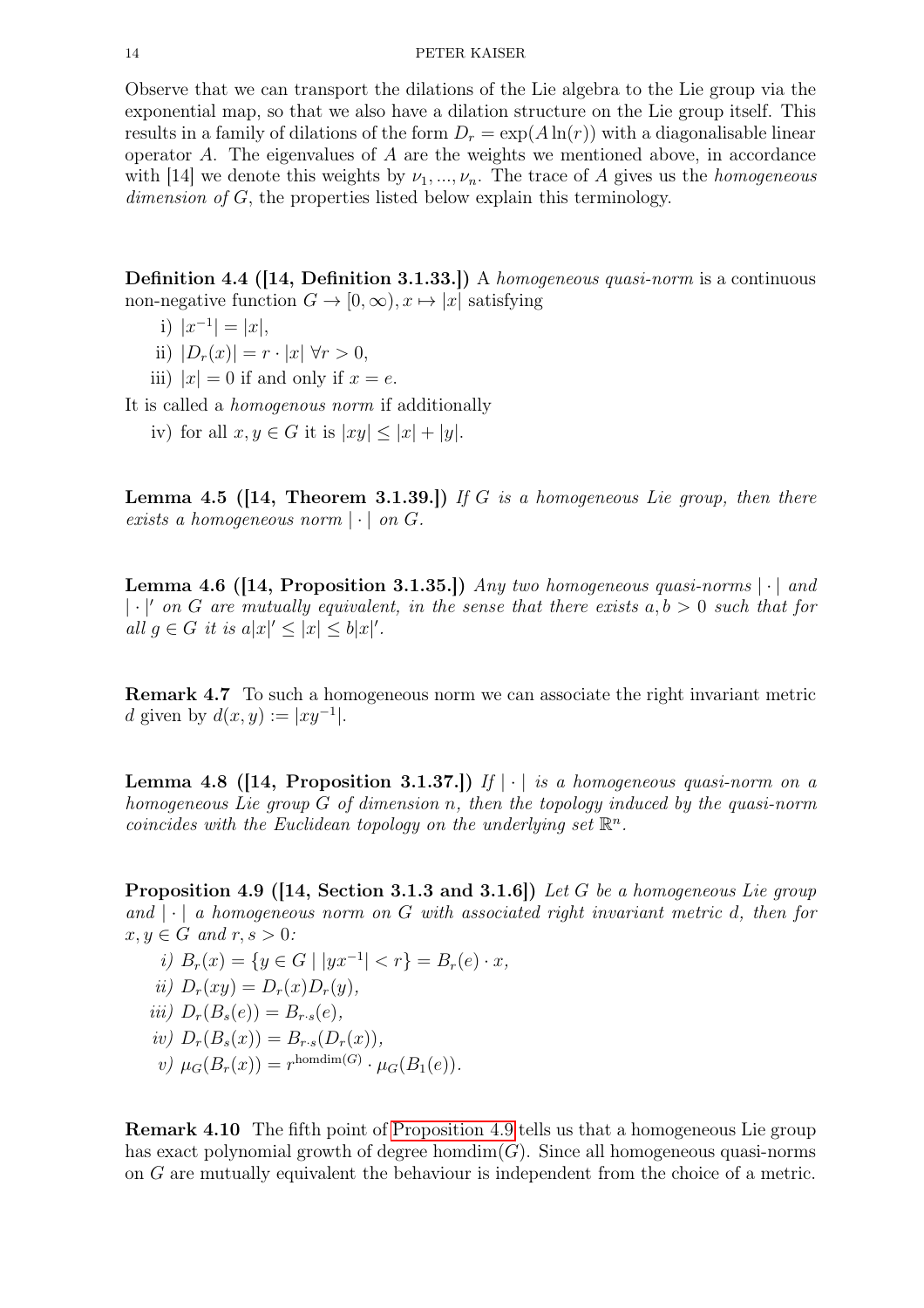Observe that we can transport the dilations of the Lie algebra to the Lie group via the exponential map, so that we also have a dilation structure on the Lie group itself. This results in a family of dilations of the form  $D_r = \exp(A \ln(r))$  with a diagonalisable linear operator A. The eigenvalues of  $A$  are the weights we mentioned above, in accordance with [14] we denote this weights by  $\nu_1, ..., \nu_n$ . The trace of A gives us the *homogeneous* dimension of G, the properties listed below explain this terminology.

Definition 4.4 ([14, Definition 3.1.33.]) A homogeneous quasi-norm is a continuous non-negative function  $G \to [0, \infty), x \mapsto |x|$  satisfying

- i)  $|x^{-1}| = |x|$ ,
- ii)  $|D_r(x)| = r \cdot |x| \forall r > 0$ ,
- iii)  $|x| = 0$  if and only if  $x = e$ .

It is called a homogenous norm if additionally

iv) for all  $x, y \in G$  it is  $|xy| \leq |x| + |y|$ .

**Lemma 4.5 ([14, Theorem 3.1.39.])** If G is a homogeneous Lie group, then there exists a homogeneous norm  $|\cdot|$  on G.

**Lemma 4.6 ([14, Proposition 3.1.35.])** Any two homogeneous quasi-norms  $|\cdot|$  and  $|\cdot|'$  on G are mutually equivalent, in the sense that there exists  $a, b > 0$  such that for all  $g \in G$  it is  $a|x|' \leq |x| \leq b|x|'$ .

Remark 4.7 To such a homogeneous norm we can associate the right invariant metric *d* given by  $d(x, y) := |xy^{-1}|$ .

<span id="page-13-1"></span>**Lemma 4.8 ([14, Proposition 3.1.37.])** If  $|\cdot|$  is a homogeneous quasi-norm on a homogeneous Lie group G of dimension n, then the topology induced by the quasi-norm coincides with the Euclidean topology on the underlying set  $\mathbb{R}^n$ .

<span id="page-13-0"></span>**Proposition 4.9 ([14, Section 3.1.3 and 3.1.6])** Let G be a homogeneous Lie group and  $|\cdot|$  a homogeneous norm on G with associated right invariant metric d, then for  $x, y \in G$  and  $r, s > 0$ :

- i)  $B_r(x) = \{y \in G \mid |yx^{-1}| < r\} = B_r(e) \cdot x$ , ii)  $D_r(xy) = D_r(x)D_r(y)$ , iii)  $D_r(B_s(e)) = B_{r \cdot s}(e)$ , iv)  $D_r(B_s(x)) = B_{r \cdot s}(D_r(x)),$
- v)  $\mu_G(B_r(x)) = r^{\text{homdim}(G)} \cdot \mu_G(B_1(e)).$

Remark 4.10 The fifth point of [Proposition 4.9](#page-13-0) tells us that a homogeneous Lie group has exact polynomial growth of degree  $homdim(G)$ . Since all homogeneous quasi-norms on G are mutually equivalent the behaviour is independent from the choice of a metric.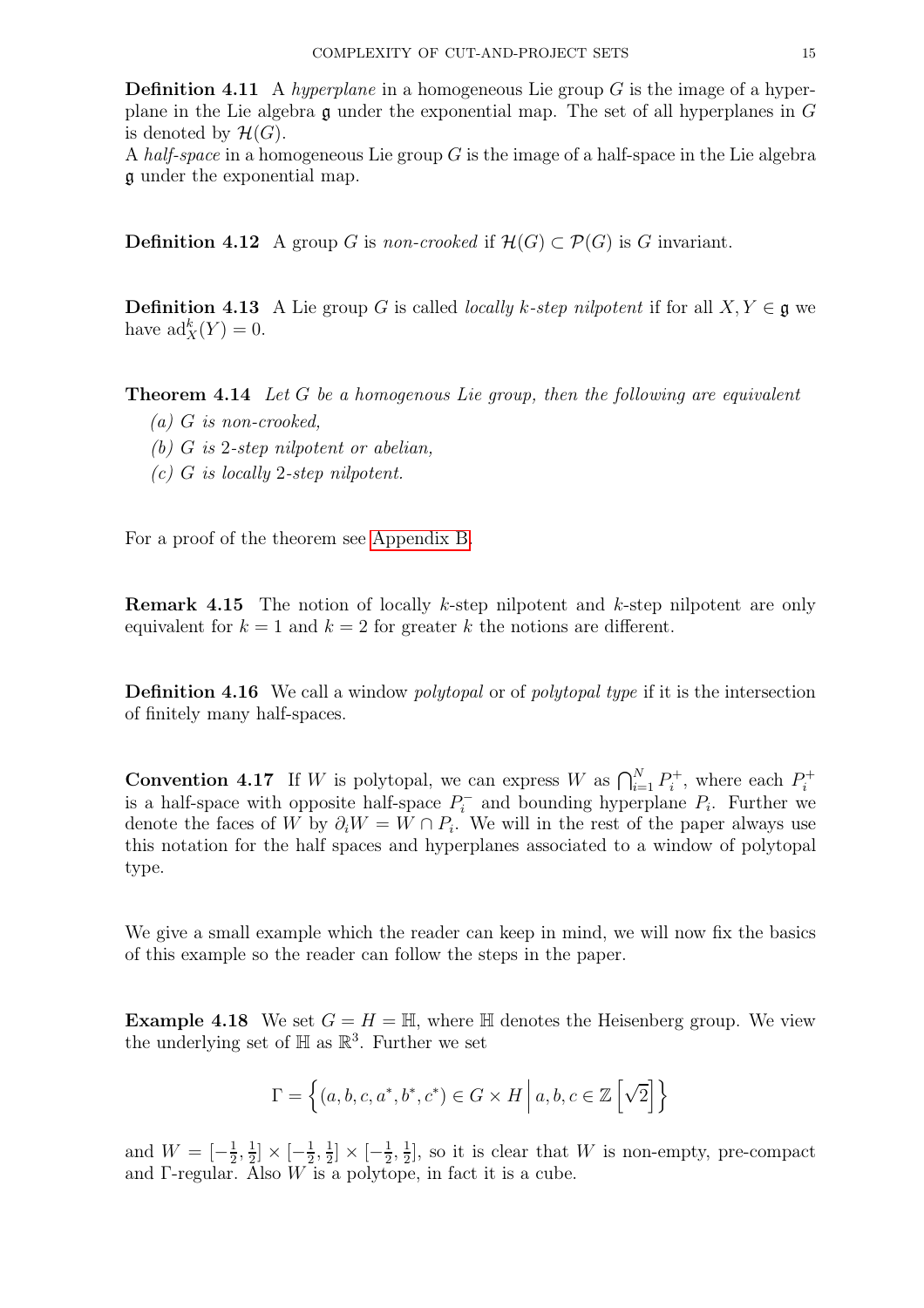**Definition 4.11** A hyperplane in a homogeneous Lie group  $G$  is the image of a hyperplane in the Lie algebra  $\mathfrak g$  under the exponential map. The set of all hyperplanes in  $G$ is denoted by  $\mathcal{H}(G)$ .

A half-space in a homogeneous Lie group  $G$  is the image of a half-space in the Lie algebra g under the exponential map.

**Definition 4.12** A group G is non-crooked if  $\mathcal{H}(G) \subset \mathcal{P}(G)$  is G invariant.

**Definition 4.13** A Lie group G is called *locally k-step nilpotent* if for all  $X, Y \in \mathfrak{g}$  we have  $\mathrm{ad}^k_X(Y) = 0.$ 

<span id="page-14-0"></span>**Theorem 4.14** Let G be a homogenous Lie group, then the following are equivalent

- $(a)$  G is non-crooked.
- (b) G is 2-step nilpotent or abelian,
- (c) G is locally 2-step nilpotent.

For a proof of the theorem see [Appendix B.](#page-37-0)

Remark 4.15 The notion of locally k-step nilpotent and k-step nilpotent are only equivalent for  $k = 1$  and  $k = 2$  for greater k the notions are different.

Definition 4.16 We call a window *polytopal* or of *polytopal type* if it is the intersection of finitely many half-spaces.

**Convention 4.17** If W is polytopal, we can express W as  $\bigcap_{i=1}^{N} P_i^+$  $P_i^+$ , where each  $P_i^+$ i is a half-space with opposite half-space  $P_i^-$  and bounding hyperplane  $P_i$ . Further we denote the faces of W by  $\partial_i W = W \cap P_i$ . We will in the rest of the paper always use this notation for the half spaces and hyperplanes associated to a window of polytopal type.

We give a small example which the reader can keep in mind, we will now fix the basics of this example so the reader can follow the steps in the paper.

**Example 4.18** We set  $G = H = \mathbb{H}$ , where  $\mathbb{H}$  denotes the Heisenberg group. We view the underlying set of  $\mathbb H$  as  $\mathbb R^3$ . Further we set

$$
\Gamma = \left\{ (a, b, c, a^*, b^*, c^*) \in G \times H \mid a, b, c \in \mathbb{Z} \left[ \sqrt{2} \right] \right\}
$$

and  $W = \left[-\frac{1}{2}\right]$  $\frac{1}{2}, \frac{1}{2}$  $\frac{1}{2} \times \left[-\frac{1}{2}\right]$  $\frac{1}{2}, \frac{1}{2}$  $\frac{1}{2}$   $\times$   $\left[-\frac{1}{2}\right]$  $\frac{1}{2}$ ,  $\frac{1}{2}$  $\frac{1}{2}$ , so it is clear that W is non-empty, pre-compact and  $\Gamma$ -regular. Also  $W$  is a polytope, in fact it is a cube.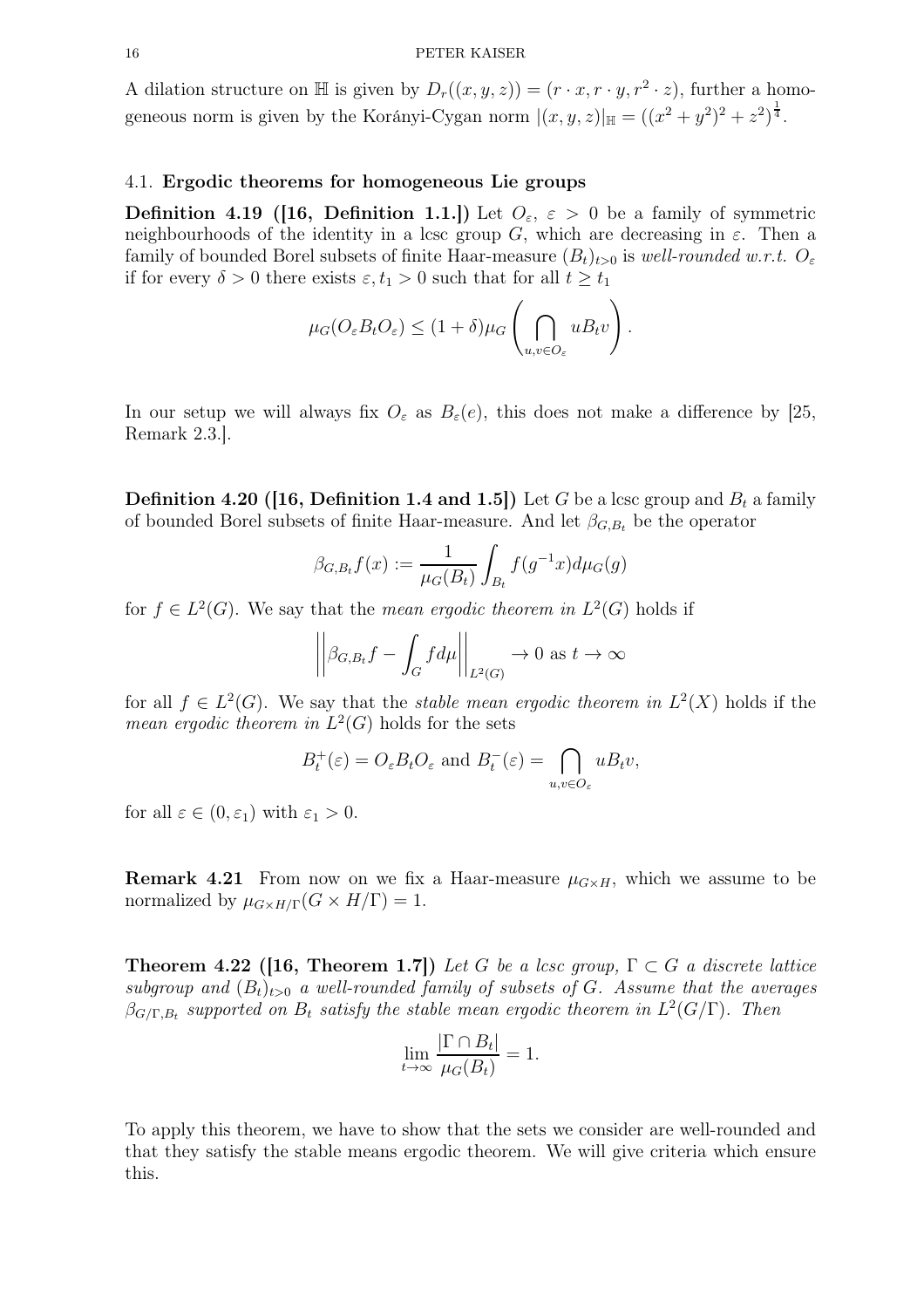A dilation structure on  $\mathbb H$  is given by  $D_r((x, y, z)) = (r \cdot x, r \cdot y, r^2 \cdot z)$ , further a homogeneous norm is given by the Korányi-Cygan norm  $|(x, y, z)|_{\mathbb{H}} = ((x^2 + y^2)^2 + z^2)^{\frac{1}{4}}$ .

## <span id="page-15-2"></span>4.1. Ergodic theorems for homogeneous Lie groups

**Definition 4.19 ([16, Definition 1.1.])** Let  $O_{\varepsilon}$ ,  $\varepsilon > 0$  be a family of symmetric neighbourhoods of the identity in a lcsc group G, which are decreasing in  $\varepsilon$ . Then a family of bounded Borel subsets of finite Haar-measure  $(B_t)_{t>0}$  is well-rounded w.r.t.  $O_{\varepsilon}$ if for every  $\delta > 0$  there exists  $\varepsilon, t_1 > 0$  such that for all  $t \geq t_1$ 

$$
\mu_G(O_{\varepsilon}B_tO_{\varepsilon}) \le (1+\delta)\mu_G\left(\bigcap_{u,v\in O_{\varepsilon}}uB_t v\right).
$$

In our setup we will always fix  $O_{\varepsilon}$  as  $B_{\varepsilon}(e)$ , this does not make a difference by [25, Remark 2.3.].

**Definition 4.20 (16, Definition 1.4 and 1.5)** Let G be a lcsc group and  $B_t$  a family of bounded Borel subsets of finite Haar-measure. And let  $\beta_{G,B_t}$  be the operator

$$
\beta_{G,B_t} f(x) := \frac{1}{\mu_G(B_t)} \int_{B_t} f(g^{-1}x) d\mu_G(g)
$$

for  $f \in L^2(G)$ . We say that the *mean ergodic theorem in*  $L^2(G)$  holds if

$$
\left| \left| \beta_{G,B_t} f - \int_G f d\mu \right| \right|_{L^2(G)} \to 0 \text{ as } t \to \infty
$$

for all  $f \in L^2(G)$ . We say that the *stable mean ergodic theorem in*  $L^2(X)$  holds if the *mean ergodic theorem in*  $L^2(G)$  holds for the sets

$$
B_t^+(\varepsilon) = O_\varepsilon B_t O_\varepsilon
$$
 and  $B_t^-(\varepsilon) = \bigcap_{u,v \in O_\varepsilon} u B_t v$ ,

for all  $\varepsilon \in (0, \varepsilon_1)$  with  $\varepsilon_1 > 0$ .

**Remark 4.21** From now on we fix a Haar-measure  $\mu_{G \times H}$ , which we assume to be normalized by  $\mu_{G\times H/\Gamma}(G\times H/\Gamma)=1$ .

<span id="page-15-1"></span>**Theorem 4.22 ([16, Theorem 1.7])** Let G be a lcsc group,  $\Gamma \subset G$  a discrete lattice subgroup and  $(B_t)_{t>0}$  a well-rounded family of subsets of G. Assume that the averages  $\beta_{G/\Gamma,B_t}$  supported on  $B_t$  satisfy the stable mean ergodic theorem in  $L^2(G/\Gamma)$ . Then

$$
\lim_{t \to \infty} \frac{|\Gamma \cap B_t|}{\mu_G(B_t)} = 1.
$$

<span id="page-15-0"></span>To apply this theorem, we have to show that the sets we consider are well-rounded and that they satisfy the stable means ergodic theorem. We will give criteria which ensure this.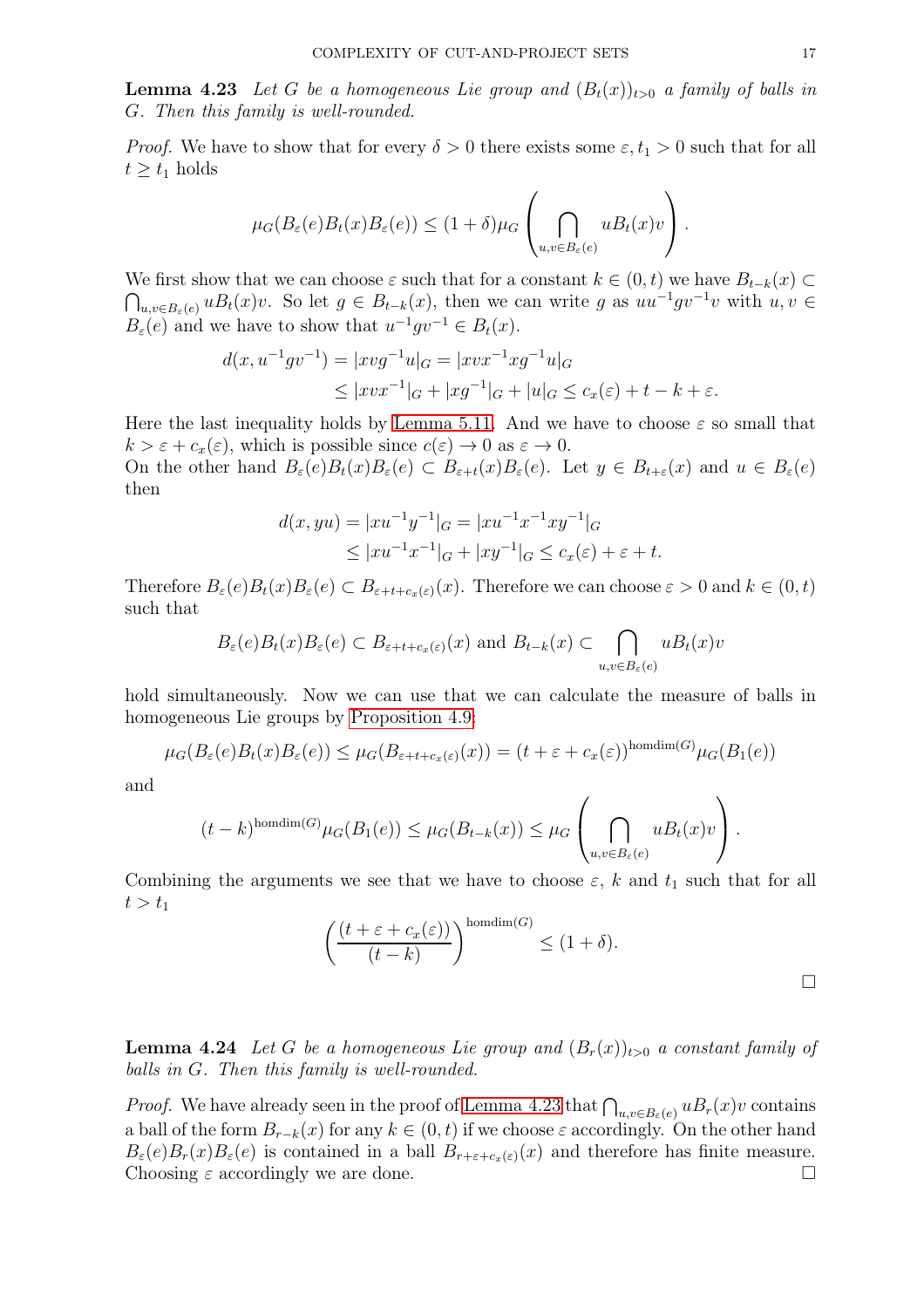**Lemma 4.23** Let G be a homogeneous Lie group and  $(B_t(x))_{t>0}$  a family of balls in G. Then this family is well-rounded.

*Proof.* We have to show that for every  $\delta > 0$  there exists some  $\varepsilon, t_1 > 0$  such that for all  $t \geq t_1$  holds

$$
\mu_G(B_{\varepsilon}(e)B_t(x)B_{\varepsilon}(e)) \le (1+\delta)\mu_G\left(\bigcap_{u,v\in B_{\varepsilon}(e)} uB_t(x)v\right).
$$

We first show that we can choose  $\varepsilon$  such that for a constant  $k \in (0, t)$  we have  $B_{t-k}(x) \subset \mathbb{R}$  $\bigcap_{u,v\in B_{\varepsilon}(e)} uB_t(x)v$ . So let  $g \in B_{t-k}(x)$ , then we can write g as  $uu^{-1}gv^{-1}v$  with  $u, v \in$  $B_{\varepsilon}(e)$  and we have to show that  $u^{-1}gv^{-1} \in B_t(x)$ .

$$
d(x, u^{-1}gv^{-1}) = |xvg^{-1}u|_G = |xvx^{-1}xg^{-1}u|_G
$$
  
 
$$
\leq |xvx^{-1}|_G + |xg^{-1}|_G + |u|_G \leq c_x(\varepsilon) + t - k + \varepsilon.
$$

Here the last inequality holds by [Lemma 5.11.](#page-20-0) And we have to choose  $\varepsilon$  so small that  $k > \varepsilon + c_x(\varepsilon)$ , which is possible since  $c(\varepsilon) \to 0$  as  $\varepsilon \to 0$ .

On the other hand  $B_{\varepsilon}(e)B_{t}(x)B_{\varepsilon}(e) \subset B_{\varepsilon+t}(x)B_{\varepsilon}(e)$ . Let  $y \in B_{t+\varepsilon}(x)$  and  $u \in B_{\varepsilon}(e)$ then

$$
d(x, yu) = |xu^{-1}y^{-1}|_G = |xu^{-1}x^{-1}xy^{-1}|_G
$$
  
\n
$$
\le |xu^{-1}x^{-1}|_G + |xy^{-1}|_G \le c_x(\varepsilon) + \varepsilon + t.
$$

Therefore  $B_{\varepsilon}(e)B_{t}(x)B_{\varepsilon}(e) \subset B_{\varepsilon+t+c_{\varepsilon}(\varepsilon)}(x)$ . Therefore we can choose  $\varepsilon > 0$  and  $k \in (0, t)$ such that

$$
B_{\varepsilon}(e)B_{t}(x)B_{\varepsilon}(e) \subset B_{\varepsilon+t+c_{x}(\varepsilon)}(x) \text{ and } B_{t-k}(x) \subset \bigcap_{u,v \in B_{\varepsilon}(e)} uB_{t}(x)v
$$

hold simultaneously. Now we can use that we can calculate the measure of balls in homogeneous Lie groups by [Proposition 4.9:](#page-13-0)

$$
\mu_G(B_{\varepsilon}(e)B_t(x)B_{\varepsilon}(e)) \leq \mu_G(B_{\varepsilon+t+c_x(\varepsilon)}(x)) = (t+\varepsilon+c_x(\varepsilon))^{\text{homdim}(G)}\mu_G(B_1(e))
$$

and

$$
(t-k)^{\text{homdim}(G)}\mu_G(B_1(e)) \leq \mu_G(B_{t-k}(x)) \leq \mu_G\left(\bigcap_{u,v\in B_{\varepsilon}(e)}uB_t(x)v\right).
$$

Combining the arguments we see that we have to choose  $\varepsilon$ , k and  $t_1$  such that for all  $t > t_1$ 

$$
\left(\frac{(t+\varepsilon+c_x(\varepsilon))}{(t-k)}\right)^{\text{homdim}(G)} \leq (1+\delta).
$$

**Lemma 4.24** Let G be a homogeneous Lie group and  $(B_r(x))_{t>0}$  a constant family of balls in G. Then this family is well-rounded.

*Proof.* We have already seen in the proof of [Lemma 4.23](#page-15-0) that  $\bigcap_{u,v\in B_{\varepsilon}(e)} u B_r(x)v$  contains a ball of the form  $B_{r-k}(x)$  for any  $k \in (0, t)$  if we choose  $\varepsilon$  accordingly. On the other hand  $B_{\varepsilon}(e)B_{r}(x)B_{\varepsilon}(e)$  is contained in a ball  $B_{r+\varepsilon+c_{x}(\varepsilon)}(x)$  and therefore has finite measure. Choosing  $\varepsilon$  accordingly we are done.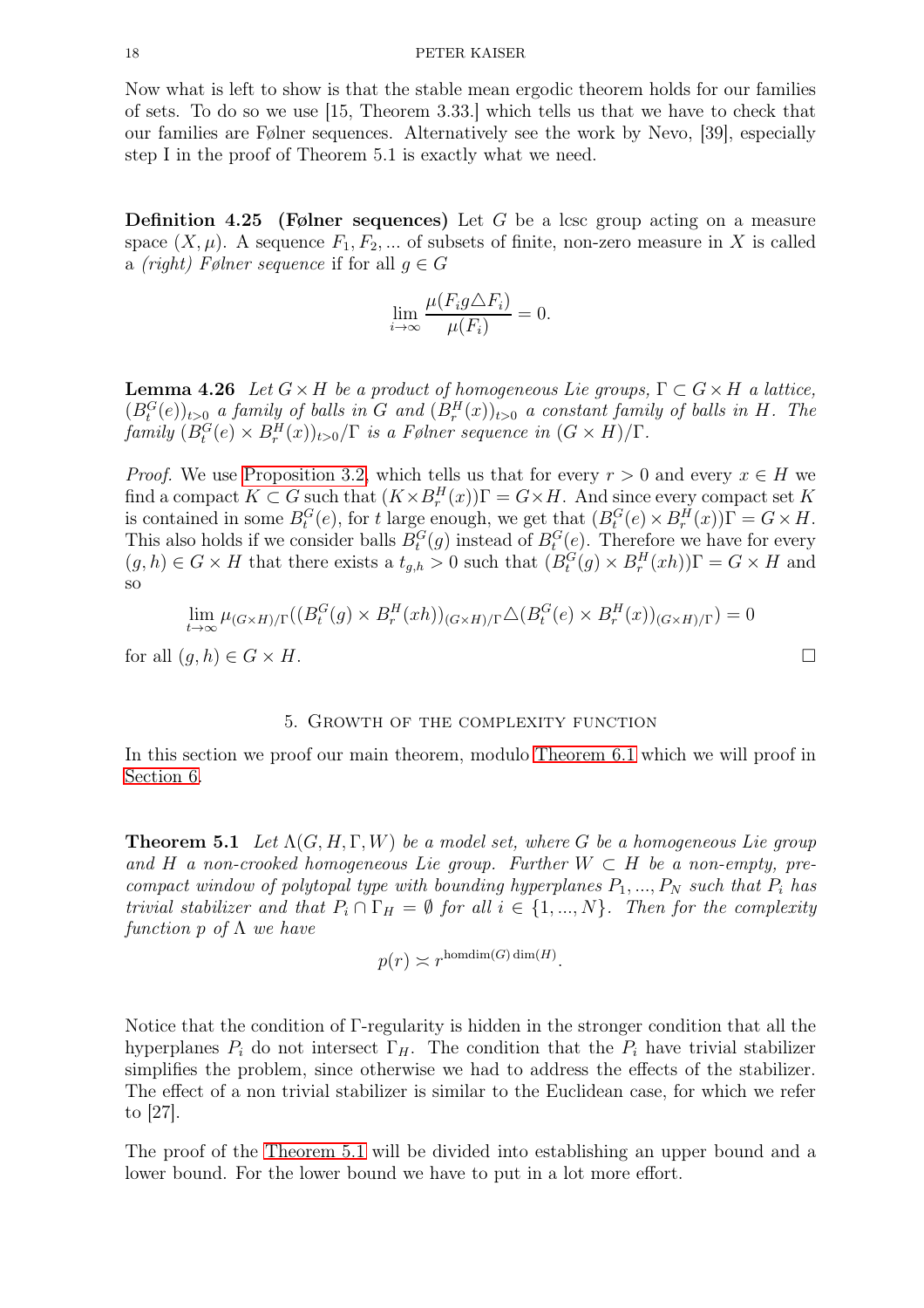Now what is left to show is that the stable mean ergodic theorem holds for our families of sets. To do so we use [15, Theorem 3.33.] which tells us that we have to check that our families are Følner sequences. Alternatively see the work by Nevo, [39], especially step I in the proof of Theorem 5.1 is exactly what we need.

**Definition 4.25** (Følner sequences) Let G be a lcsc group acting on a measure space  $(X, \mu)$ . A sequence  $F_1, F_2, \dots$  of subsets of finite, non-zero measure in X is called a *(right)* Følner sequence if for all  $q \in G$ 

$$
\lim_{i \to \infty} \frac{\mu(F_i g \triangle F_i)}{\mu(F_i)} = 0.
$$

**Lemma 4.26** Let  $G \times H$  be a product of homogeneous Lie groups,  $\Gamma \subset G \times H$  a lattice,  $(B_t^G(e))_{t>0}$  a family of balls in G and  $(B_r^H(x))_{t>0}$  a constant family of balls in H. The  $family (B_t^G(e) \times B_r^H(x))_{t>0}/\Gamma$  is a Følner sequence in  $(G \times H)/\Gamma$ .

*Proof.* We use [Proposition 3.2,](#page-9-2) which tells us that for every  $r > 0$  and every  $x \in H$  we find a compact  $K \subset G$  such that  $(K \times B_r^H(x))\Gamma = G \times H$ . And since every compact set K is contained in some  $B_t^G(e)$ , for t large enough, we get that  $(B_t^G(e) \times B_r^H(x))\Gamma = G \times H$ . This also holds if we consider balls  $B_t^G(g)$  instead of  $B_t^G(e)$ . Therefore we have for every  $(g, h) \in G \times H$  that there exists a  $t_{g,h} > 0$  such that  $(B_t^G(g) \times B_r^H(xh))\Gamma = G \times H$  and so

$$
\lim_{t \to \infty} \mu_{(G \times H)/\Gamma}((B_t^G(g) \times B_r^H(xh))_{(G \times H)/\Gamma} \triangle (B_t^G(e) \times B_r^H(x))_{(G \times H)/\Gamma}) = 0
$$

<span id="page-17-0"></span>for all  $(q, h) \in G \times H$ .

#### 5. Growth of the complexity function

<span id="page-17-1"></span>In this section we proof our main theorem, modulo [Theorem 6.1](#page-26-1) which we will proof in [Section 6.](#page-26-0)

**Theorem 5.1** Let  $\Lambda(G, H, \Gamma, W)$  be a model set, where G be a homogeneous Lie group and H a non-crooked homogeneous Lie group. Further  $W \subset H$  be a non-empty, precompact window of polytopal type with bounding hyperplanes  $P_1, ..., P_N$  such that  $P_i$  has trivial stabilizer and that  $P_i \cap \Gamma_H = \emptyset$  for all  $i \in \{1, ..., N\}$ . Then for the complexity function p of  $\Lambda$  we have

$$
p(r) \asymp r^{\text{homdim}(G)\dim(H)}.
$$

Notice that the condition of Γ-regularity is hidden in the stronger condition that all the hyperplanes  $P_i$  do not intersect  $\Gamma_H$ . The condition that the  $P_i$  have trivial stabilizer simplifies the problem, since otherwise we had to address the effects of the stabilizer. The effect of a non trivial stabilizer is similar to the Euclidean case, for which we refer to [27].

The proof of the [Theorem 5.1](#page-17-1) will be divided into establishing an upper bound and a lower bound. For the lower bound we have to put in a lot more effort.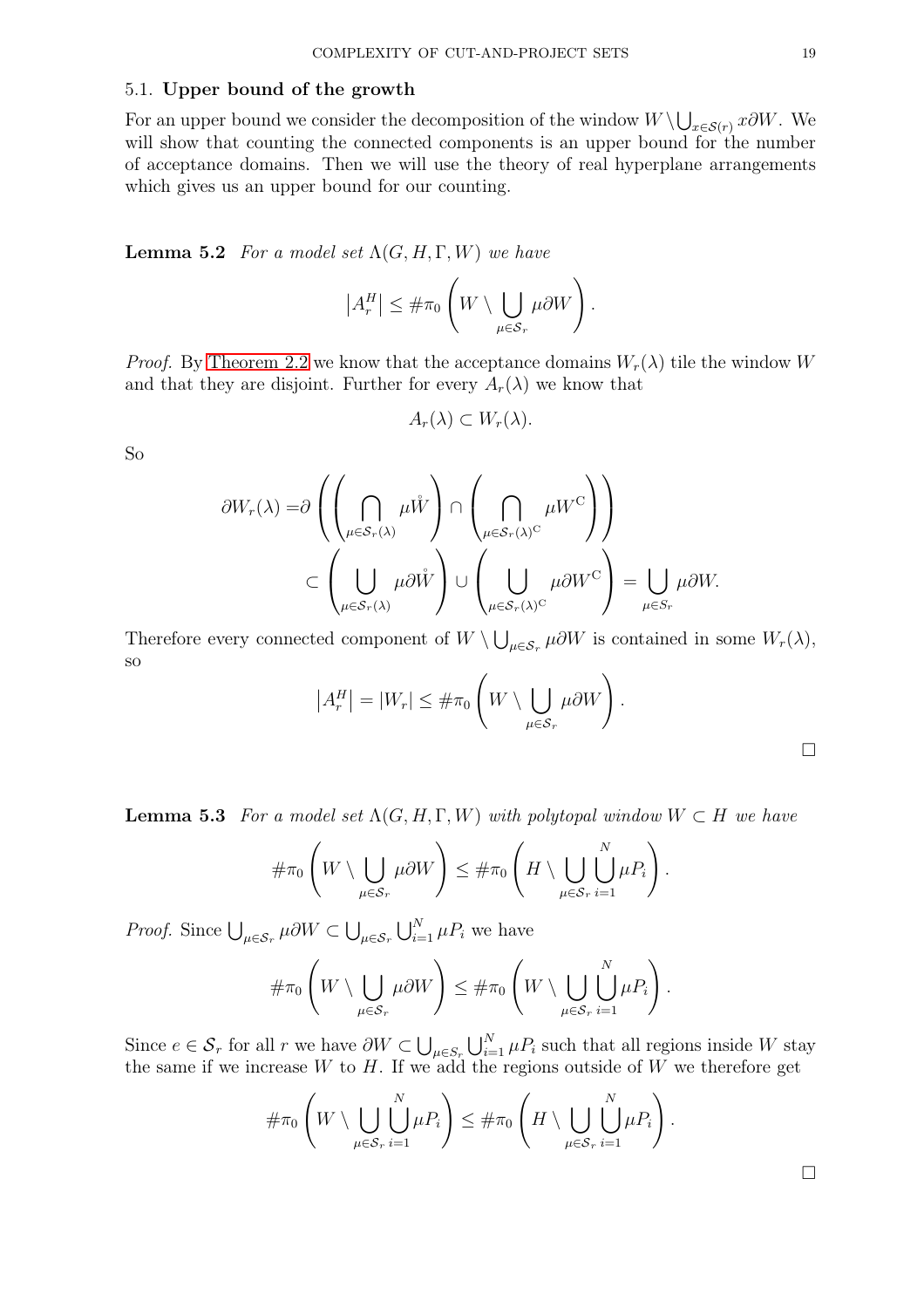## 5.1. Upper bound of the growth

For an upper bound we consider the decomposition of the window  $W \setminus \bigcup_{x \in S(r)} x \partial W$ . We will show that counting the connected components is an upper bound for the number of acceptance domains. Then we will use the theory of real hyperplane arrangements which gives us an upper bound for our counting.

**Lemma 5.2** For a model set  $\Lambda(G, H, \Gamma, W)$  we have

$$
|A_r^H| \leq \#\pi_0 \left(W \setminus \bigcup_{\mu \in \mathcal{S}_r} \mu \partial W\right).
$$

*Proof.* By [Theorem 2.2](#page-6-2) we know that the acceptance domains  $W_r(\lambda)$  tile the window W and that they are disjoint. Further for every  $A_r(\lambda)$  we know that

$$
A_r(\lambda) \subset W_r(\lambda).
$$

So

$$
\partial W_r(\lambda) = \partial \left( \left( \bigcap_{\mu \in S_r(\lambda)} \mu \mathring{W} \right) \cap \left( \bigcap_{\mu \in S_r(\lambda)^C} \mu W^C \right) \right)
$$
  

$$
\subset \left( \bigcup_{\mu \in S_r(\lambda)} \mu \partial \mathring{W} \right) \cup \left( \bigcup_{\mu \in S_r(\lambda)^C} \mu \partial W^C \right) = \bigcup_{\mu \in S_r} \mu \partial W.
$$

Therefore every connected component of  $W \setminus \bigcup_{\mu \in S_r} \mu \partial W$  is contained in some  $W_r(\lambda)$ , so

$$
|A_r^H| = |W_r| \leq #\pi_0 \left(W \setminus \bigcup_{\mu \in \mathcal{S}_r} \mu \partial W\right).
$$

**Lemma 5.3** For a model set  $\Lambda(G, H, \Gamma, W)$  with polytopal window  $W \subset H$  we have

$$
\#\pi_0\left(W\setminus\bigcup_{\mu\in\mathcal{S}_r}\mu\partial W\right)\leq\#\pi_0\left(H\setminus\bigcup_{\mu\in\mathcal{S}_r}\bigcup_{i=1}^N\mu P_i\right).
$$

*Proof.* Since  $\bigcup_{\mu \in S_r} \mu \partial W \subset \bigcup_{\mu \in S_r} \bigcup_{i=1}^N \mu P_i$  we have

$$
\#\pi_0\left(W\setminus\bigcup_{\mu\in\mathcal{S}_r}\mu\partial W\right)\leq \#\pi_0\left(W\setminus\bigcup_{\mu\in\mathcal{S}_r}\bigcup_{i=1}^N\mu P_i\right).
$$

Since  $e \in \mathcal{S}_r$  for all r we have  $\partial W \subset \bigcup_{\mu \in \mathcal{S}_r} \bigcup_{i=1}^N \mu P_i$  such that all regions inside W stay the same if we increase  $W$  to  $H$ . If we add the regions outside of  $W$  we therefore get

$$
\#\pi_0\left(W\setminus\bigcup_{\mu\in\mathcal{S}_r}\bigcup_{i=1}^N\mu P_i\right)\leq \#\pi_0\left(H\setminus\bigcup_{\mu\in\mathcal{S}_r}\bigcup_{i=1}^N\mu P_i\right).
$$

 $\Box$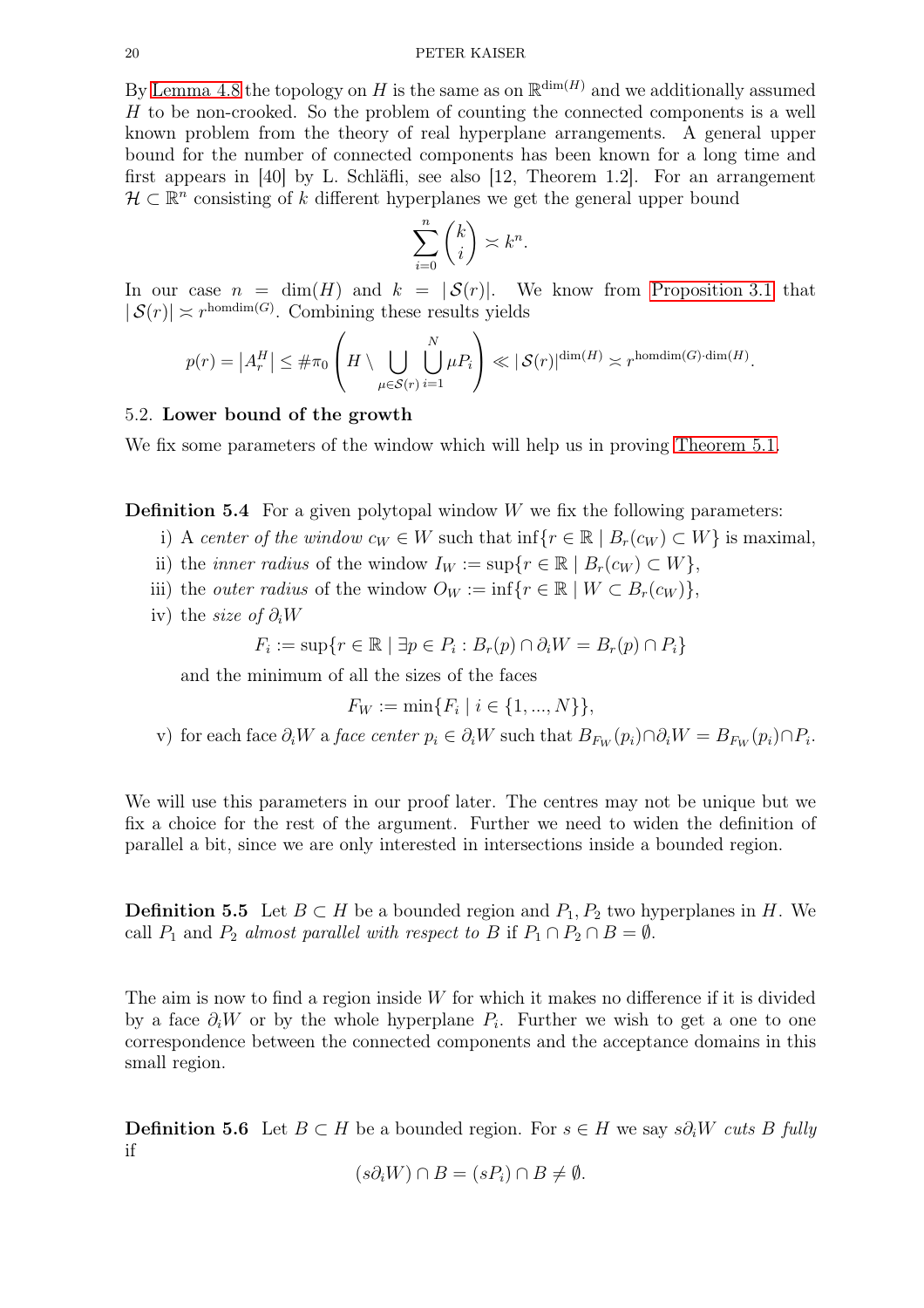By [Lemma 4.8](#page-13-1) the topology on H is the same as on  $\mathbb{R}^{\dim(H)}$  and we additionally assumed H to be non-crooked. So the problem of counting the connected components is a well known problem from the theory of real hyperplane arrangements. A general upper bound for the number of connected components has been known for a long time and first appears in [40] by L. Schläfli, see also [12, Theorem 1.2]. For an arrangement  $\mathcal{H} \subset \mathbb{R}^n$  consisting of k different hyperplanes we get the general upper bound

$$
\sum_{i=0}^{n} \binom{k}{i} \asymp k^{n}.
$$

In our case  $n = \dim(H)$  and  $k = |S(r)|$ . We know from [Proposition 3.1](#page-9-1) that  $|\mathcal{S}(r)| \asymp r^{\text{homdim}(G)}$ . Combining these results yields

$$
p(r) = |A_r^H| \leq #\pi_0 \left( H \setminus \bigcup_{\mu \in \mathcal{S}(r)} \bigcup_{i=1}^N \mu P_i \right) \ll |\mathcal{S}(r)|^{\dim(H)} \asymp r^{\text{homdim}(G) \cdot \dim(H)}.
$$

### <span id="page-19-0"></span>5.2. Lower bound of the growth

We fix some parameters of the window which will help us in proving [Theorem 5.1.](#page-17-1)

**Definition 5.4** For a given polytopal window  $W$  we fix the following parameters:

- i) A center of the window  $c_W \in W$  such that inf $\{r \in \mathbb{R} \mid B_r(c_W) \subset W\}$  is maximal,
- ii) the *inner radius* of the window  $I_W := \sup\{r \in \mathbb{R} \mid B_r(c_W) \subset W\},\$
- iii) the *outer radius* of the window  $O_W := \inf\{r \in \mathbb{R} \mid W \subset B_r(c_W)\}\,$
- iv) the *size* of  $\partial_i W$

$$
F_i := \sup\{r \in \mathbb{R} \mid \exists p \in P_i : B_r(p) \cap \partial_i W = B_r(p) \cap P_i\}
$$

and the minimum of all the sizes of the faces

$$
F_W := \min\{F_i \mid i \in \{1, ..., N\}\},\
$$

v) for each face  $\partial_i W$  a *face center*  $p_i \in \partial_i W$  such that  $B_{F_W}(p_i) \cap \partial_i W = B_{F_W}(p_i) \cap P_i$ .

We will use this parameters in our proof later. The centres may not be unique but we fix a choice for the rest of the argument. Further we need to widen the definition of parallel a bit, since we are only interested in intersections inside a bounded region.

**Definition 5.5** Let  $B \subset H$  be a bounded region and  $P_1, P_2$  two hyperplanes in H. We call  $P_1$  and  $P_2$  almost parallel with respect to B if  $P_1 \cap P_2 \cap B = \emptyset$ .

The aim is now to find a region inside  $W$  for which it makes no difference if it is divided by a face  $\partial_i W$  or by the whole hyperplane  $P_i$ . Further we wish to get a one to one correspondence between the connected components and the acceptance domains in this small region.

**Definition 5.6** Let  $B \subset H$  be a bounded region. For  $s \in H$  we say  $s\partial_i W$  cuts B fully if

$$
(s\partial_i W) \cap B = (sP_i) \cap B \neq \emptyset.
$$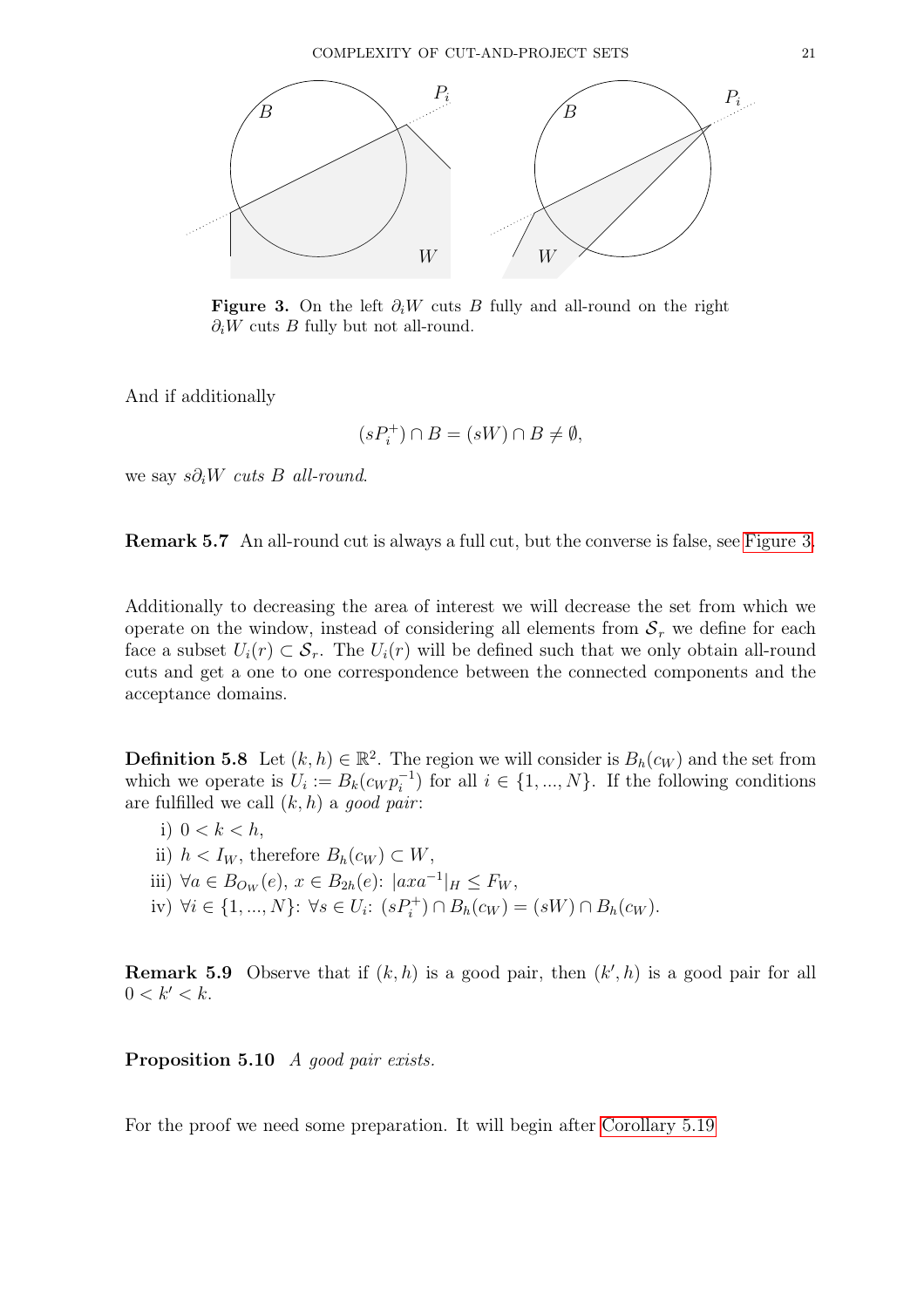<span id="page-20-1"></span>

Figure 3. On the left  $\partial_i W$  cuts B fully and all-round on the right  $\partial_i W$  cuts B fully but not all-round.

And if additionally

$$
(sP_i^+) \cap B = (sW) \cap B \neq \emptyset,
$$

we say  $s\partial_i W$  cuts B all-round.

Remark 5.7 An all-round cut is always a full cut, but the converse is false, see [Figure 3.](#page-20-1)

Additionally to decreasing the area of interest we will decrease the set from which we operate on the window, instead of considering all elements from  $S_r$  we define for each face a subset  $U_i(r) \subset \mathcal{S}_r$ . The  $U_i(r)$  will be defined such that we only obtain all-round cuts and get a one to one correspondence between the connected components and the acceptance domains.

<span id="page-20-2"></span>**Definition 5.8** Let  $(k, h) \in \mathbb{R}^2$ . The region we will consider is  $B_h(c_W)$  and the set from which we operate is  $U_i := B_k(c_W p_i^{-1})$  for all  $i \in \{1, ..., N\}$ . If the following conditions are fulfilled we call  $(k, h)$  a good pair:

- i)  $0 < k < h$ ,
- ii)  $h < I_W$ , therefore  $B_h(c_W) \subset W$ ,
- iii)  $\forall a \in B_{O_W}(e), x \in B_{2h}(e): |axa^{-1}|_H \leq F_W,$
- iv)  $\forall i \in \{1, ..., N\}$ :  $\forall s \in U_i$ :  $(sP_i^+) \cap B_h(c_W) = (sW) \cap B_h(c_W)$ .

**Remark 5.9** Observe that if  $(k, h)$  is a good pair, then  $(k', h)$  is a good pair for all  $0 < k' < k$ .

<span id="page-20-3"></span>Proposition 5.10 A good pair exists.

<span id="page-20-0"></span>For the proof we need some preparation. It will begin after [Corollary 5.19](#page-22-0)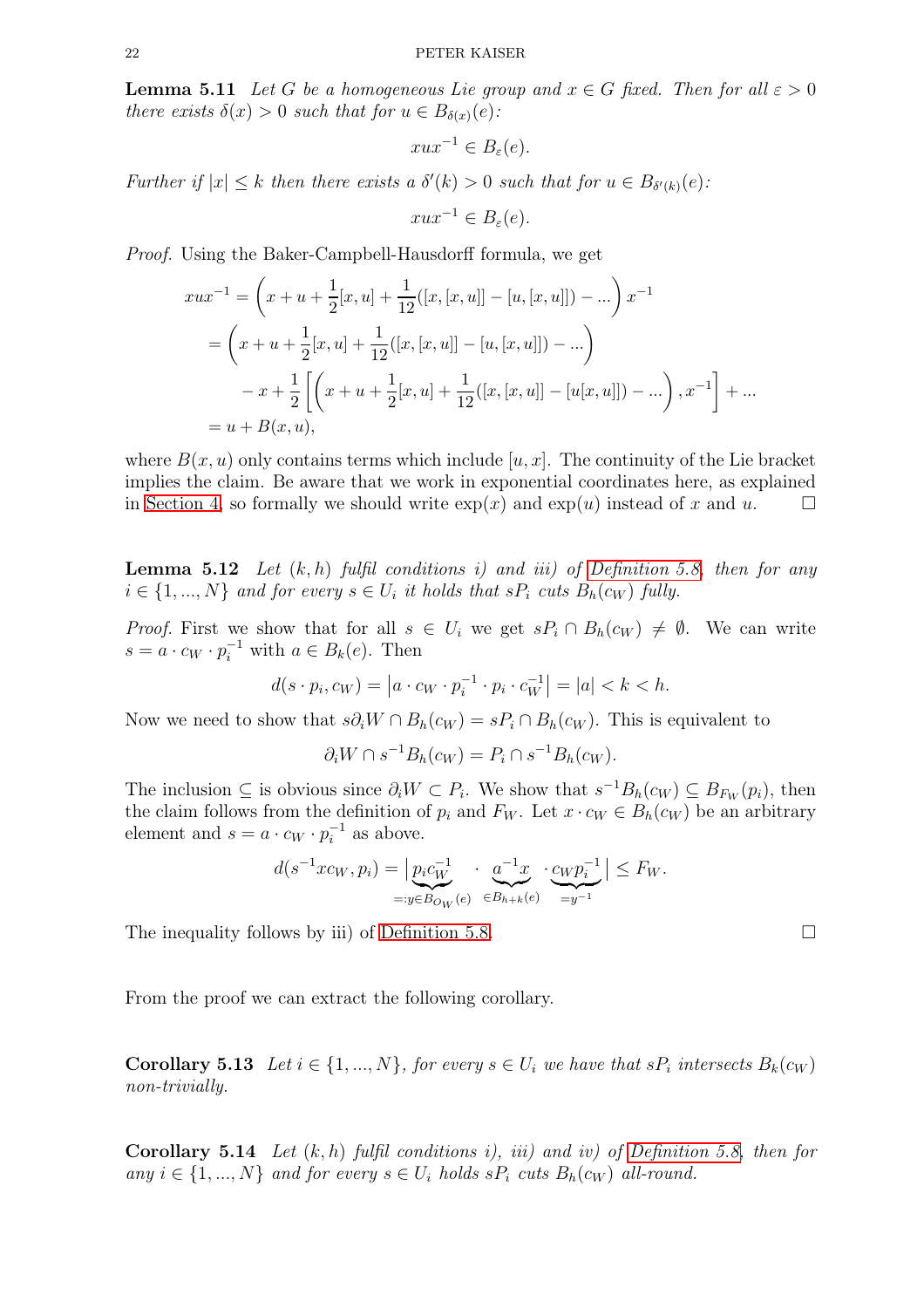**Lemma 5.11** Let G be a homogeneous Lie group and  $x \in G$  fixed. Then for all  $\varepsilon > 0$ there exists  $\delta(x) > 0$  such that for  $u \in B_{\delta(x)}(e)$ :

$$
xux^{-1} \in B_{\varepsilon}(e).
$$

Further if  $|x| \leq k$  then there exists a  $\delta'(k) > 0$  such that for  $u \in B_{\delta'(k)}(e)$ :

$$
xux^{-1} \in B_{\varepsilon}(e).
$$

Proof. Using the Baker-Campbell-Hausdorff formula, we get

$$
xux^{-1} = \left(x + u + \frac{1}{2}[x, u] + \frac{1}{12}([x, [x, u]] - [u, [x, u]]) - ...\right)x^{-1}
$$
  
=  $\left(x + u + \frac{1}{2}[x, u] + \frac{1}{12}([x, [x, u]] - [u, [x, u]]) - ...\right)$   
 $-x + \frac{1}{2}\left[\left(x + u + \frac{1}{2}[x, u] + \frac{1}{12}([x, [x, u]] - [u[x, u]]) - ...\right), x^{-1}\right] + ...$   
=  $u + B(x, u),$ 

where  $B(x, u)$  only contains terms which include  $[u, x]$ . The continuity of the Lie bracket implies the claim. Be aware that we work in exponential coordinates here, as explained in [Section 4,](#page-11-0) so formally we should write  $\exp(x)$  and  $\exp(u)$  instead of x and u.

<span id="page-21-0"></span>**Lemma 5.12** Let  $(k, h)$  fulfil conditions i) and iii) of [Definition 5.8,](#page-20-2) then for any  $i \in \{1, ..., N\}$  and for every  $s \in U_i$  it holds that  $sP_i$  cuts  $B_h(c_W)$  fully.

*Proof.* First we show that for all  $s \in U_i$  we get  $sP_i \cap B_h(c_W) \neq \emptyset$ . We can write  $s = a \cdot c_W \cdot p_i^{-1}$  with  $a \in B_k(e)$ . Then

$$
d(s \cdot p_i, c_W) = |a \cdot c_W \cdot p_i^{-1} \cdot p_i \cdot c_W^{-1}| = |a| < k < h.
$$

Now we need to show that  $s\partial_i W \cap B_h(c_W) = sP_i \cap B_h(c_W)$ . This is equivalent to

$$
\partial_i W \cap s^{-1} B_h(c_W) = P_i \cap s^{-1} B_h(c_W).
$$

The inclusion  $\subseteq$  is obvious since  $\partial_i W \subset P_i$ . We show that  $s^{-1}B_h(c_W) \subseteq B_{F_W}(p_i)$ , then the claim follows from the definition of  $p_i$  and  $F_W$ . Let  $x \cdot c_W \in B_h(c_W)$  be an arbitrary element and  $s = a \cdot c_W \cdot p_i^{-1}$  as above.

$$
d(s^{-1}xc_W, p_i) = \left| \underbrace{p_i c_W^{-1}}_{=:y \in B_{O_W}(e)} \cdot \underbrace{a^{-1}x}_{\in B_{h+k}(e)} \cdot \underbrace{c_W p_i^{-1}}_{=y^{-1}} \right| \leq F_W.
$$

The inequality follows by iii) of [Definition 5.8.](#page-20-2)  $\Box$ 

<span id="page-21-1"></span>From the proof we can extract the following corollary.

**Corollary 5.13** Let  $i \in \{1, ..., N\}$ , for every  $s \in U_i$  we have that  $sP_i$  intersects  $B_k(c_W)$ non-trivially.

**Corollary 5.14** Let  $(k, h)$  fulfil conditions i), iii) and iv) of [Definition 5.8,](#page-20-2) then for any  $i \in \{1, ..., N\}$  and for every  $s \in U_i$  holds  $sP_i$  cuts  $B_h(c_W)$  all-round.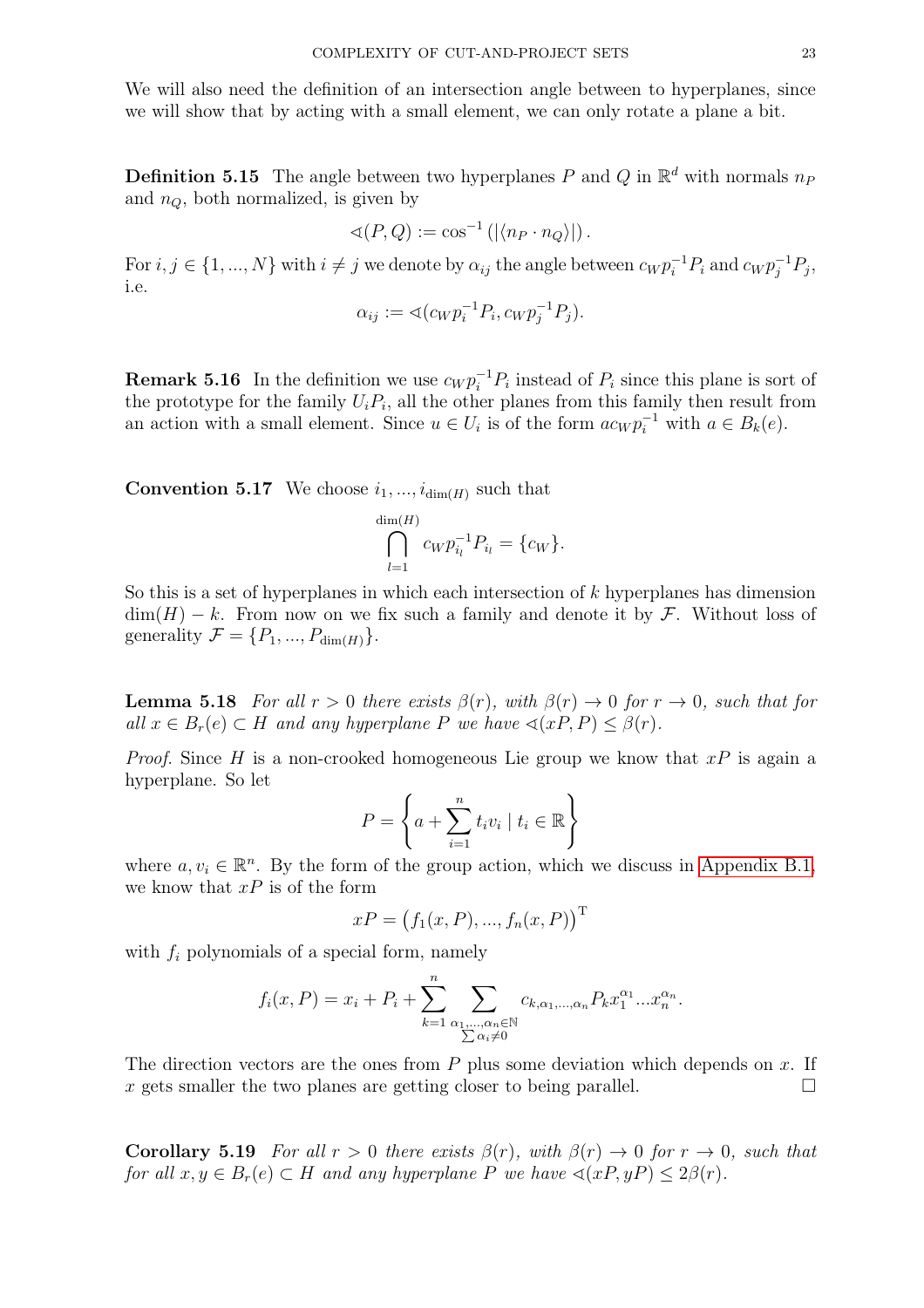We will also need the definition of an intersection angle between to hyperplanes, since we will show that by acting with a small element, we can only rotate a plane a bit.

**Definition 5.15** The angle between two hyperplanes P and Q in  $\mathbb{R}^d$  with normals  $n_F$ and  $n_Q$ , both normalized, is given by

$$
\triangleleft(P,Q) := \cos^{-1}\left(\left|\langle n_P \cdot n_Q \rangle\right|\right).
$$

For  $i, j \in \{1, ..., N\}$  with  $i \neq j$  we denote by  $\alpha_{ij}$  the angle between  $c_W p_i^{-1} P_i$  and  $c_W p_j^{-1} P_j$ , i.e.

$$
\alpha_{ij} := \langle (c_W p_i^{-1} P_i, c_W p_j^{-1} P_j).
$$

**Remark 5.16** In the definition we use  $c_W p_i^{-1} P_i$  instead of  $P_i$  since this plane is sort of the prototype for the family  $U_i P_i$ , all the other planes from this family then result from an action with a small element. Since  $u \in U_i$  is of the form  $ac_W p_i^{-1}$  with  $a \in B_k(e)$ .

**Convention 5.17** We choose  $i_1, ..., i_{dim(H)}$  such that

$$
\bigcap_{l=1}^{\dim(H)} c_W p_{i_l}^{-1} P_{i_l} = \{c_W\}.
$$

So this is a set of hyperplanes in which each intersection of  $k$  hyperplanes has dimension  $\dim(H) - k$ . From now on we fix such a family and denote it by F. Without loss of generality  $\mathcal{F} = \{P_1, ..., P_{\dim(H)}\}.$ 

<span id="page-22-1"></span>**Lemma 5.18** For all  $r > 0$  there exists  $\beta(r)$ , with  $\beta(r) \rightarrow 0$  for  $r \rightarrow 0$ , such that for all  $x \in B_r(e) \subset H$  and any hyperplane P we have  $\triangleleft(xP, P) \leq \beta(r)$ .

*Proof.* Since H is a non-crooked homogeneous Lie group we know that  $xP$  is again a hyperplane. So let

$$
P = \left\{ a + \sum_{i=1}^{n} t_i v_i \mid t_i \in \mathbb{R} \right\}
$$

where  $a, v_i \in \mathbb{R}^n$ . By the form of the group action, which we discuss in [Appendix](#page-38-0) B.1, we know that  $xP$  is of the form

$$
xP = (f_1(x, P), ..., f_n(x, P))^T
$$

with  $f_i$  polynomials of a special form, namely

$$
f_i(x, P) = x_i + P_i + \sum_{k=1}^n \sum_{\substack{\alpha_1, \dots, \alpha_n \in \mathbb{N} \\ \sum \alpha_i \neq 0}} c_{k, \alpha_1, \dots, \alpha_n} P_k x_1^{\alpha_1} \dots x_n^{\alpha_n}.
$$

The direction vectors are the ones from  $P$  plus some deviation which depends on  $x$ . If x gets smaller the two planes are getting closer to being parallel.

<span id="page-22-0"></span>**Corollary 5.19** For all  $r > 0$  there exists  $\beta(r)$ , with  $\beta(r) \rightarrow 0$  for  $r \rightarrow 0$ , such that for all  $x, y \in B_r(e) \subset H$  and any hyperplane P we have  $\triangleleft(xP, yP) \leq 2\beta(r)$ .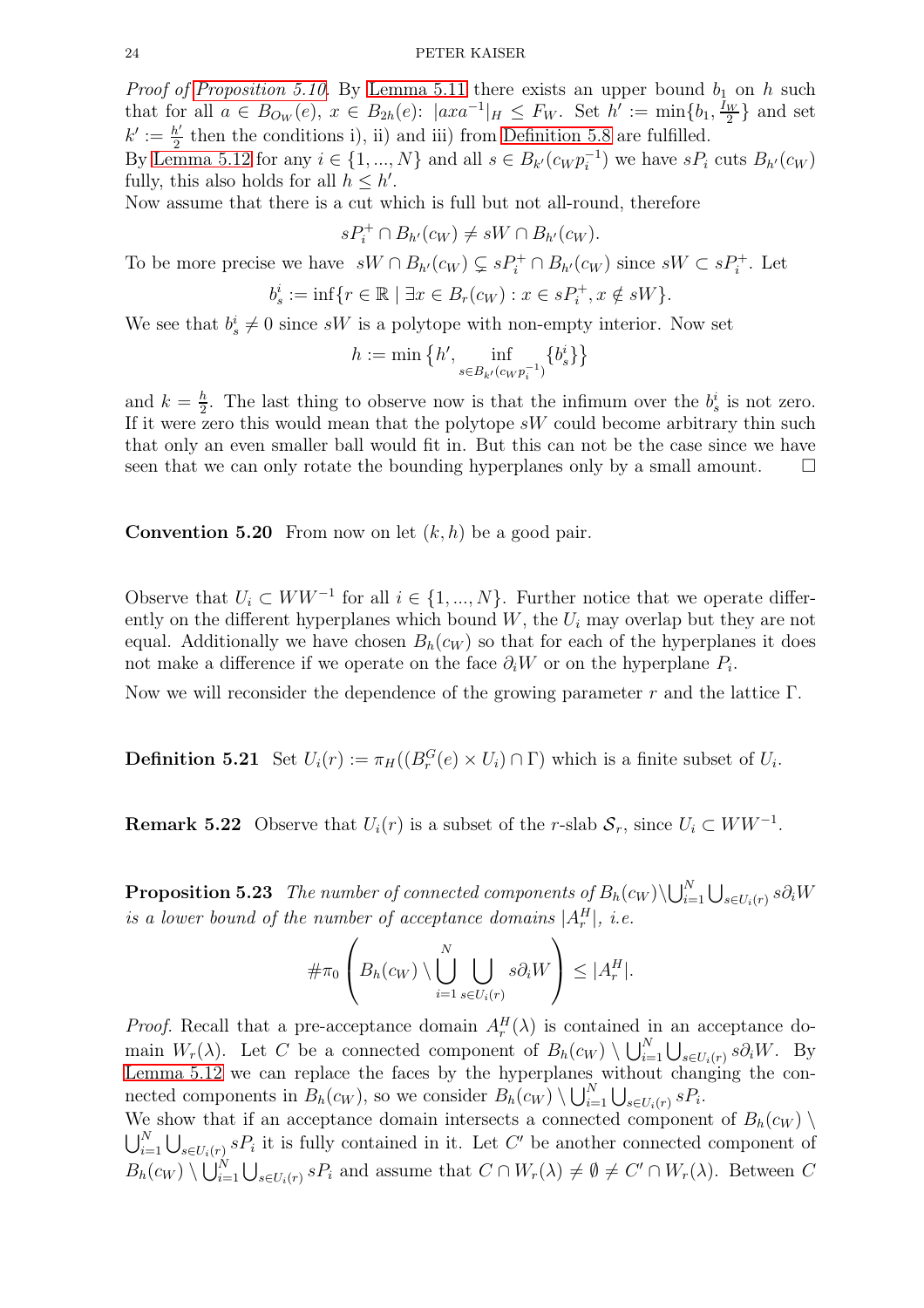*Proof of [Proposition 5.10.](#page-20-3)* By [Lemma 5.11](#page-20-0) there exists an upper bound  $b_1$  on h such that for all  $a \in B_{O_W}(e)$ ,  $x \in B_{2h}(e)$ :  $|axa^{-1}|_H \leq F_W$ . Set  $h' := \min\{b_1, \frac{I_W}{2}\}$  $\frac{w}{2}$  and set  $k' := \frac{h'}{2}$  $\frac{b'}{2}$  then the conditions i), ii) and iii) from [Definition 5.8](#page-20-2) are fulfilled.

By [Lemma 5.12](#page-21-0) for any  $i \in \{1, ..., N\}$  and all  $s \in B_{k'}(c_W p_i^{-1})$  we have  $sP_i$  cuts  $B_{h'}(c_W)$ fully, this also holds for all  $h \leq h'$ .

Now assume that there is a cut which is full but not all-round, therefore

 $sP_i^+ \cap B_{h'}(c_W) \neq sW \cap B_{h'}(c_W).$ 

To be more precise we have  $sW \cap B_{h'}(c_W) \subsetneq sP_i^+ \cap B_{h'}(c_W)$  since  $sW \subset sP_i^+$ . Let

$$
b_s^i := \inf \{ r \in \mathbb{R} \mid \exists x \in B_r(c_W) : x \in sP_i^+, x \notin sW \}.
$$

We see that  $b_s^i \neq 0$  since sW is a polytope with non-empty interior. Now set

$$
h := \min \left\{ h', \inf_{s \in B_{k'}(c_W p_i^{-1})} \{b_s^i\} \right\}
$$

and  $k=\frac{h}{2}$  $\frac{h}{2}$ . The last thing to observe now is that the infimum over the  $b_s^i$  is not zero. If it were zero this would mean that the polytope  $sW$  could become arbitrary thin such that only an even smaller ball would fit in. But this can not be the case since we have seen that we can only rotate the bounding hyperplanes only by a small amount.  $\square$ 

**Convention 5.20** From now on let  $(k, h)$  be a good pair.

Observe that  $U_i \subset WW^{-1}$  for all  $i \in \{1, ..., N\}$ . Further notice that we operate differently on the different hyperplanes which bound  $W$ , the  $U_i$  may overlap but they are not equal. Additionally we have chosen  $B_h(c_W)$  so that for each of the hyperplanes it does not make a difference if we operate on the face  $\partial_i W$  or on the hyperplane  $P_i$ .

Now we will reconsider the dependence of the growing parameter r and the lattice  $\Gamma$ .

**Definition 5.21** Set  $U_i(r) := \pi_H((B_r^G(e) \times U_i) \cap \Gamma)$  which is a finite subset of  $U_i$ .

**Remark 5.22** Observe that  $U_i(r)$  is a subset of the r-slab  $S_r$ , since  $U_i \subset WW^{-1}$ .

<span id="page-23-0"></span>**Proposition 5.23** The number of connected components of  $B_h(c_W) \setminus \bigcup_{i=1}^N \bigcup_{s \in U_i(r)} s \partial_i W_s$ is a lower bound of the number of acceptance domains  $|A_r^H|$ , i.e.

$$
\#\pi_0\left(B_h(c_W)\setminus\bigcup_{i=1}^N\bigcup_{s\in U_i(r)}s\partial_i W\right)\leq |A_r^H|.
$$

*Proof.* Recall that a pre-acceptance domain  $A_r^H(\lambda)$  is contained in an acceptance domain  $W_r(\lambda)$ . Let C be a connected component of  $B_h(c_W) \setminus \bigcup_{i=1}^N \bigcup_{s \in U_i(r)} s \partial_i W$ . By [Lemma 5.12](#page-21-0) we can replace the faces by the hyperplanes without changing the connected components in  $B_h(c_W)$ , so we consider  $B_h(c_W) \setminus \bigcup_{i=1}^N \bigcup_{s \in U_i(r)} sP_i$ .

We show that if an acceptance domain intersects a connected component of  $B_h(c_W)$  $\bigcup_{i=1}^N \bigcup_{s \in U_i(r)} sP_i$  it is fully contained in it. Let C' be another connected component of  $B_h(c_W) \setminus \bigcup_{i=1}^N \bigcup_{s \in U_i(r)} sP_i$  and assume that  $C \cap W_r(\lambda) \neq \emptyset \neq C' \cap W_r(\lambda)$ . Between C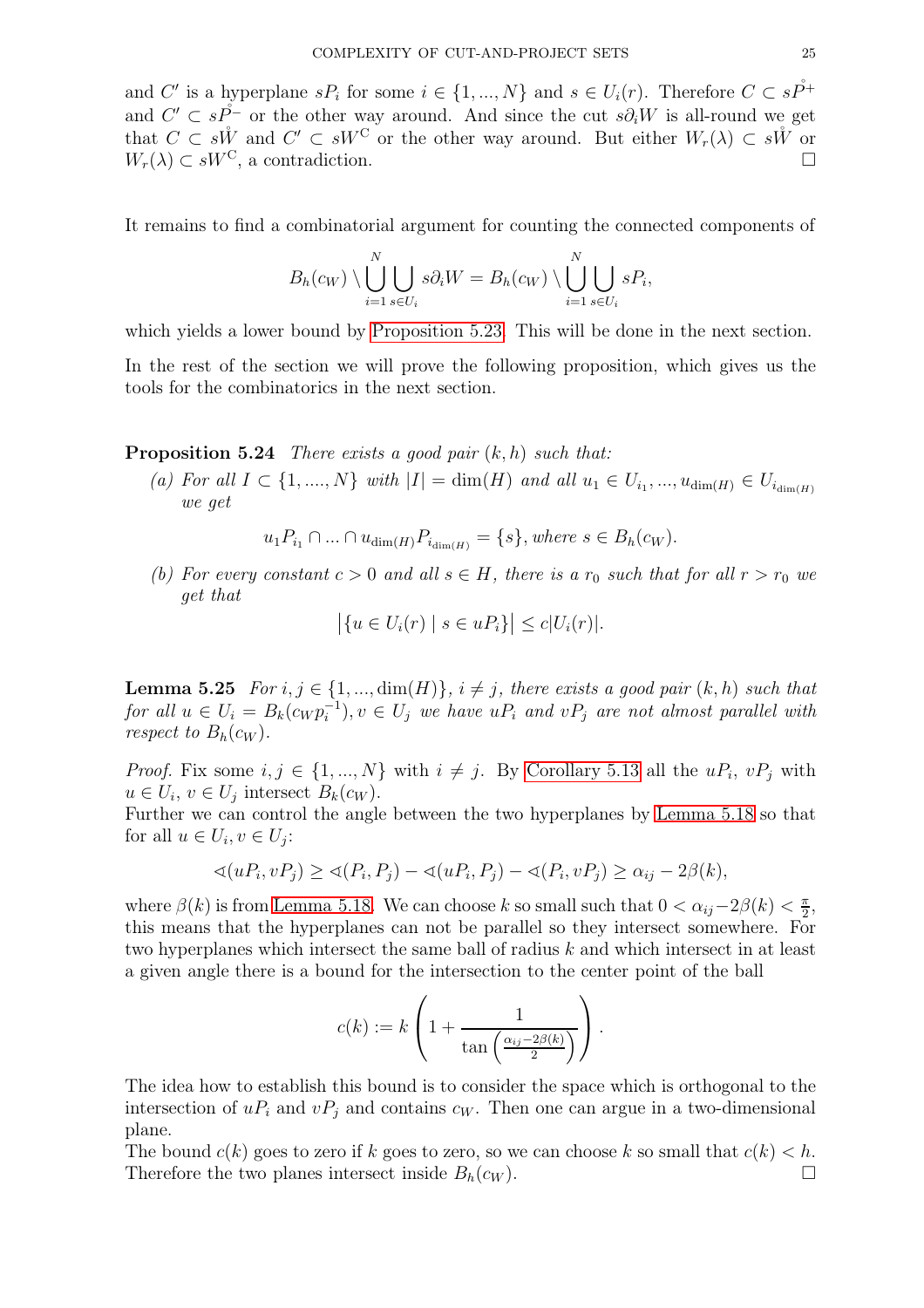and C' is a hyperplane  $sP_i$  for some  $i \in \{1, ..., N\}$  and  $s \in U_i(r)$ . Therefore  $C \subset s\tilde{P}^+$ and  $C' \subset s\mathring{P}^-$  or the other way around. And since the cut  $s\partial_i W$  is all-round we get that  $C \subset s\mathring{W}$  and  $C' \subset sW^C$  or the other way around. But either  $W_r(\lambda) \subset s\mathring{W}$  or  $W_r(\lambda) \subset sW^C$ , a contradiction.

It remains to find a combinatorial argument for counting the connected components of

$$
B_h(c_W) \setminus \bigcup_{i=1}^N \bigcup_{s \in U_i} s \partial_i W = B_h(c_W) \setminus \bigcup_{i=1}^N \bigcup_{s \in U_i} s P_i,
$$

which yields a lower bound by [Proposition 5.23.](#page-23-0) This will be done in the next section.

<span id="page-24-0"></span>In the rest of the section we will prove the following proposition, which gives us the tools for the combinatorics in the next section.

**Proposition 5.24** There exists a good pair  $(k, h)$  such that:

(a) For all  $I \subset \{1, ..., N\}$  with  $|I| = \dim(H)$  and all  $u_1 \in U_{i_1}, ..., u_{\dim(H)} \in U_{i_{\dim(H)}}$ we get

 $u_1P_{i_1} \cap ... \cap u_{\dim(H)}P_{i_{\dim(H)}} = \{s\}, where \ s \in B_h(c_W).$ 

(b) For every constant  $c > 0$  and all  $s \in H$ , there is a  $r_0$  such that for all  $r > r_0$  we get that

$$
\left|\{u \in U_i(r) \mid s \in uP_i\}\right| \le c|U_i(r)|.
$$

**Lemma 5.25** For  $i, j \in \{1, ..., dim(H)\}, i \neq j$ , there exists a good pair  $(k, h)$  such that for all  $u \in U_i = B_k(c_W p_i^{-1}), v \in U_j$  we have  $uP_i$  and  $vP_j$  are not almost parallel with respect to  $B_h(c_W)$ .

*Proof.* Fix some  $i, j \in \{1, ..., N\}$  with  $i \neq j$ . By [Corollary 5.13](#page-21-1) all the  $uP_i, vP_j$  with  $u \in U_i$ ,  $v \in U_j$  intersect  $B_k(c_W)$ .

Further we can control the angle between the two hyperplanes by [Lemma 5.18](#page-22-1) so that for all  $u \in U_i, v \in U_j$ :

$$
\sphericalangle(uP_i, vP_j) \geq \sphericalangle(P_i, P_j) - \sphericalangle(uP_i, P_j) - \sphericalangle(P_i, vP_j) \geq \alpha_{ij} - 2\beta(k),
$$

where  $\beta(k)$  is from [Lemma 5.18.](#page-22-1) We can choose k so small such that  $0 < \alpha_{ij} - 2\beta(k) < \frac{\pi}{2}$  $\frac{\pi}{2}$ this means that the hyperplanes can not be parallel so they intersect somewhere. For two hyperplanes which intersect the same ball of radius k and which intersect in at least a given angle there is a bound for the intersection to the center point of the ball

$$
c(k) := k \left( 1 + \frac{1}{\tan\left(\frac{\alpha_{ij} - 2\beta(k)}{2}\right)} \right).
$$

The idea how to establish this bound is to consider the space which is orthogonal to the intersection of  $uP_i$  and  $vP_j$  and contains  $c_W$ . Then one can argue in a two-dimensional plane.

The bound  $c(k)$  goes to zero if k goes to zero, so we can choose k so small that  $c(k) < h$ . Therefore the two planes intersect inside  $B_h(c_W)$ .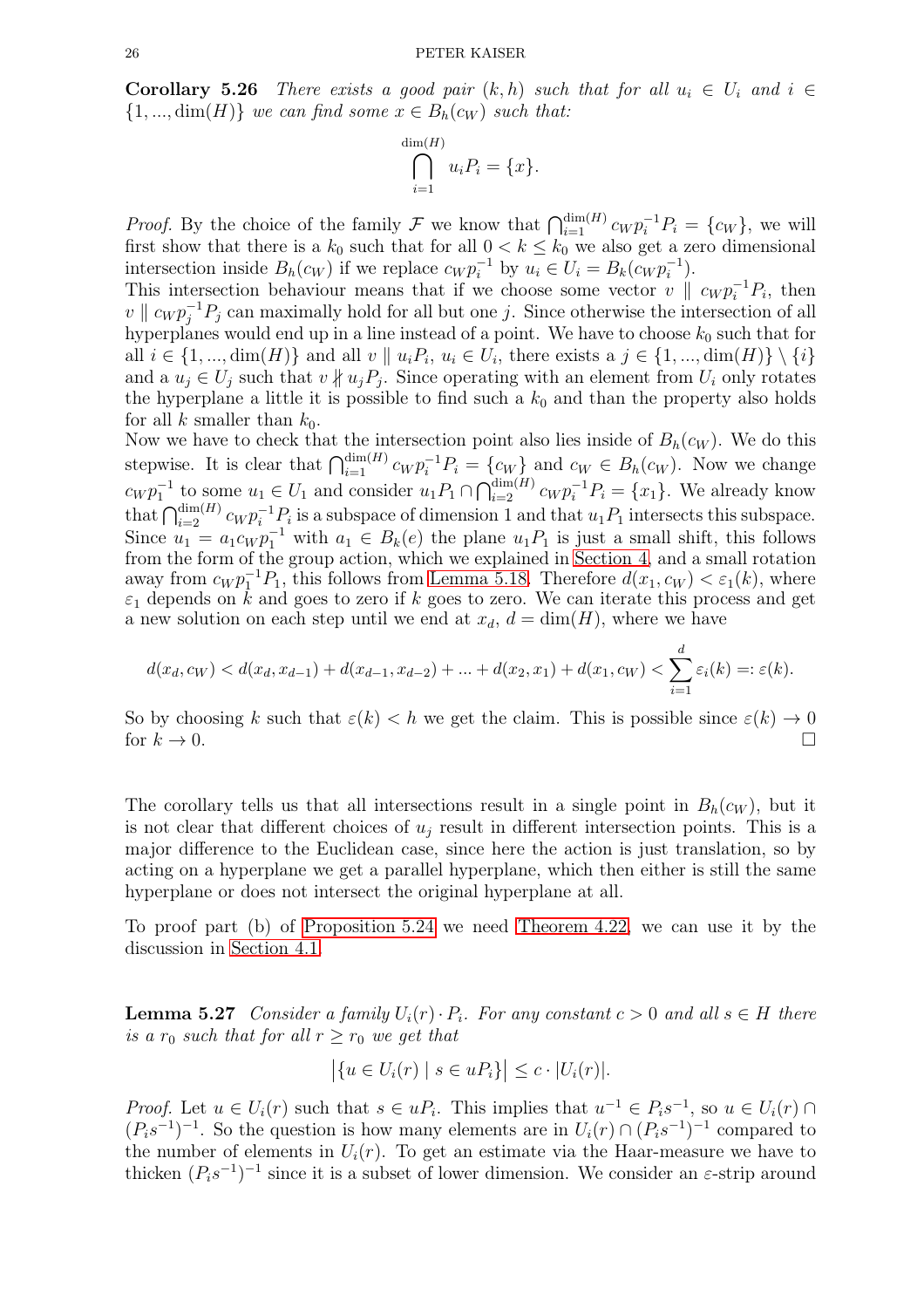**Corollary 5.26** There exists a good pair  $(k, h)$  such that for all  $u_i \in U_i$  and  $i \in$  $\{1, ..., dim(H)\}\$  we can find some  $x \in B_h(c_W)$  such that:

$$
\bigcap_{i=1}^{\dim(H)} u_i P_i = \{x\}.
$$

*Proof.* By the choice of the family F we know that  $\bigcap_{i=1}^{\dim(H)} c_W p_i^{-1} P_i = \{c_W\}$ , we will first show that there is a  $k_0$  such that for all  $0 < k \leq k_0$  we also get a zero dimensional intersection inside  $B_h(c_W)$  if we replace  $c_W p_i^{-1}$  by  $u_i \in U_i = B_k(c_W p_i^{-1})$ .

This intersection behaviour means that if we choose some vector  $v \parallel c_W p_i^{-1} P_i$ , then  $v \parallel c_W p_j^{-1} P_j$  can maximally hold for all but one j. Since otherwise the intersection of all hyperplanes would end up in a line instead of a point. We have to choose  $k_0$  such that for all  $i \in \{1, ..., \dim(H)\}\$  and all  $v \parallel u_iP_i, u_i \in U_i$ , there exists a  $j \in \{1, ..., \dim(H)\}\setminus\{i\}$ and a  $u_j \in U_j$  such that  $v \nparallel u_j P_j$ . Since operating with an element from  $U_i$  only rotates the hyperplane a little it is possible to find such a  $k_0$  and than the property also holds for all k smaller than  $k_0$ .

Now we have to check that the intersection point also lies inside of  $B_h(c_W)$ . We do this stepwise. It is clear that  $\bigcap_{i=1}^{\dim(H)} c_W p_i^{-1} P_i = \{c_W\}$  and  $c_W \in B_h(c_W)$ . Now we change  $c_W p_1^{-1}$  to some  $u_1 \in U_1$  and consider  $u_1 P_1 \cap \bigcap_{i=2}^{\dim(H)} c_W p_i^{-1} P_i = \{x_1\}$ . We already know that  $\bigcap_{i=2}^{\dim(H)} c_W p_i^{-1} P_i$  is a subspace of dimension 1 and that  $u_1 P_1$  intersects this subspace. Since  $u_1 = a_1 c_W p_1^{-1}$  with  $a_1 \in B_k(e)$  the plane  $u_1 P_1$  is just a small shift, this follows from the form of the group action, which we explained in [Section 4,](#page-11-0) and a small rotation away from  $c_W p_1^{-1} P_1$ , this follows from [Lemma 5.18.](#page-22-1) Therefore  $d(x_1, c_W) < \varepsilon_1(k)$ , where  $\varepsilon_1$  depends on k and goes to zero if k goes to zero. We can iterate this process and get a new solution on each step until we end at  $x_d$ ,  $d = \dim(H)$ , where we have

$$
d(x_d, c_W) < d(x_d, x_{d-1}) + d(x_{d-1}, x_{d-2}) + \ldots + d(x_2, x_1) + d(x_1, c_W) < \sum_{i=1}^d \varepsilon_i(k) =: \varepsilon(k).
$$

So by choosing k such that  $\varepsilon(k) < h$  we get the claim. This is possible since  $\varepsilon(k) \to 0$  for  $k \to 0$ . for  $k \to 0$ .

The corollary tells us that all intersections result in a single point in  $B_h(c_W)$ , but it is not clear that different choices of  $u_i$  result in different intersection points. This is a major difference to the Euclidean case, since here the action is just translation, so by acting on a hyperplane we get a parallel hyperplane, which then either is still the same hyperplane or does not intersect the original hyperplane at all.

To proof part (b) of [Proposition 5.24](#page-24-0) we need [Theorem 4.22,](#page-15-1) we can use it by the discussion in [Section 4.1.](#page-15-2)

**Lemma 5.27** Consider a family  $U_i(r) \cdot P_i$ . For any constant  $c > 0$  and all  $s \in H$  there is a  $r_0$  such that for all  $r \ge r_0$  we get that

$$
\left| \{ u \in U_i(r) \mid s \in uP_i \} \right| \leq c \cdot |U_i(r)|.
$$

*Proof.* Let  $u \in U_i(r)$  such that  $s \in uP_i$ . This implies that  $u^{-1} \in P_i s^{-1}$ , so  $u \in U_i(r) \cap$  $(P_i s^{-1})^{-1}$ . So the question is how many elements are in  $U_i(r) \cap (P_i s^{-1})^{-1}$  compared to the number of elements in  $U_i(r)$ . To get an estimate via the Haar-measure we have to thicken  $(P_i s^{-1})^{-1}$  since it is a subset of lower dimension. We consider an  $\varepsilon$ -strip around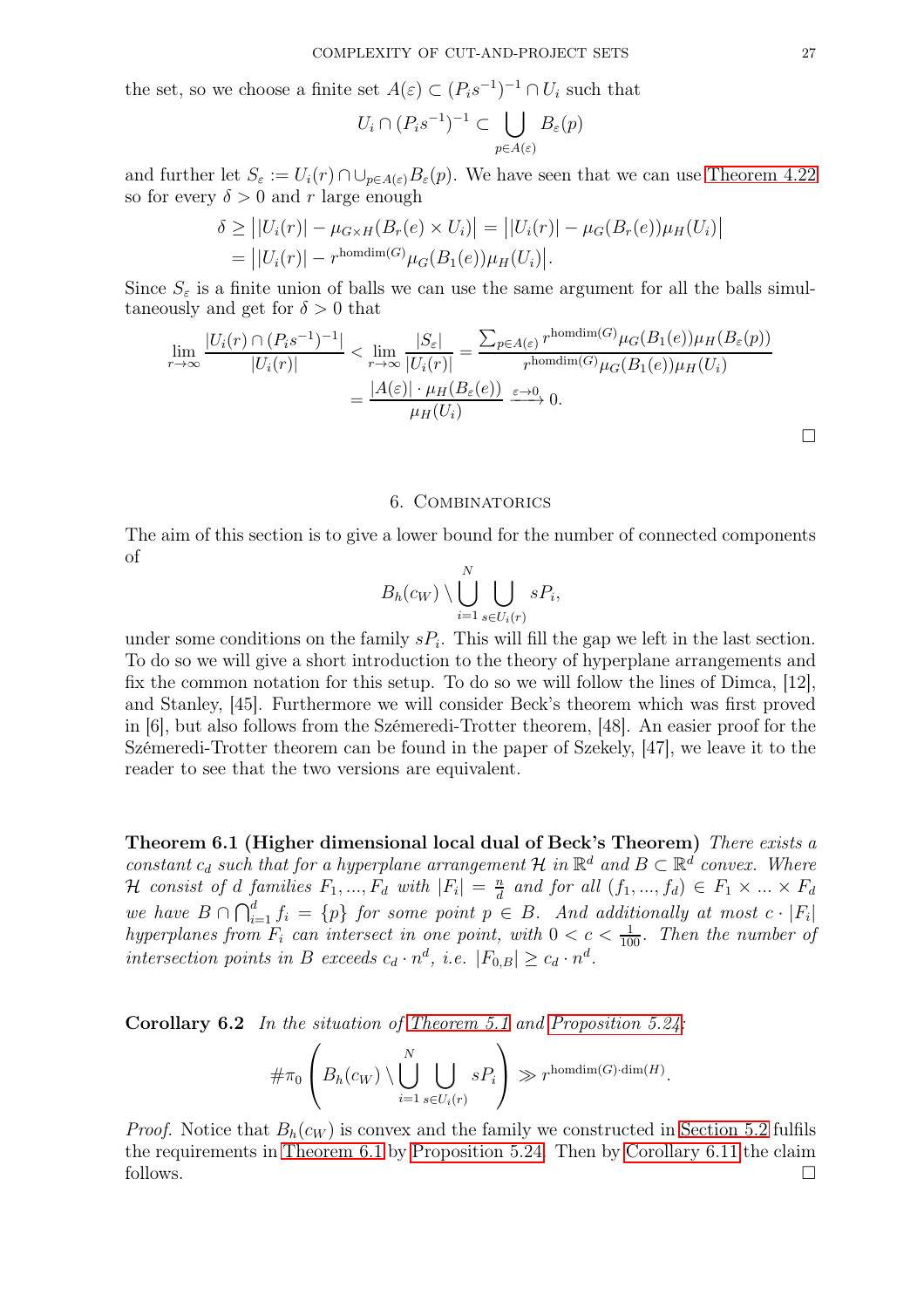the set, so we choose a finite set  $A(\varepsilon) \subset (P_i s^{-1})^{-1} \cap U_i$  such that

$$
U_i \cap (P_i s^{-1})^{-1} \subset \bigcup_{p \in A(\varepsilon)} B_{\varepsilon}(p)
$$

and further let  $S_{\varepsilon} := U_i(r) \cap \cup_{p \in A(\varepsilon)} B_{\varepsilon}(p)$ . We have seen that we can use [Theorem 4.22](#page-15-1) so for every  $\delta > 0$  and r large enough

$$
\delta \geq | |U_i(r)| - \mu_{G \times H}(B_r(e) \times U_i)| = | |U_i(r)| - \mu_G(B_r(e))\mu_H(U_i)|
$$
  
= 
$$
| |U_i(r)| - r^{\text{homdim}(G)}\mu_G(B_1(e))\mu_H(U_i)|.
$$

Since  $S_{\varepsilon}$  is a finite union of balls we can use the same argument for all the balls simultaneously and get for  $\delta > 0$  that

$$
\lim_{r \to \infty} \frac{|U_i(r) \cap (P_i s^{-1})^{-1}|}{|U_i(r)|} < \lim_{r \to \infty} \frac{|S_{\varepsilon}|}{|U_i(r)|} = \frac{\sum_{p \in A(\varepsilon)} r^{\text{homdim}(G)} \mu_G(B_1(e)) \mu_H(B_{\varepsilon}(p))}{r^{\text{homdim}(G)} \mu_G(B_1(e)) \mu_H(U_i)} = \frac{|A(\varepsilon)| \cdot \mu_H(B_{\varepsilon}(e))}{\mu_H(U_i)} \xrightarrow{\varepsilon \to 0} 0.
$$

#### 6. Combinatorics

<span id="page-26-0"></span>The aim of this section is to give a lower bound for the number of connected components of

$$
B_h(c_W) \setminus \bigcup_{i=1}^N \bigcup_{s \in U_i(r)} sP_i,
$$

under some conditions on the family  $sP_i$ . This will fill the gap we left in the last section. To do so we will give a short introduction to the theory of hyperplane arrangements and fix the common notation for this setup. To do so we will follow the lines of Dimca, [12], and Stanley, [45]. Furthermore we will consider Beck's theorem which was first proved in [6], but also follows from the Szémeredi-Trotter theorem, [48]. An easier proof for the Szémeredi-Trotter theorem can be found in the paper of Szekely, [47], we leave it to the reader to see that the two versions are equivalent.

<span id="page-26-1"></span>Theorem 6.1 (Higher dimensional local dual of Beck's Theorem) There exists a constant  $c_d$  such that for a hyperplane arrangement  $\mathcal{H}$  in  $\mathbb{R}^d$  and  $B \subset \mathbb{R}^d$  convex. Where *H* consist of *d* families  $F_1, ..., F_d$  with  $|F_i| = \frac{n}{d}$  $\frac{n}{d}$  and for all  $(f_1, ..., f_d) \in F_1 \times ... \times F_d$ we have  $B \cap \bigcap_{i=1}^d f_i = \{p\}$  for some point  $p \in B$ . And additionally at most  $c \cdot |F_i|$ hyperplanes from  $F_i$  can intersect in one point, with  $0 < c < \frac{1}{100}$ . Then the number of intersection points in B exceeds  $c_d \cdot n^d$ , i.e.  $|F_{0,B}| \ge c_d \cdot n^d$ .

Corollary 6.2 In the situation of [Theorem 5.1](#page-17-1) and [Proposition 5.24:](#page-24-0)

$$
\#\pi_0\left(B_h(c_W)\setminus\bigcup_{i=1}^N\bigcup_{s\in U_i(r)}sP_i\right)\gg r^{\text{homdim}(G)\cdot\dim(H)}.
$$

*Proof.* Notice that  $B_h(c_W)$  is convex and the family we constructed in [Section 5.2](#page-19-0) fulfils the requirements in [Theorem 6.1](#page-26-1) by [Proposition 5.24.](#page-24-0) Then by [Corollary 6.11](#page-28-0) the claim follows.  $\Box$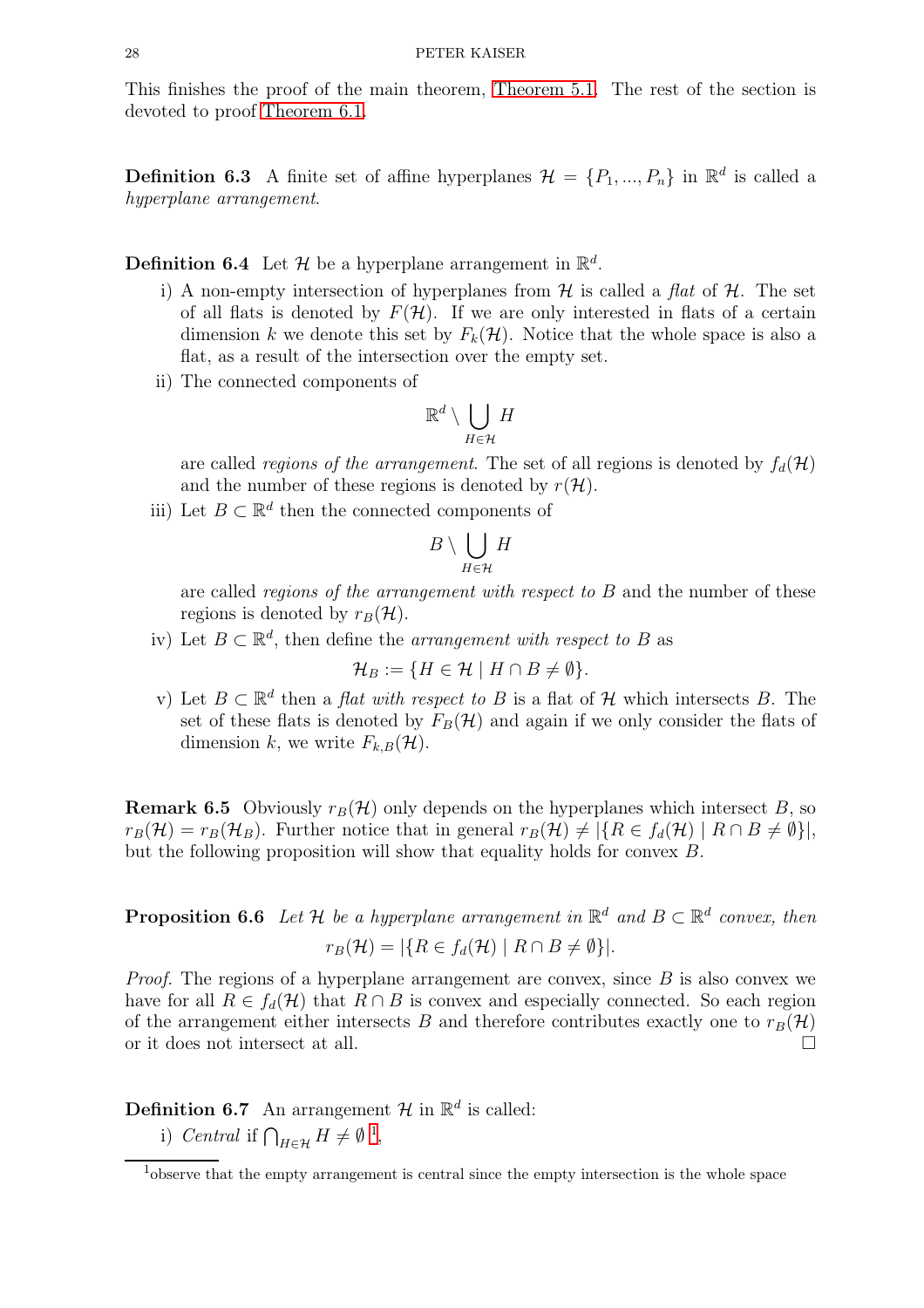This finishes the proof of the main theorem, [Theorem 5.1.](#page-17-1) The rest of the section is devoted to proof [Theorem 6.1.](#page-26-1)

**Definition 6.3** A finite set of affine hyperplanes  $\mathcal{H} = \{P_1, ..., P_n\}$  in  $\mathbb{R}^d$  is called a hyperplane arrangement.

**Definition 6.4** Let  $\mathcal{H}$  be a hyperplane arrangement in  $\mathbb{R}^d$ .

- i) A non-empty intersection of hyperplanes from  $\mathcal H$  is called a flat of  $\mathcal H$ . The set of all flats is denoted by  $F(\mathcal{H})$ . If we are only interested in flats of a certain dimension k we denote this set by  $F_k(\mathcal{H})$ . Notice that the whole space is also a flat, as a result of the intersection over the empty set.
- ii) The connected components of

$$
\mathbb{R}^d \setminus \bigcup_{H \in \mathcal{H}} H
$$

are called *regions of the arrangement*. The set of all regions is denoted by  $f_d(\mathcal{H})$ and the number of these regions is denoted by  $r(\mathcal{H})$ .

iii) Let  $B \subset \mathbb{R}^d$  then the connected components of

$$
B\setminus \bigcup_{H\in\mathcal{H}}H
$$

are called *regions of the arrangement with respect to B* and the number of these regions is denoted by  $r_B(\mathcal{H})$ .

iv) Let  $B \subset \mathbb{R}^d$ , then define the *arrangement with respect to* B as

$$
\mathcal{H}_B := \{ H \in \mathcal{H} \mid H \cap B \neq \emptyset \}.
$$

v) Let  $B \subset \mathbb{R}^d$  then a *flat with respect to* B is a flat of H which intersects B. The set of these flats is denoted by  $F_B(\mathcal{H})$  and again if we only consider the flats of dimension k, we write  $F_{k,B}(\mathcal{H})$ .

**Remark 6.5** Obviously  $r_B(\mathcal{H})$  only depends on the hyperplanes which intersect B, so  $r_B(\mathcal{H}) = r_B(\mathcal{H}_B)$ . Further notice that in general  $r_B(\mathcal{H}) \neq |\{R \in f_d(\mathcal{H}) \mid R \cap B \neq \emptyset\}|$ , but the following proposition will show that equality holds for convex B.

**Proposition 6.6** Let H be a hyperplane arrangement in  $\mathbb{R}^d$  and  $B \subset \mathbb{R}^d$  convex, then  $r_B(\mathcal{H}) = |\{R \in f_d(\mathcal{H}) \mid R \cap B \neq \emptyset\}|.$ 

*Proof.* The regions of a hyperplane arrangement are convex, since  $B$  is also convex we have for all  $R \in f_d(\mathcal{H})$  that  $R \cap B$  is convex and especially connected. So each region of the arrangement either intersects B and therefore contributes exactly one to  $r_B(\mathcal{H})$  or it does not intersect at all. or it does not intersect at all.

**Definition 6.7** An arrangement  $\mathcal{H}$  in  $\mathbb{R}^d$  is called:

i) Central if  $\bigcap_{H \in \mathcal{H}} H \neq \emptyset$ <sup>[1](#page-27-0)</sup>,

<span id="page-27-0"></span><sup>&</sup>lt;sup>1</sup>observe that the empty arrangement is central since the empty intersection is the whole space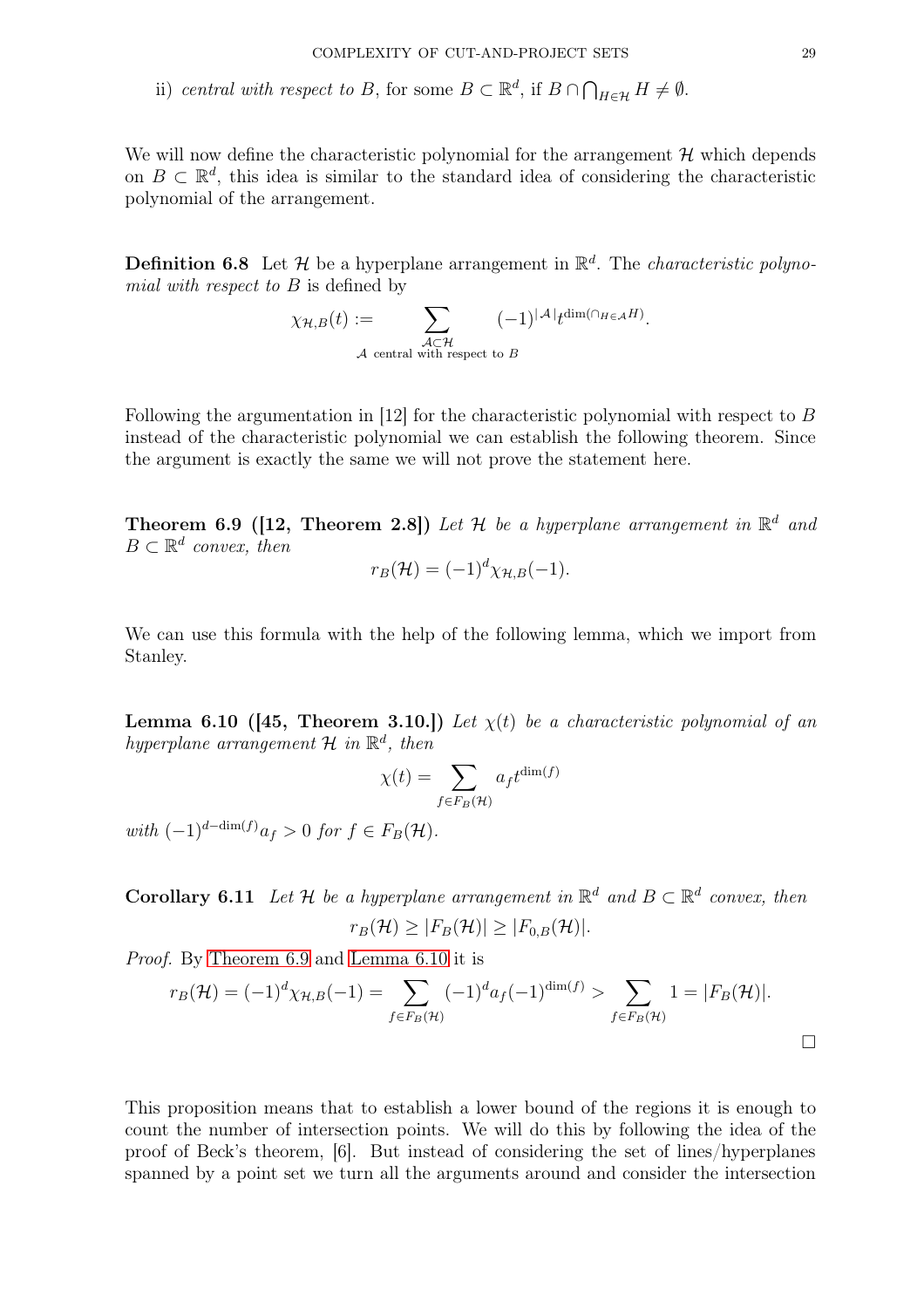ii) central with respect to B, for some  $B \subset \mathbb{R}^d$ , if  $B \cap \bigcap_{H \in \mathcal{H}} H \neq \emptyset$ .

We will now define the characteristic polynomial for the arrangement  $\mathcal H$  which depends on  $B \subset \mathbb{R}^d$ , this idea is similar to the standard idea of considering the characteristic polynomial of the arrangement.

**Definition 6.8** Let  $\mathcal{H}$  be a hyperplane arrangement in  $\mathbb{R}^d$ . The *characteristic polyno*mial with respect to B is defined by

$$
\chi_{\mathcal{H},B}(t) := \sum_{\substack{\mathcal{A} \subset \mathcal{H} \\ \mathcal{A} \text{ central with respect to } B}} (-1)^{|\mathcal{A}|} t^{\dim(\cap_{H \in \mathcal{A}} H)}.
$$

<span id="page-28-1"></span>Following the argumentation in [12] for the characteristic polynomial with respect to B instead of the characteristic polynomial we can establish the following theorem. Since the argument is exactly the same we will not prove the statement here.

**Theorem 6.9 ([12, Theorem 2.8])** Let H be a hyperplane arrangement in  $\mathbb{R}^d$  and  $B \subset \mathbb{R}^d$  convex, then

$$
r_B(\mathcal{H}) = (-1)^d \chi_{\mathcal{H},B}(-1).
$$

<span id="page-28-2"></span>We can use this formula with the help of the following lemma, which we import from Stanley.

**Lemma 6.10 ([45, Theorem 3.10.])** Let  $\chi(t)$  be a characteristic polynomial of an hyperplane arrangement  $\mathcal H$  in  $\mathbb R^d$ , then

$$
\chi(t) = \sum_{f \in F_B(\mathcal{H})} a_f t^{\dim(f)}
$$

with  $(-1)^{d-\dim(f)}a_f > 0$  for  $f \in F_B(\mathcal{H})$ .

<span id="page-28-0"></span>**Corollary 6.11** Let H be a hyperplane arrangement in  $\mathbb{R}^d$  and  $B \subset \mathbb{R}^d$  convex, then  $r_B(\mathcal{H}) > |F_B(\mathcal{H})| > |F_{0,B}(\mathcal{H})|$ .

Proof. By [Theorem 6.9](#page-28-1) and [Lemma 6.10](#page-28-2) it is

$$
r_B(\mathcal{H}) = (-1)^d \chi_{\mathcal{H},B}(-1) = \sum_{f \in F_B(\mathcal{H})} (-1)^d a_f(-1)^{\dim(f)} > \sum_{f \in F_B(\mathcal{H})} 1 = |F_B(\mathcal{H})|.
$$

This proposition means that to establish a lower bound of the regions it is enough to count the number of intersection points. We will do this by following the idea of the proof of Beck's theorem, [6]. But instead of considering the set of lines/hyperplanes spanned by a point set we turn all the arguments around and consider the intersection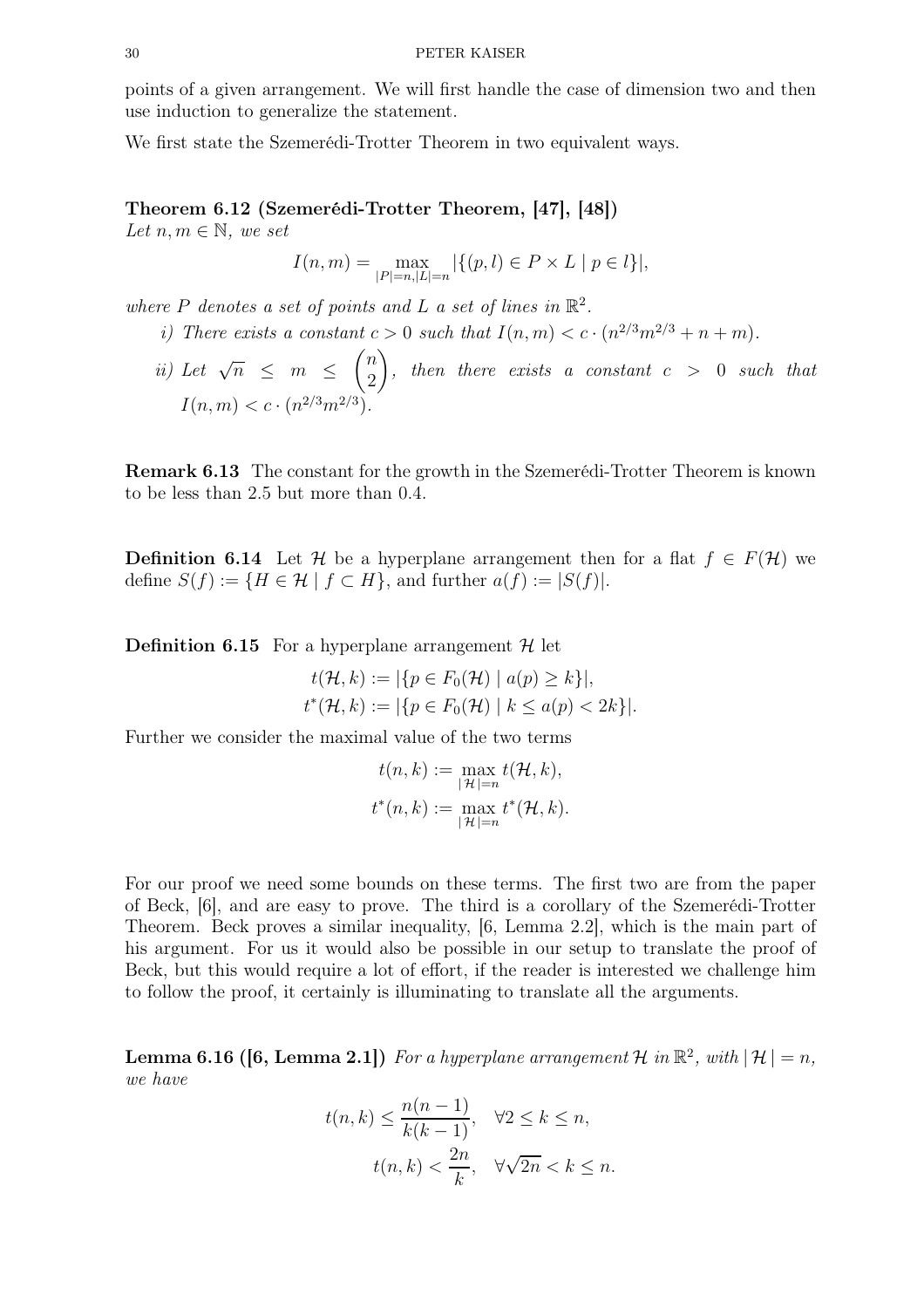points of a given arrangement. We will first handle the case of dimension two and then use induction to generalize the statement.

<span id="page-29-0"></span>We first state the Szemerédi-Trotter Theorem in two equivalent ways.

## Theorem 6.12 (Szemerédi-Trotter Theorem, [47], [48])

Let  $n, m \in \mathbb{N}$ , we set

$$
I(n,m) = \max_{|P|=n, |L|=n} |\{(p,l) \in P \times L \mid p \in l\}|,
$$

where P denotes a set of points and L a set of lines in  $\mathbb{R}^2$ .

- i) There exists a constant  $c > 0$  such that  $I(n, m) < c \cdot (n^{2/3}m^{2/3} + n + m)$ .
- ii) Let  $\sqrt{n} \leq m \leq$  $\sqrt{n}$ 2  $\setminus$  $, then there exists a constant  $c > 0$  such that$  $I(n, m) < c \cdot (n^{2/3} m^{2/3}).$

Remark 6.13 The constant for the growth in the Szemerédi-Trotter Theorem is known to be less than 2.5 but more than 0.4.

**Definition 6.14** Let H be a hyperplane arrangement then for a flat  $f \in F(\mathcal{H})$  we define  $S(f) := \{ H \in \mathcal{H} \mid f \subset H \}$ , and further  $a(f) := |S(f)|$ .

**Definition 6.15** For a hyperplane arrangement  $\mathcal{H}$  let

$$
t(\mathcal{H}, k) := |\{p \in F_0(\mathcal{H}) \mid a(p) \ge k\}|,
$$
  

$$
t^*(\mathcal{H}, k) := |\{p \in F_0(\mathcal{H}) \mid k \le a(p) < 2k\}|.
$$

Further we consider the maximal value of the two terms

$$
t(n,k) := \max_{|\mathcal{H}|=n} t(\mathcal{H}, k),
$$
  

$$
t^*(n,k) := \max_{|\mathcal{H}|=n} t^*(\mathcal{H}, k).
$$

For our proof we need some bounds on these terms. The first two are from the paper of Beck, [6], and are easy to prove. The third is a corollary of the Szemerédi-Trotter Theorem. Beck proves a similar inequality, [6, Lemma 2.2], which is the main part of his argument. For us it would also be possible in our setup to translate the proof of Beck, but this would require a lot of effort, if the reader is interested we challenge him to follow the proof, it certainly is illuminating to translate all the arguments.

<span id="page-29-1"></span>**Lemma 6.16 ([6, Lemma 2.1])** For a hyperplane arrangement H in  $\mathbb{R}^2$ , with  $|\mathcal{H}| = n$ , we have

$$
t(n,k) \le \frac{n(n-1)}{k(k-1)}, \quad \forall 2 \le k \le n,
$$

$$
t(n,k) < \frac{2n}{k}, \quad \forall \sqrt{2n} < k \le n.
$$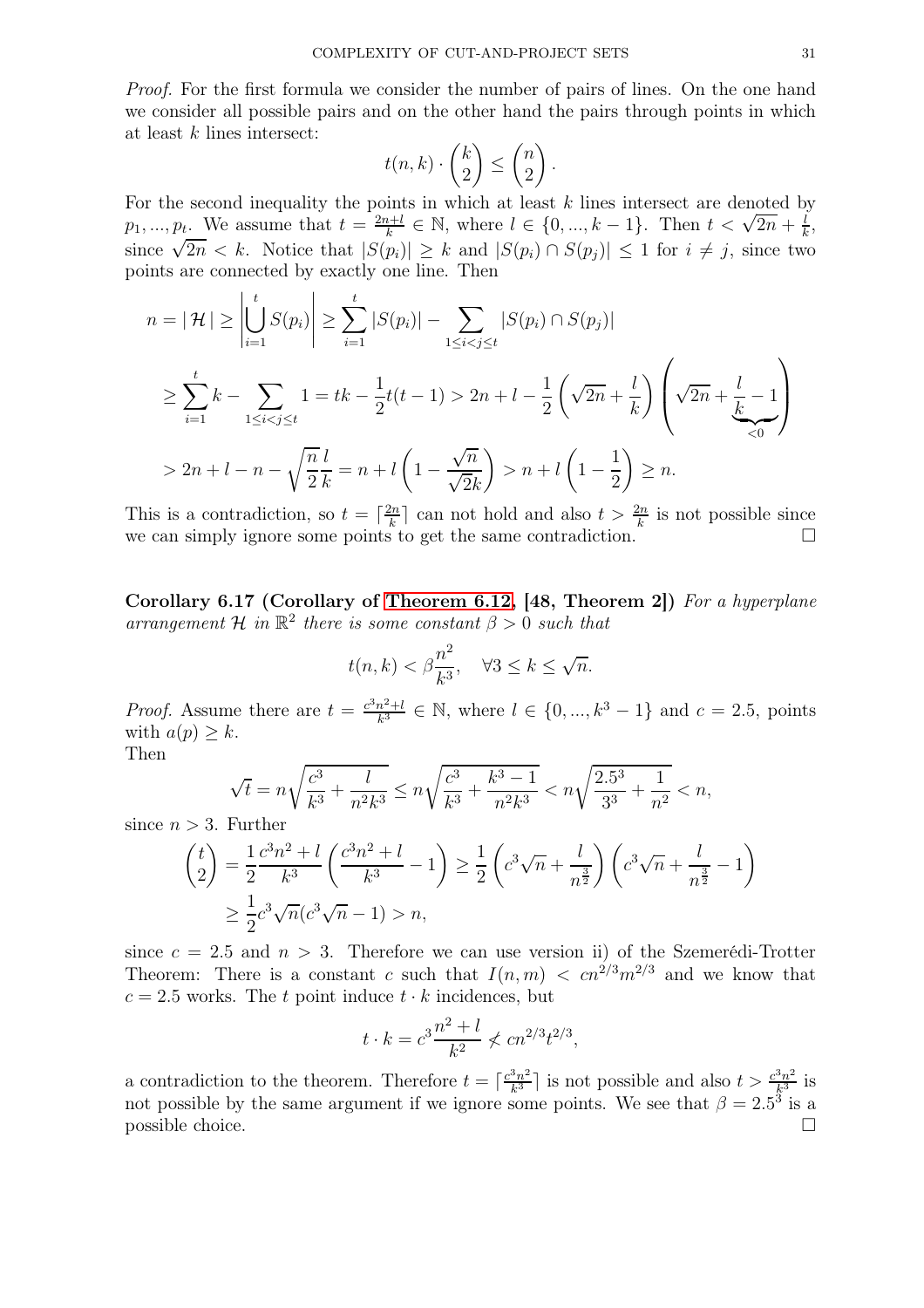Proof. For the first formula we consider the number of pairs of lines. On the one hand we consider all possible pairs and on the other hand the pairs through points in which at least  $k$  lines intersect:

$$
t(n,k) \cdot \binom{k}{2} \le \binom{n}{2} \, .
$$

For the second inequality the points in which at least  $k$  lines intersect are denoted by  $p_1, ..., p_t$ . We assume that  $t = \frac{2n+l}{k}$  $\frac{h+h}{k} \in \mathbb{N}$ , where  $l \in \{0, ..., k-1\}$ . Then  $t < \sqrt{2n} + \frac{l}{k}$  $\frac{l}{k}$ since  $\sqrt{2n} < k$ . Notice that  $|S(p_i)| \geq k$  and  $|S(p_i) \cap S(p_j)| \leq 1$  for  $i \neq j$ , since two points are connected by exactly one line. Then

$$
n = |\mathcal{H}| \ge \left| \bigcup_{i=1}^{t} S(p_i) \right| \ge \sum_{i=1}^{t} |S(p_i)| - \sum_{1 \le i < j \le t} |S(p_i) \cap S(p_j)|
$$
  
\n
$$
\ge \sum_{i=1}^{t} k - \sum_{1 \le i < j \le t} 1 = tk - \frac{1}{2}t(t-1) > 2n + l - \frac{1}{2} \left( \sqrt{2n} + \frac{l}{k} \right) \left( \sqrt{2n} + \frac{l}{k} - 1 \right)
$$
  
\n
$$
> 2n + l - n - \sqrt{\frac{n}{2k}} = n + l \left( 1 - \frac{\sqrt{n}}{\sqrt{2k}} \right) > n + l \left( 1 - \frac{1}{2} \right) \ge n.
$$

This is a contradiction, so  $t = \lceil \frac{2n}{k} \rceil$  $\frac{2n}{k}$  can not hold and also  $t > \frac{2n}{k}$  is not possible since we can simply ignore some points to get the same contradiction.

<span id="page-30-0"></span>Corollary 6.17 (Corollary of [Theorem 6.12,](#page-29-0) [48, Theorem 2]) For a hyperplane arrangement  $\mathcal{H}$  in  $\mathbb{R}^2$  there is some constant  $\beta > 0$  such that

$$
t(n,k) < \beta \frac{n^2}{k^3}, \quad \forall 3 \le k \le \sqrt{n}.
$$

*Proof.* Assume there are  $t = \frac{c^3 n^2 + l}{k^3} \in \mathbb{N}$ , where  $l \in \{0, ..., k^3 - 1\}$  and  $c = 2.5$ , points with  $a(p) \geq k$ . Then

$$
\sqrt{t} = n\sqrt{\frac{c^3}{k^3} + \frac{l}{n^2k^3}} \le n\sqrt{\frac{c^3}{k^3} + \frac{k^3 - 1}{n^2k^3}} < n\sqrt{\frac{2.5^3}{3^3} + \frac{1}{n^2}} < n,
$$

since  $n > 3$ . Further

$$
\binom{t}{2} = \frac{1}{2} \frac{c^3 n^2 + l}{k^3} \left( \frac{c^3 n^2 + l}{k^3} - 1 \right) \ge \frac{1}{2} \left( c^3 \sqrt{n} + \frac{l}{n^{\frac{3}{2}}} \right) \left( c^3 \sqrt{n} + \frac{l}{n^{\frac{3}{2}}} - 1 \right)
$$
  

$$
\ge \frac{1}{2} c^3 \sqrt{n} (c^3 \sqrt{n} - 1) > n,
$$

since  $c = 2.5$  and  $n > 3$ . Therefore we can use version ii) of the Szemerédi-Trotter Theorem: There is a constant c such that  $I(n, m) < cn^{2/3}m^{2/3}$  and we know that  $c = 2.5$  works. The t point induce  $t \cdot k$  incidences, but

$$
t \cdot k = c^3 \frac{n^2 + l}{k^2} \nless cn^{2/3} t^{2/3}
$$

,

<span id="page-30-1"></span>a contradiction to the theorem. Therefore  $t = \lceil \frac{c^3 n^2}{k^3} \rceil$  $\frac{3n^2}{k^3}$  is not possible and also  $t > \frac{c^3n^2}{k^3}$  $\frac{5n^2}{k^3}$  is not possible by the same argument if we ignore some points. We see that  $\beta = 2.5^3$  is a possible choice.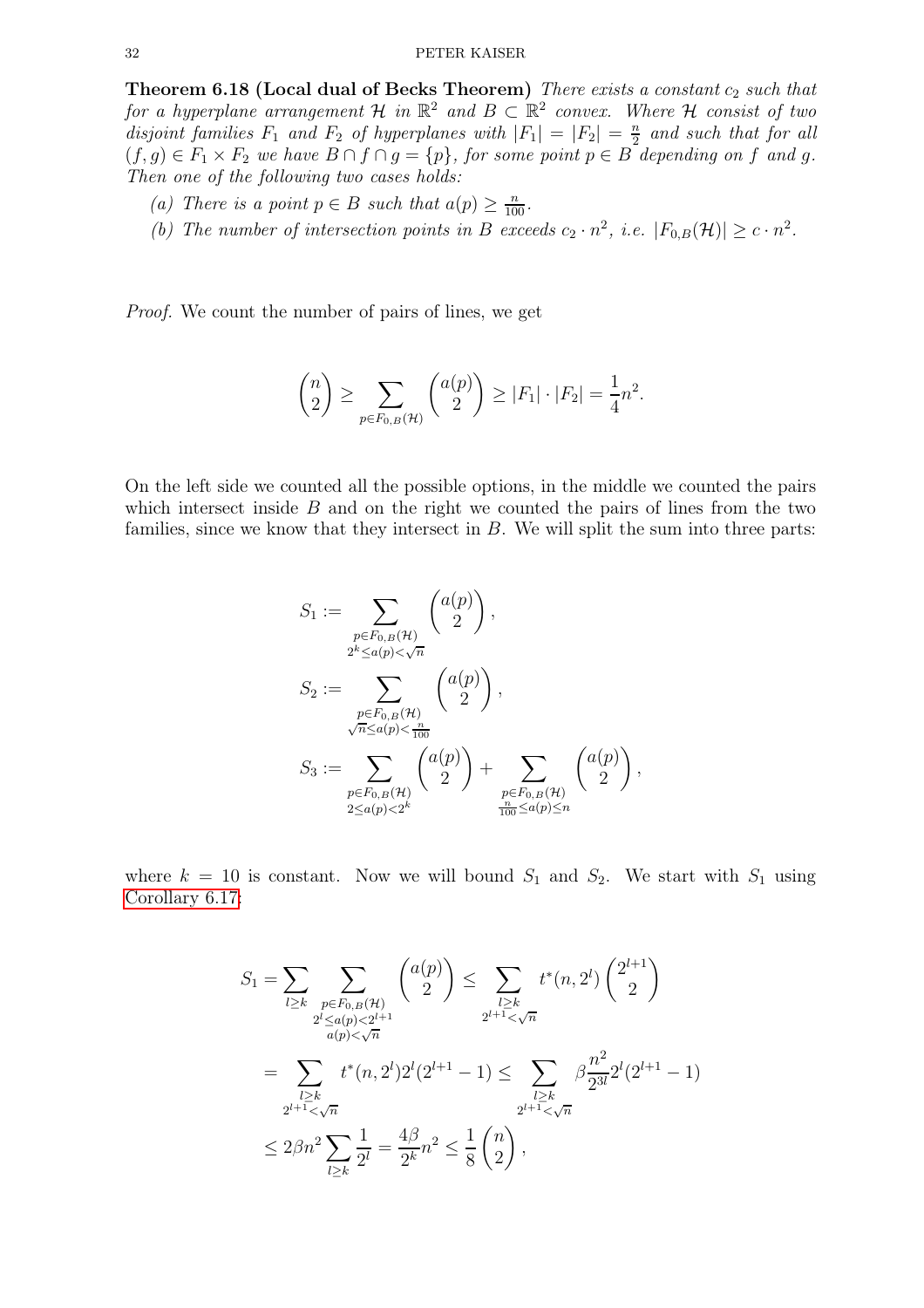Theorem 6.18 (Local dual of Becks Theorem) There exists a constant  $c_2$  such that for a hyperplane arrangement  $\mathcal H$  in  $\mathbb R^2$  and  $B \subset \mathbb R^2$  convex. Where  $\mathcal H$  consist of two disjoint families  $F_1$  and  $F_2$  of hyperplanes with  $|F_1| = |F_2| = \frac{n}{2}$  $\frac{n}{2}$  and such that for all  $(f,g) \in F_1 \times F_2$  we have  $B \cap f \cap g = \{p\}$ , for some point  $p \in B$  depending on f and g. Then one of the following two cases holds:

- (a) There is a point  $p \in B$  such that  $a(p) \geq \frac{n}{100}$ .
- (b) The number of intersection points in B exceeds  $c_2 \cdot n^2$ , i.e.  $|F_{0,B}(\mathcal{H})| \geq c \cdot n^2$ .

Proof. We count the number of pairs of lines, we get

$$
\binom{n}{2} \ge \sum_{p \in F_{0,B}(\mathcal{H})} \binom{a(p)}{2} \ge |F_1| \cdot |F_2| = \frac{1}{4}n^2.
$$

On the left side we counted all the possible options, in the middle we counted the pairs which intersect inside  $B$  and on the right we counted the pairs of lines from the two families, since we know that they intersect in  $B$ . We will split the sum into three parts:

$$
S_1 := \sum_{\substack{p \in F_{0,B}(\mathcal{H}) \\ 2^k \le a(p) < \sqrt{n} \\ \sqrt{n} \le a(p) < \frac{n}{100} \\ S_3 := \sum_{\substack{p \in F_{0,B}(\mathcal{H}) \\ 2^k \le a(p) < \frac{n}{100} \\ 2^k \le a(p) < 2^k}} \binom{a(p)}{2} + \sum_{\substack{p \in F_{0,B}(\mathcal{H}) \\ 2^k \le a(p) < 2^k}} \binom{a(p)}{2},
$$

where  $k = 10$  is constant. Now we will bound  $S_1$  and  $S_2$ . We start with  $S_1$  using [Corollary 6.17:](#page-30-0)

$$
S_1 = \sum_{l \ge k} \sum_{\substack{p \in F_{0,B}(\mathcal{H}) \\ 2^{l} \le a(p) < 2^{l+1} \\ a(p) < \sqrt{n}}} \binom{a(p)}{2} \le \sum_{\substack{l \ge k \\ 2^{l+1} < \sqrt{n} \\ \text{if } l \ge k}} t^*(n, 2^l) \binom{2^{l+1}}{2}
$$
\n
$$
= \sum_{\substack{l \ge k \\ 2^{l+1} < \sqrt{n} \\ \text{if } l \ge k}} t^*(n, 2^l) 2^l (2^{l+1} - 1) \le \sum_{\substack{l \ge k \\ 2^{l+1} < \sqrt{n} \\ \text{if } l \ge k}} \beta \frac{n^2}{2^{3l}} 2^l (2^{l+1} - 1)
$$
\n
$$
\le 2\beta n^2 \sum_{l \ge k} \frac{1}{2^l} = \frac{4\beta}{2^k} n^2 \le \frac{1}{8} \binom{n}{2},
$$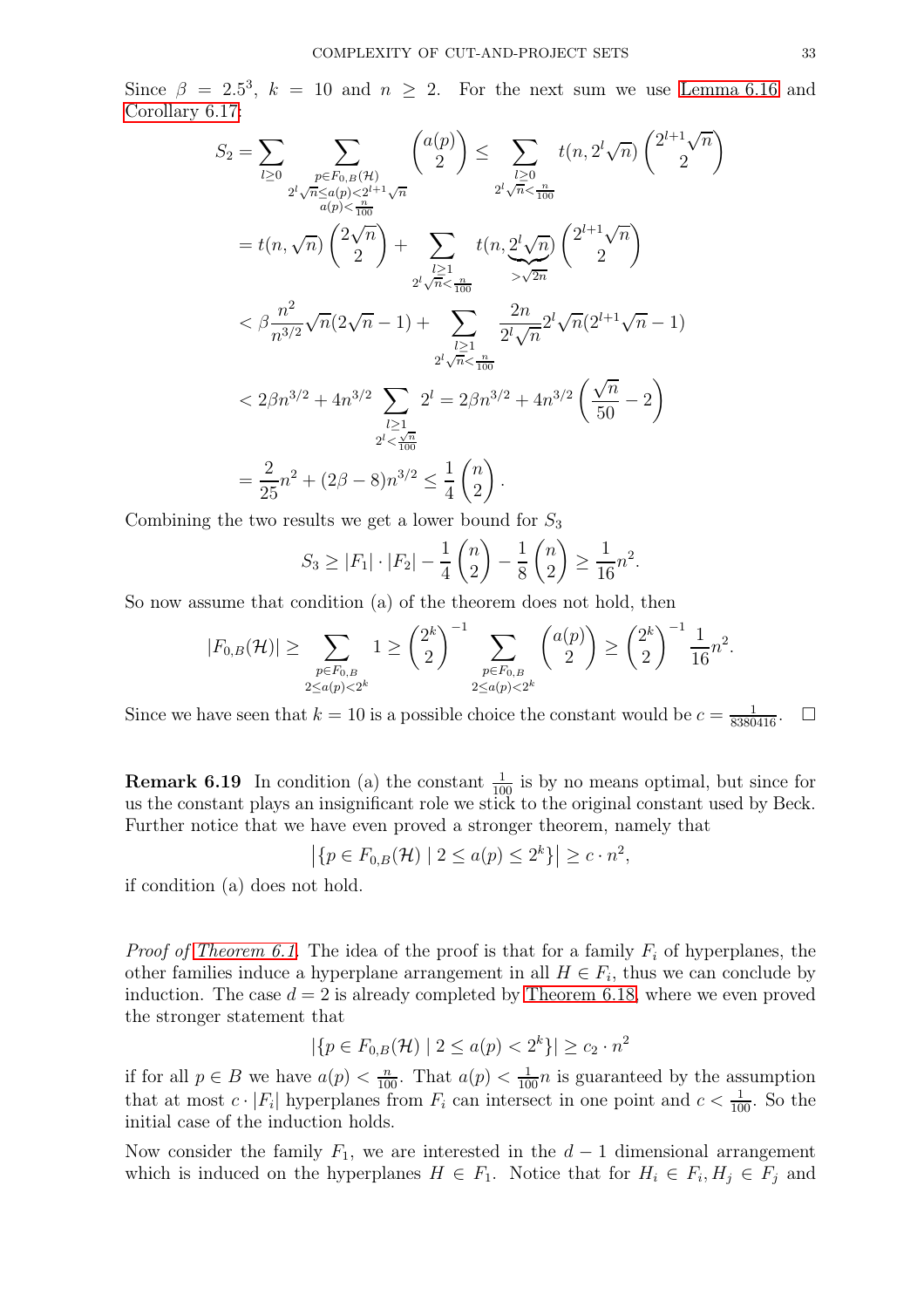Since  $\beta = 2.5^3$ ,  $k = 10$  and  $n \ge 2$ . For the next sum we use [Lemma 6.16](#page-29-1) and [Corollary 6.17:](#page-30-0)

$$
S_2 = \sum_{l\geq 0} \sum_{\substack{p\in F_{0,B}(\mathcal{H})\\ \alpha(p) < \frac{2^l\sqrt{n} \leq a(p) < 2^{l+1}\sqrt{n} \\ a(p) < \frac{n}{100}}} \binom{a(p)}{2} \leq \sum_{\substack{l\geq 0\\ 2^l\sqrt{n} < \frac{n}{100}}} t(n, 2^l\sqrt{n}) \binom{2^{l+1}\sqrt{n}}{2}
$$
\n
$$
= t(n, \sqrt{n}) \binom{2\sqrt{n}}{2} + \sum_{\substack{l\geq 1\\ 2^l\sqrt{n} < \frac{n}{100}}} t(n, 2^l\sqrt{n}) \binom{2^{l+1}\sqrt{n}}{2}
$$
\n
$$
< \beta \frac{n^2}{n^{3/2}} \sqrt{n} (2\sqrt{n} - 1) + \sum_{\substack{l\geq 1\\ 2^l\sqrt{n} < \frac{n}{100}}} \frac{2n}{2^l\sqrt{n}} 2^l \sqrt{n} (2^{l+1}\sqrt{n} - 1)
$$
\n
$$
< 2\beta n^{3/2} + 4n^{3/2} \sum_{\substack{l\geq 1\\ 2^l < \frac{\sqrt{n}}{100}}} 2^l = 2\beta n^{3/2} + 4n^{3/2} \left(\frac{\sqrt{n}}{50} - 2\right)
$$
\n
$$
= \frac{2}{25}n^2 + (2\beta - 8)n^{3/2} \leq \frac{1}{4} \binom{n}{2}.
$$

Combining the two results we get a lower bound for  $S_3$ 

$$
S_3 \ge |F_1| \cdot |F_2| - \frac{1}{4} {n \choose 2} - \frac{1}{8} {n \choose 2} \ge \frac{1}{16}n^2.
$$

So now assume that condition (a) of the theorem does not hold, then

$$
|F_{0,B}(\mathcal{H})| \ge \sum_{\substack{p \in F_{0,B} \\ 2 \le a(p) < 2^k}} 1 \ge \binom{2^k}{2}^{-1} \sum_{\substack{p \in F_{0,B} \\ 2 \le a(p) < 2^k}} \binom{a(p)}{2} \ge \binom{2^k}{2}^{-1} \frac{1}{16} n^2.
$$

Since we have seen that  $k = 10$  is a possible choice the constant would be  $c = \frac{1}{8380416}$ .  $\Box$ 

**Remark 6.19** In condition (a) the constant  $\frac{1}{100}$  is by no means optimal, but since for us the constant plays an insignificant role we stick to the original constant used by Beck. Further notice that we have even proved a stronger theorem, namely that

$$
\left| \{ p \in F_{0,B}(\mathcal{H}) \mid 2 \le a(p) \le 2^k \} \right| \ge c \cdot n^2,
$$

if condition (a) does not hold.

*Proof of [Theorem 6.1.](#page-26-1)* The idea of the proof is that for a family  $F_i$  of hyperplanes, the other families induce a hyperplane arrangement in all  $H \in F_i$ , thus we can conclude by induction. The case  $d = 2$  is already completed by [Theorem 6.18,](#page-30-1) where we even proved the stronger statement that

$$
|\{p \in F_{0,B}(\mathcal{H}) \mid 2 \le a(p) < 2^k\}| \ge c_2 \cdot n^2
$$

if for all  $p \in B$  we have  $a(p) < \frac{n}{100}$ . That  $a(p) < \frac{1}{100}n$  is guaranteed by the assumption that at most  $c \cdot |F_i|$  hyperplanes from  $F_i$  can intersect in one point and  $c < \frac{1}{100}$ . So the initial case of the induction holds.

Now consider the family  $F_1$ , we are interested in the  $d-1$  dimensional arrangement which is induced on the hyperplanes  $H \in F_1$ . Notice that for  $H_i \in F_i$ ,  $H_j \in F_j$  and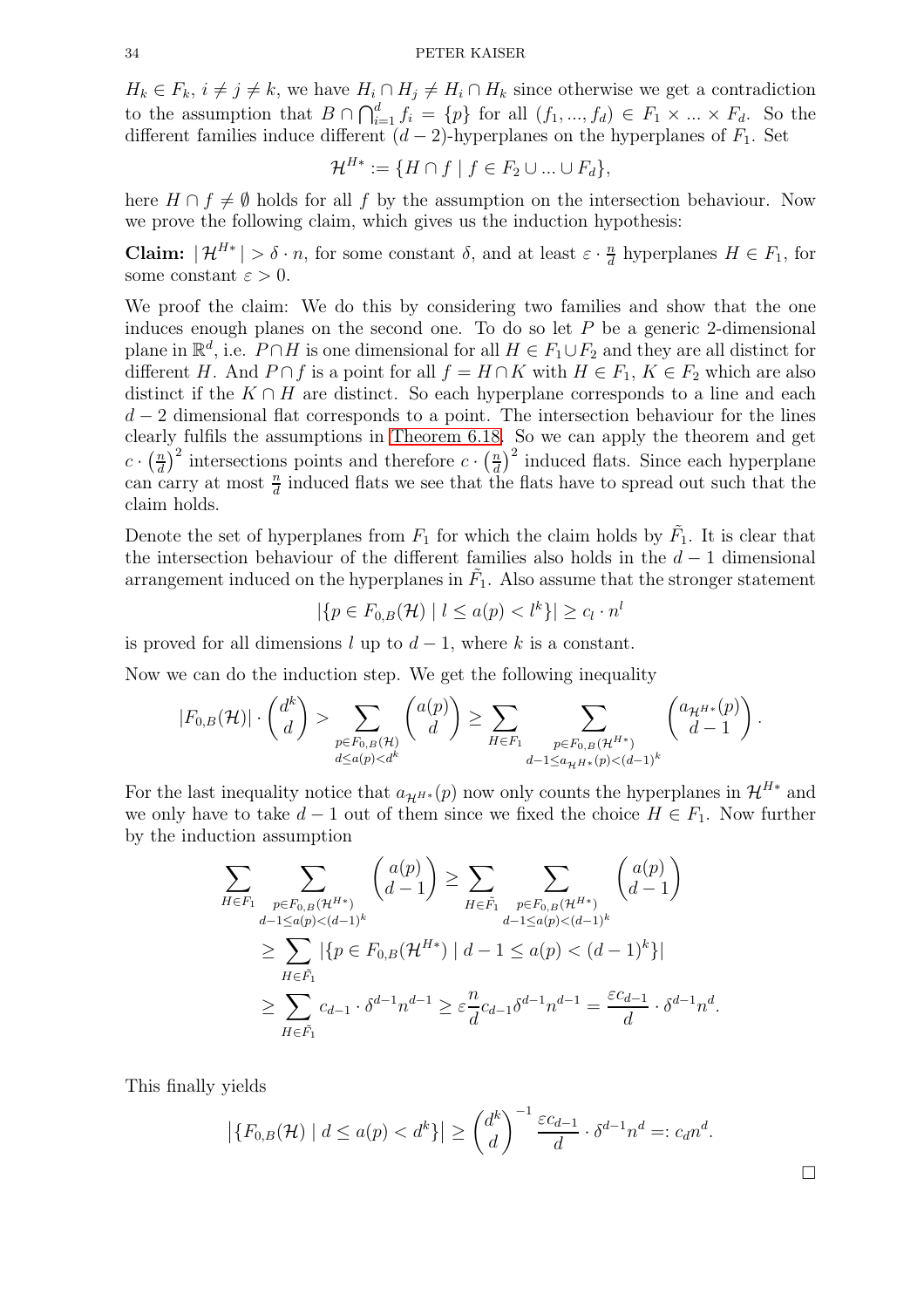$H_k \in F_k$ ,  $i \neq j \neq k$ , we have  $H_i \cap H_j \neq H_i \cap H_k$  since otherwise we get a contradiction to the assumption that  $B \cap \bigcap_{i=1}^d f_i = \{p\}$  for all  $(f_1, ..., f_d) \in F_1 \times ... \times F_d$ . So the different families induce different  $(d-2)$ -hyperplanes on the hyperplanes of  $F_1$ . Set

$$
\mathcal{H}^{H*} := \{ H \cap f \mid f \in F_2 \cup \ldots \cup F_d \},
$$

here  $H \cap f \neq \emptyset$  holds for all f by the assumption on the intersection behaviour. Now we prove the following claim, which gives us the induction hypothesis:

**Claim:**  $|\mathcal{H}^{H*}| > \delta \cdot n$ , for some constant  $\delta$ , and at least  $\varepsilon \cdot \frac{n}{d}$  $\frac{n}{d}$  hyperplanes  $H \in F_1$ , for some constant  $\varepsilon > 0$ .

We proof the claim: We do this by considering two families and show that the one induces enough planes on the second one. To do so let  $P$  be a generic 2-dimensional plane in  $\mathbb{R}^d$ , i.e.  $P \cap H$  is one dimensional for all  $H \in F_1 \cup F_2$  and they are all distinct for different H. And  $P \cap f$  is a point for all  $f = H \cap K$  with  $H \in F_1, K \in F_2$  which are also distinct if the  $K \cap H$  are distinct. So each hyperplane corresponds to a line and each  $d-2$  dimensional flat corresponds to a point. The intersection behaviour for the lines clearly fulfils the assumptions in [Theorem 6.18.](#page-30-1) So we can apply the theorem and get  $c \cdot \left(\frac{n}{d}\right)$  $\left(\frac{n}{d}\right)^2$  intersections points and therefore  $c \cdot \left(\frac{n}{d}\right)$  $\left(\frac{n}{d}\right)^2$  induced flats. Since each hyperplane can carry at most  $\frac{n}{d}$  induced flats we see that the flats have to spread out such that the claim holds.

Denote the set of hyperplanes from  $F_1$  for which the claim holds by  $\tilde{F}_1$ . It is clear that the intersection behaviour of the different families also holds in the  $d-1$  dimensional arrangement induced on the hyperplanes in  $\tilde{F}_1$ . Also assume that the stronger statement

$$
|\{p \in F_{0,B}(\mathcal{H}) \mid l \le a(p) < l^k\}| \ge c_l \cdot n^l
$$

is proved for all dimensions l up to  $d-1$ , where k is a constant.

Now we can do the induction step. We get the following inequality

$$
|F_{0,B}(\mathcal{H})| \cdot \binom{d^k}{d} > \sum_{\substack{p \in F_{0,B}(\mathcal{H}) \\ d \le a(p) < d^k}} \binom{a(p)}{d} \ge \sum_{H \in F_1} \sum_{\substack{p \in F_{0,B}(\mathcal{H}^{H*}) \\ d-1 \le a_{\mathcal{H}} H^*(p) < (d-1)^k}} \binom{a_{\mathcal{H}^{H*}}(p)}{d-1}.
$$

For the last inequality notice that  $a_{\mathcal{H}^{H*}}(p)$  now only counts the hyperplanes in  $\mathcal{H}^{H*}$  and we only have to take  $d-1$  out of them since we fixed the choice  $H \in F_1$ . Now further by the induction assumption

$$
\sum_{H \in F_1} \sum_{\substack{p \in F_{0,B}(\mathcal{H}^{H*}) \\ d-1 \le a(p) < (d-1)^k}} \binom{a(p)}{d-1} \ge \sum_{H \in \tilde{F}_1} \sum_{\substack{p \in F_{0,B}(\mathcal{H}^{H*}) \\ d-1 \le a(p) < (d-1)^k}} \binom{a(p)}{d-1} \\ \ge \sum_{H \in \tilde{F}_1} |\{p \in F_{0,B}(\mathcal{H}^{H*}) \mid d-1 \le a(p) < (d-1)^k\}| \\ \ge \sum_{H \in \tilde{F}_1} c_{d-1} \cdot \delta^{d-1} n^{d-1} \ge \varepsilon \frac{n}{d} c_{d-1} \delta^{d-1} n^{d-1} = \frac{\varepsilon c_{d-1}}{d} \cdot \delta^{d-1} n^d
$$

This finally yields

$$
\left| \{ F_{0,B}(\mathcal{H}) \mid d \le a(p) < d^k \} \right| \ge \binom{d^k}{d}^{-1} \frac{\varepsilon c_{d-1}}{d} \cdot \delta^{d-1} n^d =: c_d n^d.
$$

.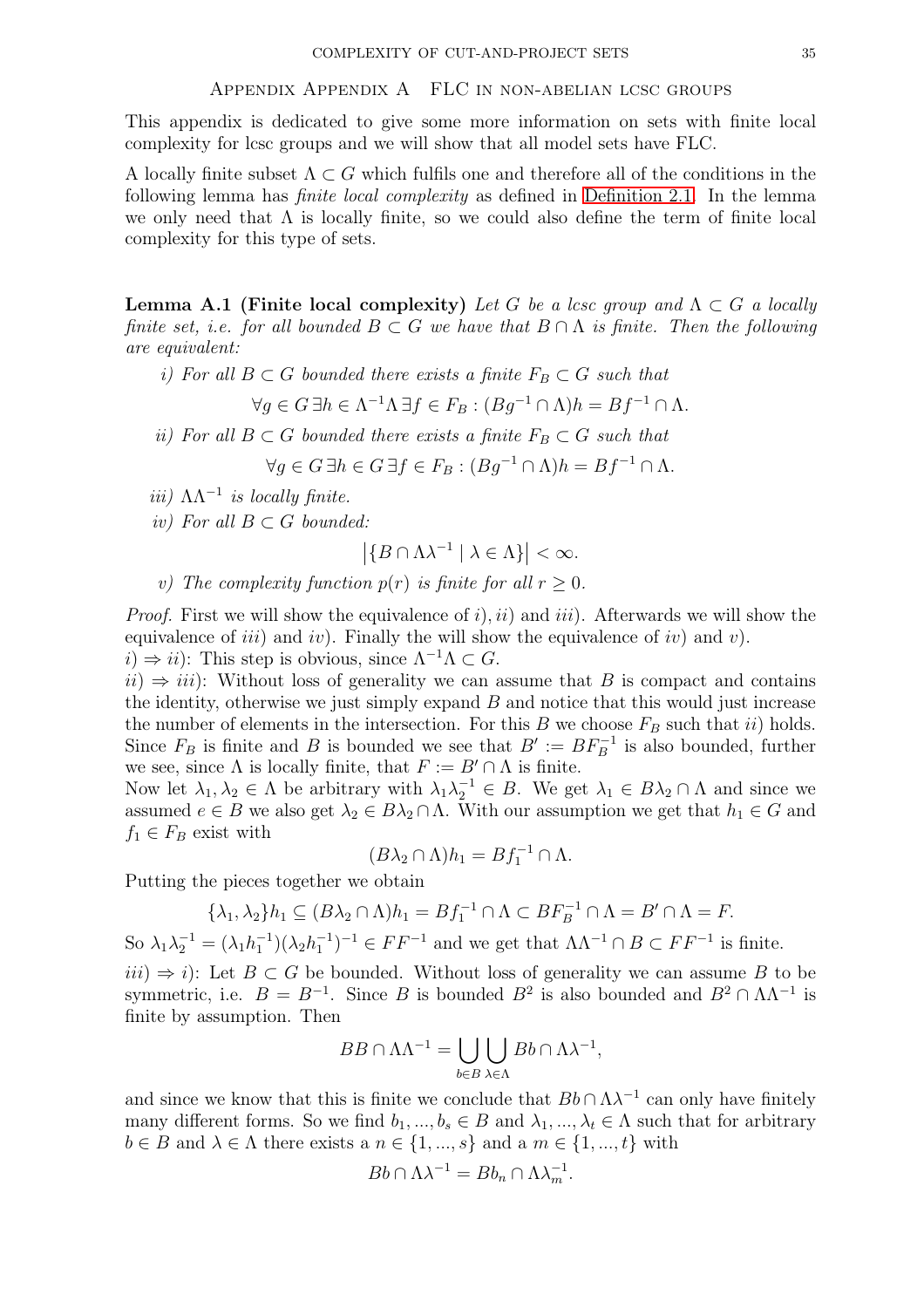#### Appendix Appendix A FLC in non-abelian lcsc groups

This appendix is dedicated to give some more information on sets with finite local complexity for lcsc groups and we will show that all model sets have FLC.

<span id="page-34-0"></span>A locally finite subset  $\Lambda \subset G$  which fulfils one and therefore all of the conditions in the following lemma has finite local complexity as defined in [Definition 2.1.](#page-6-4) In the lemma we only need that  $\Lambda$  is locally finite, so we could also define the term of finite local complexity for this type of sets.

**Lemma A.1 (Finite local complexity)** Let G be a lcsc group and  $\Lambda \subset G$  a locally finite set, i.e. for all bounded  $B \subset G$  we have that  $B \cap \Lambda$  is finite. Then the following are equivalent:

i) For all  $B \subset G$  bounded there exists a finite  $F_B \subset G$  such that

 $\forall g \in G \,\exists h \in \Lambda^{-1}\Lambda \,\exists f \in F_B : (Bg^{-1} \cap \Lambda)h = Bf^{-1} \cap \Lambda.$ 

ii) For all  $B \subset G$  bounded there exists a finite  $F_B \subset G$  such that

 $\forall g \in G \,\exists h \in G \,\exists f \in F_B : (Bg^{-1} \cap \Lambda)h = Bf^{-1} \cap \Lambda.$ 

- iii)  $\Lambda \Lambda^{-1}$  is locally finite.
- iv) For all  $B \subset G$  bounded:

$$
\left|\{B \cap \Lambda\lambda^{-1} \mid \lambda \in \Lambda\}\right| < \infty.
$$

v) The complexity function  $p(r)$  is finite for all  $r \geq 0$ .

*Proof.* First we will show the equivalence of i, ii) and iii). Afterwards we will show the equivalence of *iii*) and *iv*). Finally the will show the equivalence of *iv*) and *v*).  $i) \Rightarrow ii)$ : This step is obvious, since  $\Lambda^{-1}\Lambda \subset G$ .

 $ii) \Rightarrow iii$ : Without loss of generality we can assume that B is compact and contains the identity, otherwise we just simply expand B and notice that this would just increase the number of elements in the intersection. For this B we choose  $F_B$  such that ii) holds. Since  $F_B$  is finite and B is bounded we see that  $B' := BF_B^{-1}$  is also bounded, further we see, since  $\Lambda$  is locally finite, that  $F := B' \cap \Lambda$  is finite.

Now let  $\lambda_1, \lambda_2 \in \Lambda$  be arbitrary with  $\lambda_1 \lambda_2^{-1} \in B$ . We get  $\lambda_1 \in B\lambda_2 \cap \Lambda$  and since we assumed  $e \in B$  we also get  $\lambda_2 \in B\lambda_2 \cap \Lambda$ . With our assumption we get that  $h_1 \in G$  and  $f_1 \in F_B$  exist with

$$
(B\lambda_2 \cap \Lambda)h_1 = Bf_1^{-1} \cap \Lambda.
$$

Putting the pieces together we obtain

$$
\{\lambda_1, \lambda_2\} h_1 \subseteq (B\lambda_2 \cap \Lambda) h_1 = Bf_1^{-1} \cap \Lambda \subset BF_B^{-1} \cap \Lambda = B' \cap \Lambda = F.
$$

So  $\lambda_1 \lambda_2^{-1} = (\lambda_1 h_1^{-1})(\lambda_2 h_1^{-1})^{-1} \in FF^{-1}$  and we get that  $\Lambda \Lambda^{-1} \cap B \subset FF^{-1}$  is finite.

 $iii) \Rightarrow i$ : Let  $B \subset G$  be bounded. Without loss of generality we can assume B to be symmetric, i.e.  $B = B^{-1}$ . Since B is bounded  $B^2$  is also bounded and  $B^2 \cap \Lambda \Lambda^{-1}$  is finite by assumption. Then

$$
BB \cap \Lambda \Lambda^{-1} = \bigcup_{b \in B} \bigcup_{\lambda \in \Lambda} Bb \cap \Lambda \lambda^{-1},
$$

and since we know that this is finite we conclude that  $Bb \cap \Lambda \lambda^{-1}$  can only have finitely many different forms. So we find  $b_1, ..., b_s \in B$  and  $\lambda_1, ..., \lambda_t \in \Lambda$  such that for arbitrary  $b \in B$  and  $\lambda \in \Lambda$  there exists a  $n \in \{1, ..., s\}$  and a  $m \in \{1, ..., t\}$  with

$$
Bb \cap \Lambda \lambda^{-1} = Bb_n \cap \Lambda \lambda_m^{-1}.
$$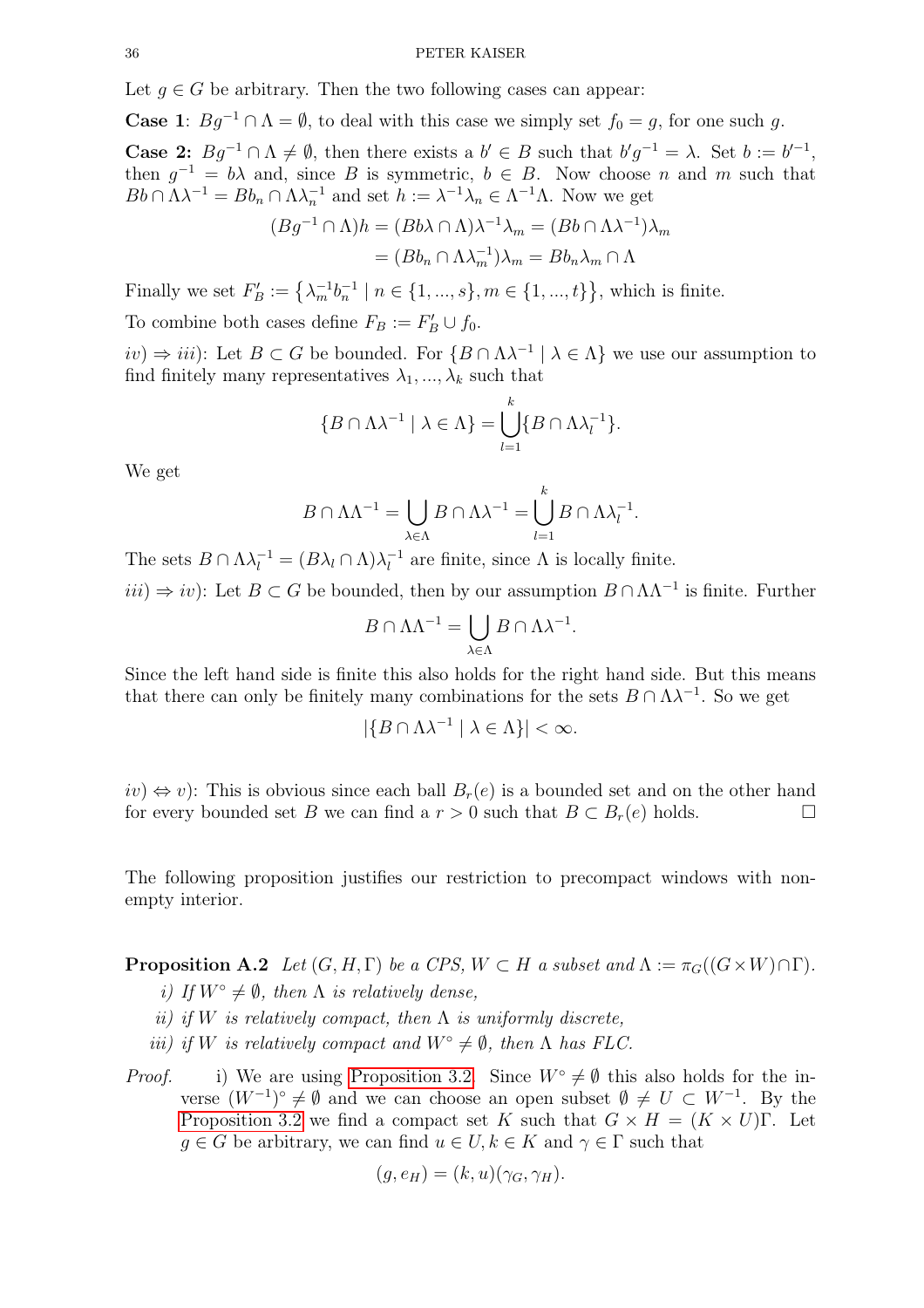Let  $g \in G$  be arbitrary. Then the two following cases can appear:

**Case 1**:  $Bg^{-1} \cap \Lambda = \emptyset$ , to deal with this case we simply set  $f_0 = g$ , for one such g.

**Case 2:**  $Bg^{-1} \cap \Lambda \neq \emptyset$ , then there exists a  $b' \in B$  such that  $b'g^{-1} = \lambda$ . Set  $b := b'^{-1}$ , then  $g^{-1} = b\lambda$  and, since B is symmetric,  $b \in B$ . Now choose n and m such that  $Bb \cap \Lambda \lambda^{-1} = Bb_n \cap \Lambda \lambda_n^{-1}$  and set  $h := \lambda^{-1} \lambda_n \in \Lambda^{-1} \Lambda$ . Now we get

$$
(Bg^{-1} \cap \Lambda)h = (Bb\lambda \cap \Lambda)\lambda^{-1}\lambda_m = (Bb \cap \Lambda\lambda^{-1})\lambda_m
$$

$$
= (Bb_n \cap \Lambda\lambda_m^{-1})\lambda_m = Bb_n\lambda_m \cap \Lambda
$$

Finally we set  $F'_B := \left\{ \lambda_m^{-1} b_n^{-1} \mid n \in \{1, ..., s\}, m \in \{1, ..., t\} \right\}$ , which is finite.

To combine both cases define  $F_B := F'_B \cup f_0$ .

 $iv)$  ⇒  $iii$ ): Let  $B \subset G$  be bounded. For  $\{B \cap \Lambda\lambda^{-1} \mid \lambda \in \Lambda\}$  we use our assumption to find finitely many representatives  $\lambda_1, ..., \lambda_k$  such that

$$
\{B \cap \Lambda \lambda^{-1} \mid \lambda \in \Lambda\} = \bigcup_{l=1}^{k} \{B \cap \Lambda \lambda_l^{-1}\}.
$$

We get

$$
B \cap \Lambda \Lambda^{-1} = \bigcup_{\lambda \in \Lambda} B \cap \Lambda \lambda^{-1} = \bigcup_{l=1}^{k} B \cap \Lambda \lambda_l^{-1}
$$

.

The sets  $B \cap \Lambda \lambda_l^{-1} = (B \lambda_l \cap \Lambda) \lambda_l^{-1}$  are finite, since  $\Lambda$  is locally finite.

 $iii) \Rightarrow iv$ : Let  $B \subset G$  be bounded, then by our assumption  $B \cap \Lambda \Lambda^{-1}$  is finite. Further

$$
B \cap \Lambda \Lambda^{-1} = \bigcup_{\lambda \in \Lambda} B \cap \Lambda \lambda^{-1}.
$$

Since the left hand side is finite this also holds for the right hand side. But this means that there can only be finitely many combinations for the sets  $B \cap \Lambda \lambda^{-1}$ . So we get

$$
|\{B \cap \Lambda \lambda^{-1} \mid \lambda \in \Lambda\}| < \infty.
$$

 $iv)$  ⇔ v): This is obvious since each ball  $B_r(e)$  is a bounded set and on the other hand<br>for every bounded set B we can find a  $r > 0$  such that  $B \subset B_r(e)$  holds for every bounded set B we can find a  $r > 0$  such that  $B \subset B_r(e)$  holds.

<span id="page-35-0"></span>The following proposition justifies our restriction to precompact windows with nonempty interior.

**Proposition A.2** Let  $(G, H, \Gamma)$  be a CPS,  $W \subset H$  a subset and  $\Lambda := \pi_G((G \times W) \cap \Gamma)$ .

- i) If  $W^{\circ} \neq \emptyset$ , then  $\Lambda$  is relatively dense,
- ii) if W is relatively compact, then  $\Lambda$  is uniformly discrete,
- *iii*) *if* W is relatively compact and  $W^\circ \neq \emptyset$ , then  $\Lambda$  has FLC.

*Proof.* i) We are using [Proposition 3.2.](#page-9-2) Since  $W^{\circ} \neq \emptyset$  this also holds for the inverse  $(W^{-1})^{\circ} \neq \emptyset$  and we can choose an open subset  $\emptyset \neq U \subset W^{-1}$ . By the [Proposition 3.2](#page-9-2) we find a compact set K such that  $G \times H = (K \times U)\Gamma$ . Let  $g \in G$  be arbitrary, we can find  $u \in U, k \in K$  and  $\gamma \in \Gamma$  such that

$$
(g, e_H) = (k, u)(\gamma_G, \gamma_H).
$$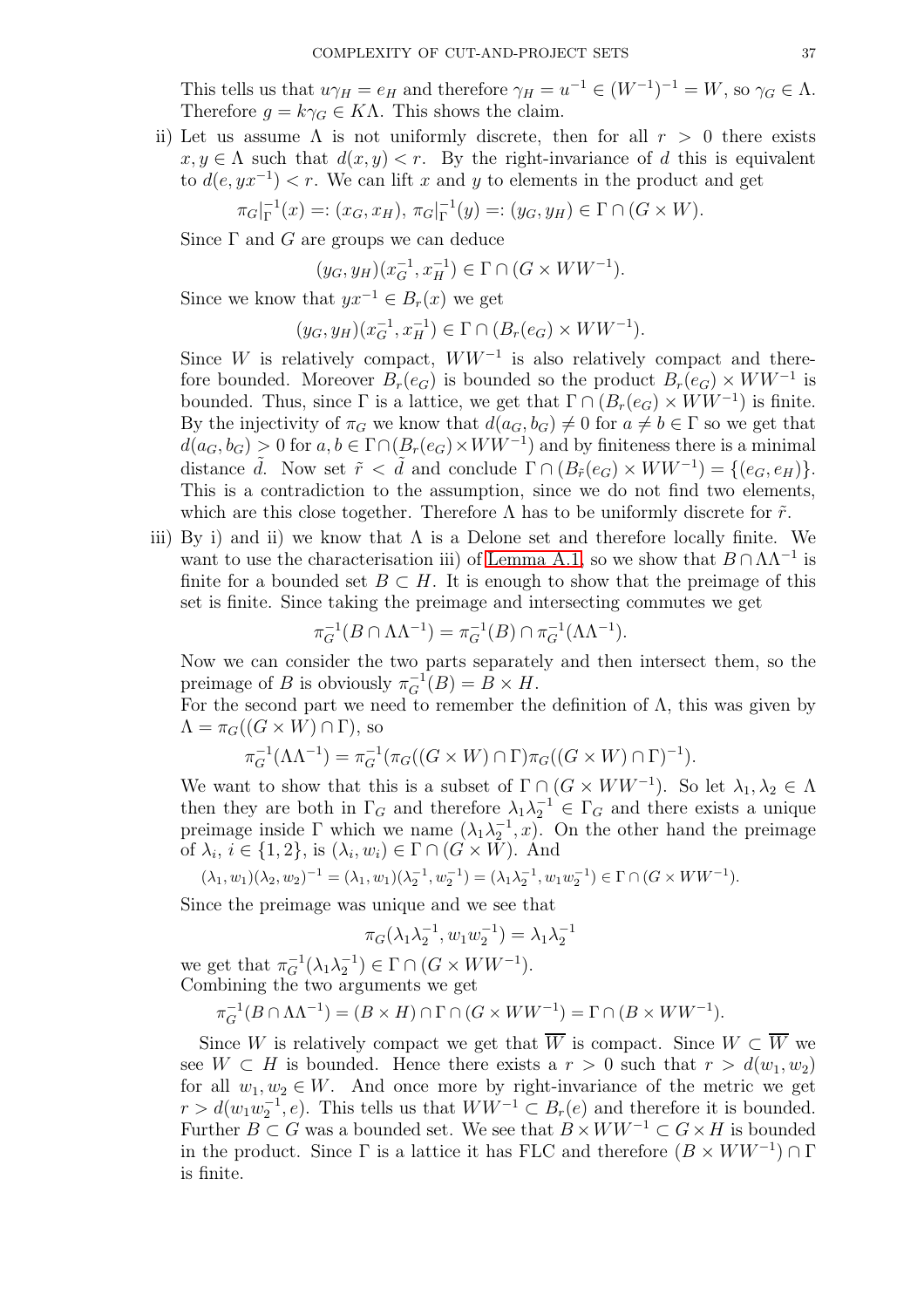This tells us that  $u\gamma_H = e_H$  and therefore  $\gamma_H = u^{-1} \in (W^{-1})^{-1} = W$ , so  $\gamma_G \in \Lambda$ . Therefore  $g = k\gamma_G \in K\Lambda$ . This shows the claim.

ii) Let us assume  $\Lambda$  is not uniformly discrete, then for all  $r > 0$  there exists  $x, y \in \Lambda$  such that  $d(x, y) < r$ . By the right-invariance of d this is equivalent to  $d(e, yx^{-1}) < r$ . We can lift x and y to elements in the product and get

$$
\pi_G|_{\Gamma}^{-1}(x) =: (x_G, x_H), \pi_G|_{\Gamma}^{-1}(y) =: (y_G, y_H) \in \Gamma \cap (G \times W).
$$

Since  $\Gamma$  and  $G$  are groups we can deduce

$$
(y_G, y_H)(x_G^{-1}, x_H^{-1}) \in \Gamma \cap (G \times WW^{-1}).
$$

Since we know that  $yx^{-1} \in B_r(x)$  we get

$$
(y_G, y_H)(x_G^{-1}, x_H^{-1}) \in \Gamma \cap (B_r(e_G) \times WW^{-1}).
$$

Since W is relatively compact,  $WW^{-1}$  is also relatively compact and therefore bounded. Moreover  $B_r(e_G)$  is bounded so the product  $B_r(e_G) \times WW^{-1}$  is bounded. Thus, since  $\Gamma$  is a lattice, we get that  $\Gamma \cap (B_r(e_G) \times WW^{-1})$  is finite. By the injectivity of  $\pi_G$  we know that  $d(a_G, b_G) \neq 0$  for  $a \neq b \in \Gamma$  so we get that  $d(a_G, b_G) > 0$  for  $a, b \in \Gamma \cap (B_r(e_G) \times WW^{-1})$  and by finiteness there is a minimal distance  $\tilde{d}$ . Now set  $\tilde{r} < \tilde{d}$  and conclude  $\Gamma \cap (B_{\tilde{r}}(e_G) \times WW^{-1}) = \{(e_G, e_H)\}.$ This is a contradiction to the assumption, since we do not find two elements, which are this close together. Therefore  $\Lambda$  has to be uniformly discrete for  $\tilde{r}$ .

iii) By i) and ii) we know that  $\Lambda$  is a Delone set and therefore locally finite. We want to use the characterisation iii) of [Lemma A.1,](#page-34-0) so we show that  $B \cap \Lambda \Lambda^{-1}$  is finite for a bounded set  $B \subset H$ . It is enough to show that the preimage of this set is finite. Since taking the preimage and intersecting commutes we get

$$
\pi_G^{-1}(B \cap \Lambda \Lambda^{-1}) = \pi_G^{-1}(B) \cap \pi_G^{-1}(\Lambda \Lambda^{-1}).
$$

Now we can consider the two parts separately and then intersect them, so the preimage of B is obviously  $\pi_G^{-1}(B) = B \times H$ .

For the second part we need to remember the definition of  $\Lambda$ , this was given by  $\Lambda = \pi_G((G \times W) \cap \Gamma)$ , so

$$
\pi_G^{-1}(\Lambda \Lambda^{-1}) = \pi_G^{-1}(\pi_G((G \times W) \cap \Gamma) \pi_G((G \times W) \cap \Gamma)^{-1}).
$$

We want to show that this is a subset of  $\Gamma \cap (G \times WW^{-1})$ . So let  $\lambda_1, \lambda_2 \in \Lambda$ then they are both in  $\Gamma_G$  and therefore  $\lambda_1 \lambda_2^{-1} \in \Gamma_G$  and there exists a unique preimage inside  $\Gamma$  which we name  $(\lambda_1 \lambda_2^{-1}, x)$ . On the other hand the preimage of  $\lambda_i, i \in \{1, 2\}$ , is  $(\lambda_i, w_i) \in \Gamma \cap (G \times W)$ . And

$$
(\lambda_1, w_1)(\lambda_2, w_2)^{-1} = (\lambda_1, w_1)(\lambda_2^{-1}, w_2^{-1}) = (\lambda_1 \lambda_2^{-1}, w_1 w_2^{-1}) \in \Gamma \cap (G \times WW^{-1}).
$$

Since the preimage was unique and we see that

$$
\pi_G(\lambda_1 \lambda_2^{-1}, w_1 w_2^{-1}) = \lambda_1 \lambda_2^{-1}
$$

we get that  $\pi_G^{-1}(\lambda_1 \lambda_2^{-1}) \in \Gamma \cap (G \times WW^{-1}).$ Combining the two arguments we get

$$
\pi_G^{-1}(B \cap \Lambda \Lambda^{-1}) = (B \times H) \cap \Gamma \cap (G \times WW^{-1}) = \Gamma \cap (B \times WW^{-1}).
$$

Since W is relatively compact we get that  $\overline{W}$  is compact. Since  $W \subset \overline{W}$  we see  $W \subset H$  is bounded. Hence there exists a  $r > 0$  such that  $r > d(w_1, w_2)$ for all  $w_1, w_2 \in W$ . And once more by right-invariance of the metric we get  $r > d(w_1w_2^{-1}, e)$ . This tells us that  $WW^{-1} \subset B_r(e)$  and therefore it is bounded. Further  $B \subset G$  was a bounded set. We see that  $B \times WW^{-1} \subset G \times H$  is bounded in the product. Since  $\Gamma$  is a lattice it has FLC and therefore  $(B \times WW^{-1}) \cap \Gamma$ is finite.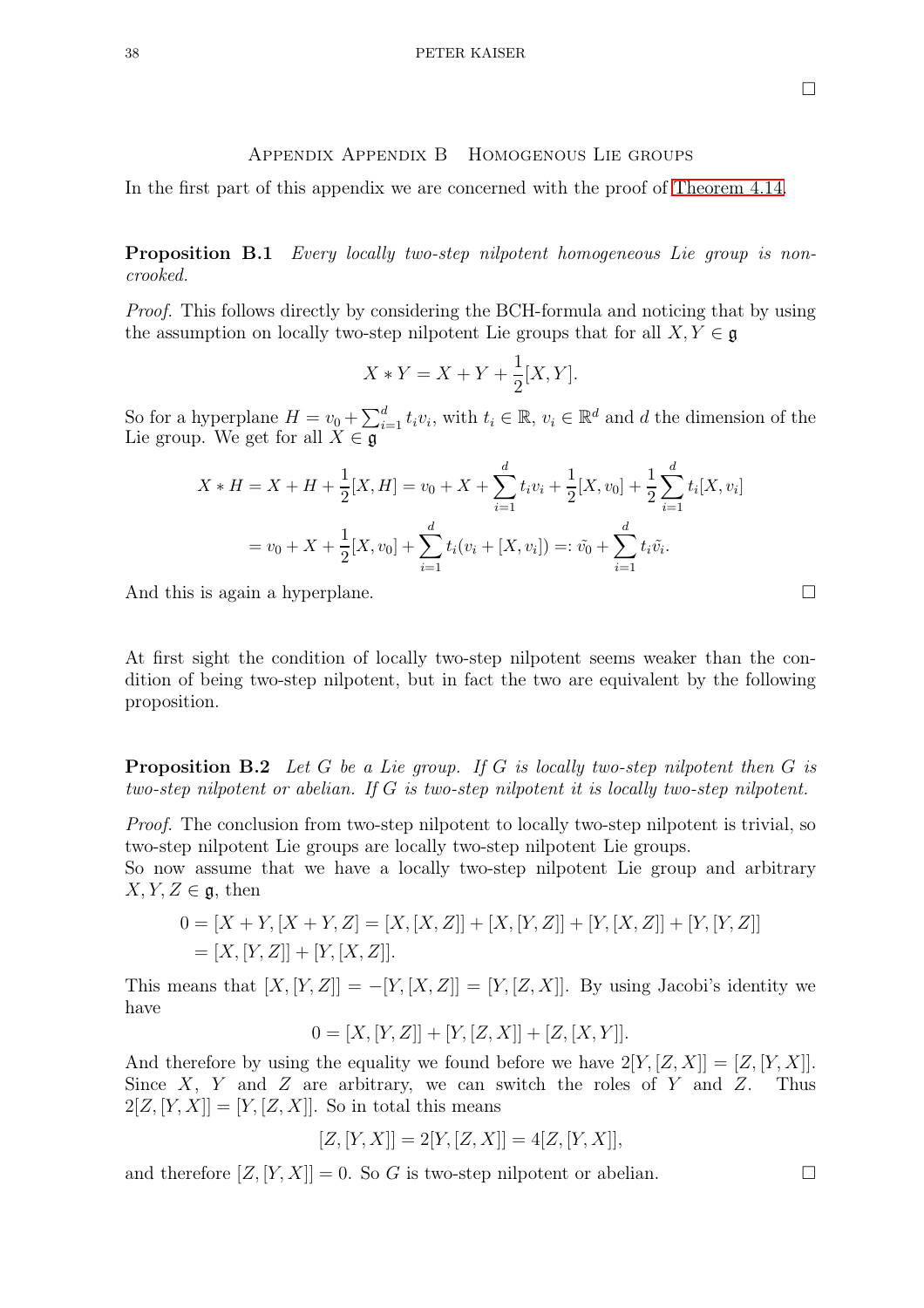# Appendix Appendix B Homogenous Lie groups

<span id="page-37-0"></span>In the first part of this appendix we are concerned with the proof of [Theorem 4.14.](#page-14-0)

Proposition B.1 Every locally two-step nilpotent homogeneous Lie group is noncrooked.

Proof. This follows directly by considering the BCH-formula and noticing that by using the assumption on locally two-step nilpotent Lie groups that for all  $X, Y \in \mathfrak{g}$ 

$$
X * Y = X + Y + \frac{1}{2}[X, Y].
$$

So for a hyperplane  $H = v_0 + \sum_{i=1}^d t_i v_i$ , with  $t_i \in \mathbb{R}$ ,  $v_i \in \mathbb{R}^d$  and d the dimension of the Lie group. We get for all  $X \in \mathfrak{g}$ 

$$
X * H = X + H + \frac{1}{2}[X, H] = v_0 + X + \sum_{i=1}^{d} t_i v_i + \frac{1}{2}[X, v_0] + \frac{1}{2} \sum_{i=1}^{d} t_i[X, v_i]
$$
  
=  $v_0 + X + \frac{1}{2}[X, v_0] + \sum_{i=1}^{d} t_i(v_i + [X, v_i]) =: \tilde{v_0} + \sum_{i=1}^{d} t_i \tilde{v_i}.$ 

And this is again a hyperplane.

At first sight the condition of locally two-step nilpotent seems weaker than the condition of being two-step nilpotent, but in fact the two are equivalent by the following proposition.

**Proposition B.2** Let G be a Lie group. If G is locally two-step nilpotent then G is two-step nilpotent or abelian. If G is two-step nilpotent it is locally two-step nilpotent.

Proof. The conclusion from two-step nilpotent to locally two-step nilpotent is trivial, so two-step nilpotent Lie groups are locally two-step nilpotent Lie groups.

So now assume that we have a locally two-step nilpotent Lie group and arbitrary  $X, Y, Z \in \mathfrak{g}$ , then

$$
0 = [X + Y, [X + Y, Z] = [X, [X, Z]] + [X, [Y, Z]] + [Y, [X, Z]] + [Y, [Y, Z]]
$$
  
= [X, [Y, Z]] + [Y, [X, Z]].

This means that  $[X, [Y, Z]] = -[Y, [X, Z]] = [Y, [Z, X]]$ . By using Jacobi's identity we have

$$
0 = [X, [Y, Z]] + [Y, [Z, X]] + [Z, [X, Y]].
$$

And therefore by using the equality we found before we have  $2[Y, [Z, X]] = [Z, [Y, X]]$ . Since X, Y and Z are arbitrary, we can switch the roles of Y and Z. Thus  $2[Z, [Y, X]] = [Y, [Z, X]]$ . So in total this means

$$
[Z, [Y, X]] = 2[Y, [Z, X]] = 4[Z, [Y, X]],
$$

and therefore  $[Z, [Y, X]] = 0$ . So G is two-step nilpotent or abelian.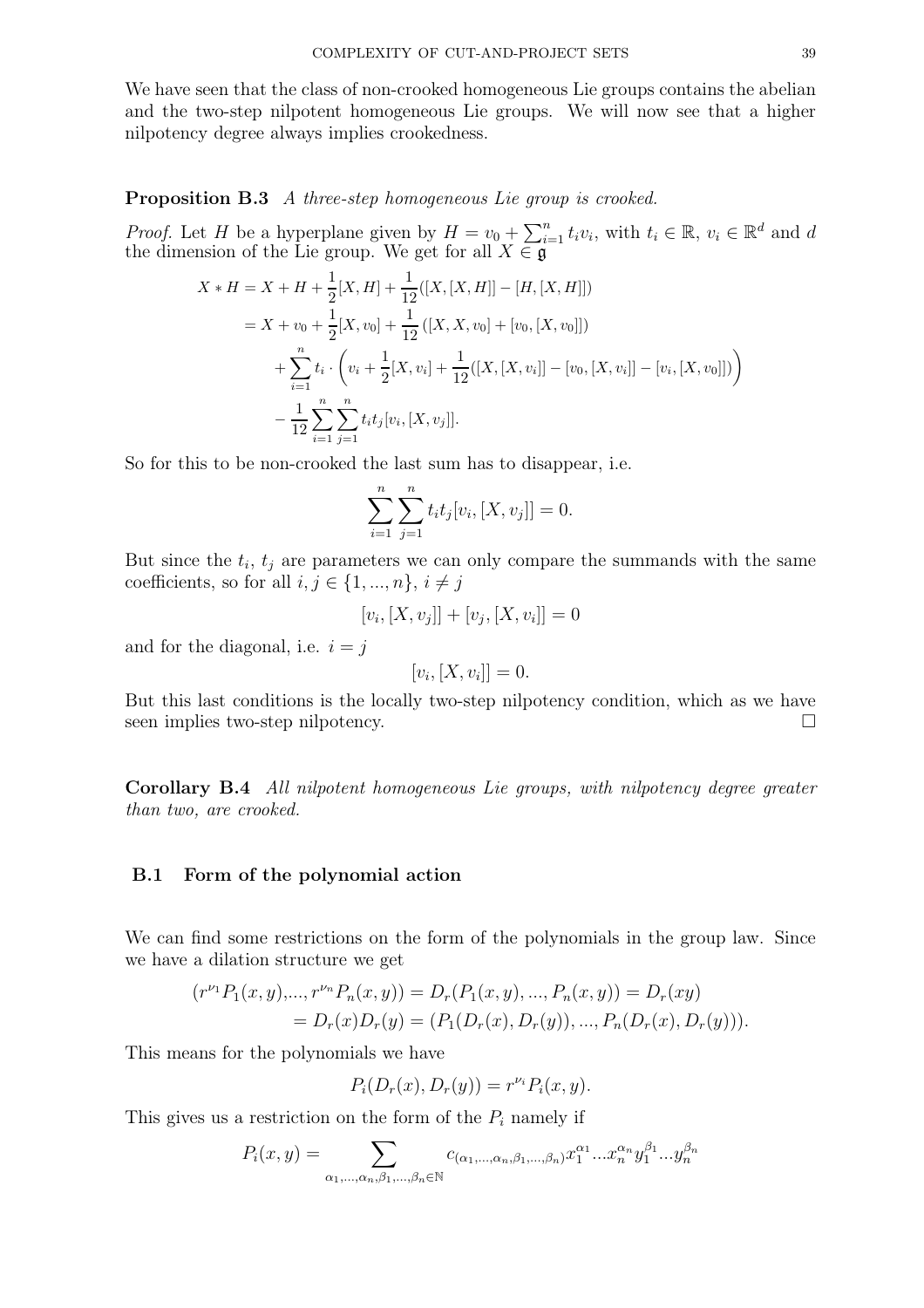We have seen that the class of non-crooked homogeneous Lie groups contains the abelian and the two-step nilpotent homogeneous Lie groups. We will now see that a higher nilpotency degree always implies crookedness.

Proposition B.3 A three-step homogeneous Lie group is crooked.

*Proof.* Let H be a hyperplane given by  $H = v_0 + \sum_{i=1}^n t_i v_i$ , with  $t_i \in \mathbb{R}$ ,  $v_i \in \mathbb{R}^d$  and d the dimension of the Lie group. We get for all  $X \in \mathfrak{g}$ 

$$
X * H = X + H + \frac{1}{2}[X, H] + \frac{1}{12}([X, [X, H]] - [H, [X, H]])
$$
  
=  $X + v_0 + \frac{1}{2}[X, v_0] + \frac{1}{12}([X, X, v_0] + [v_0, [X, v_0]])$   
+  $\sum_{i=1}^{n} t_i \cdot (v_i + \frac{1}{2}[X, v_i] + \frac{1}{12}([X, [X, v_i]] - [v_0, [X, v_i]] - [v_i, [X, v_0]])$   
-  $\frac{1}{12} \sum_{i=1}^{n} \sum_{j=1}^{n} t_i t_j[v_i, [X, v_j]].$ 

So for this to be non-crooked the last sum has to disappear, i.e.

$$
\sum_{i=1}^{n} \sum_{j=1}^{n} t_i t_j [v_i, [X, v_j]] = 0.
$$

But since the  $t_i$ ,  $t_j$  are parameters we can only compare the summands with the same coefficients, so for all  $i, j \in \{1, ..., n\}, i \neq j$ 

$$
[v_i, [X, v_j]] + [v_j, [X, v_i]] = 0
$$

and for the diagonal, i.e.  $i = j$ 

$$
[v_i, [X, v_i]] = 0.
$$

But this last conditions is the locally two-step nilpotency condition, which as we have seen implies two-step nilpotency.

Corollary B.4 All nilpotent homogeneous Lie groups, with nilpotency degree greater than two, are crooked.

#### <span id="page-38-0"></span>B.1 Form of the polynomial action

We can find some restrictions on the form of the polynomials in the group law. Since we have a dilation structure we get

$$
(r^{\nu_1}P_1(x, y),...,r^{\nu_n}P_n(x, y)) = D_r(P_1(x, y),...,P_n(x, y)) = D_r(xy)
$$
  
=  $D_r(x)D_r(y) = (P_1(D_r(x), D_r(y)),...,P_n(D_r(x), D_r(y))).$ 

This means for the polynomials we have

$$
P_i(D_r(x), D_r(y)) = r^{\nu_i} P_i(x, y).
$$

This gives us a restriction on the form of the  $P_i$  namely if

$$
P_i(x,y) = \sum_{\alpha_1,\dots,\alpha_n,\beta_1,\dots,\beta_n \in \mathbb{N}} c_{(\alpha_1,\dots,\alpha_n,\beta_1,\dots,\beta_n)} x_1^{\alpha_1} \dots x_n^{\alpha_n} y_1^{\beta_1} \dots y_n^{\beta_n}
$$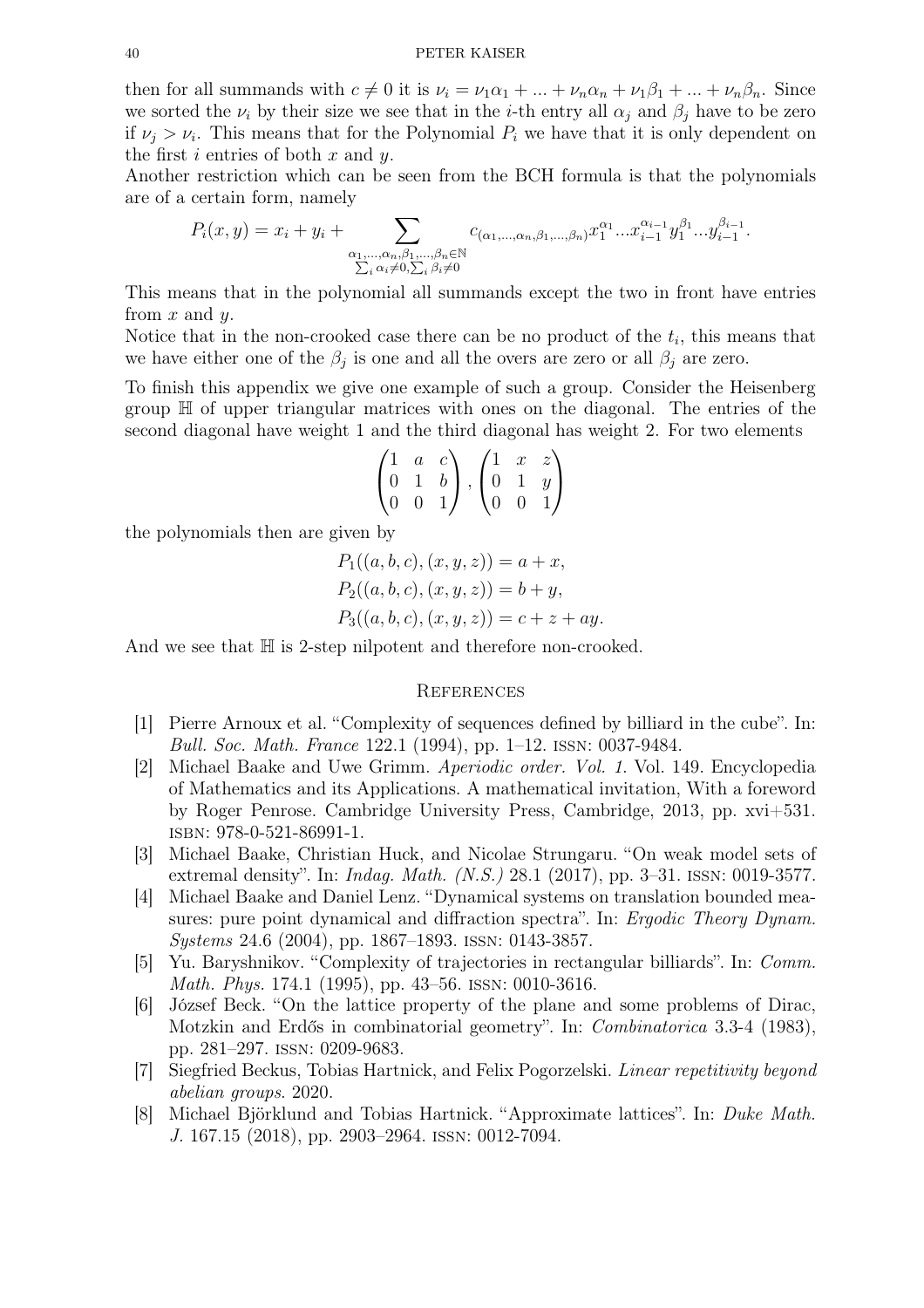then for all summands with  $c \neq 0$  it is  $\nu_i = \nu_1 \alpha_1 + ... + \nu_n \alpha_n + \nu_1 \beta_1 + ... + \nu_n \beta_n$ . Since we sorted the  $\nu_i$  by their size we see that in the *i*-th entry all  $\alpha_j$  and  $\beta_j$  have to be zero if  $\nu_j > \nu_i$ . This means that for the Polynomial  $P_i$  we have that it is only dependent on the first i entries of both  $x$  and  $y$ .

Another restriction which can be seen from the BCH formula is that the polynomials are of a certain form, namely

$$
P_i(x, y) = x_i + y_i + \sum_{\substack{\alpha_1, \dots, \alpha_n, \beta_1, \dots, \beta_n \in \mathbb{N} \\ \sum_i \alpha_i \neq 0, \sum_i \beta_i \neq 0}} c_{(\alpha_1, \dots, \alpha_n, \beta_1, \dots, \beta_n)} x_1^{\alpha_1} \dots x_{i-1}^{\alpha_{i-1}} y_1^{\beta_1} \dots y_{i-1}^{\beta_{i-1}}
$$

.

This means that in the polynomial all summands except the two in front have entries from  $x$  and  $y$ .

Notice that in the non-crooked case there can be no product of the  $t_i$ , this means that we have either one of the  $\beta_j$  is one and all the overs are zero or all  $\beta_j$  are zero.

To finish this appendix we give one example of such a group. Consider the Heisenberg group H of upper triangular matrices with ones on the diagonal. The entries of the second diagonal have weight 1 and the third diagonal has weight 2. For two elements

$$
\begin{pmatrix} 1 & a & c \\ 0 & 1 & b \\ 0 & 0 & 1 \end{pmatrix}, \begin{pmatrix} 1 & x & z \\ 0 & 1 & y \\ 0 & 0 & 1 \end{pmatrix}
$$

the polynomials then are given by

$$
P_1((a, b, c), (x, y, z)) = a + x,
$$
  
\n
$$
P_2((a, b, c), (x, y, z)) = b + y,
$$
  
\n
$$
P_3((a, b, c), (x, y, z)) = c + z + ay.
$$

And we see that  $\mathbb H$  is 2-step nilpotent and therefore non-crooked.

#### **REFERENCES**

- [1] Pierre Arnoux et al. "Complexity of sequences defined by billiard in the cube". In: Bull. Soc. Math. France 122.1 (1994), pp. 1–12. issn: 0037-9484.
- [2] Michael Baake and Uwe Grimm. Aperiodic order. Vol. 1. Vol. 149. Encyclopedia of Mathematics and its Applications. A mathematical invitation, With a foreword by Roger Penrose. Cambridge University Press, Cambridge, 2013, pp. xvi+531. isbn: 978-0-521-86991-1.
- [3] Michael Baake, Christian Huck, and Nicolae Strungaru. "On weak model sets of extremal density". In: Indag. Math. (N.S.) 28.1 (2017), pp. 3–31. issn: 0019-3577.
- [4] Michael Baake and Daniel Lenz. "Dynamical systems on translation bounded measures: pure point dynamical and diffraction spectra". In: *Ergodic Theory Dynam.* Systems 24.6 (2004), pp. 1867–1893. issn: 0143-3857.
- [5] Yu. Baryshnikov. "Complexity of trajectories in rectangular billiards". In: Comm. Math. Phys. 174.1 (1995), pp. 43–56. issn: 0010-3616.
- [6] József Beck. "On the lattice property of the plane and some problems of Dirac, Motzkin and Erdős in combinatorial geometry". In: Combinatorica 3.3-4 (1983), pp. 281–297. issn: 0209-9683.
- [7] Siegfried Beckus, Tobias Hartnick, and Felix Pogorzelski. Linear repetitivity beyond abelian groups. 2020.
- [8] Michael Björklund and Tobias Hartnick. "Approximate lattices". In: Duke Math. J. 167.15 (2018), pp. 2903–2964. issn: 0012-7094.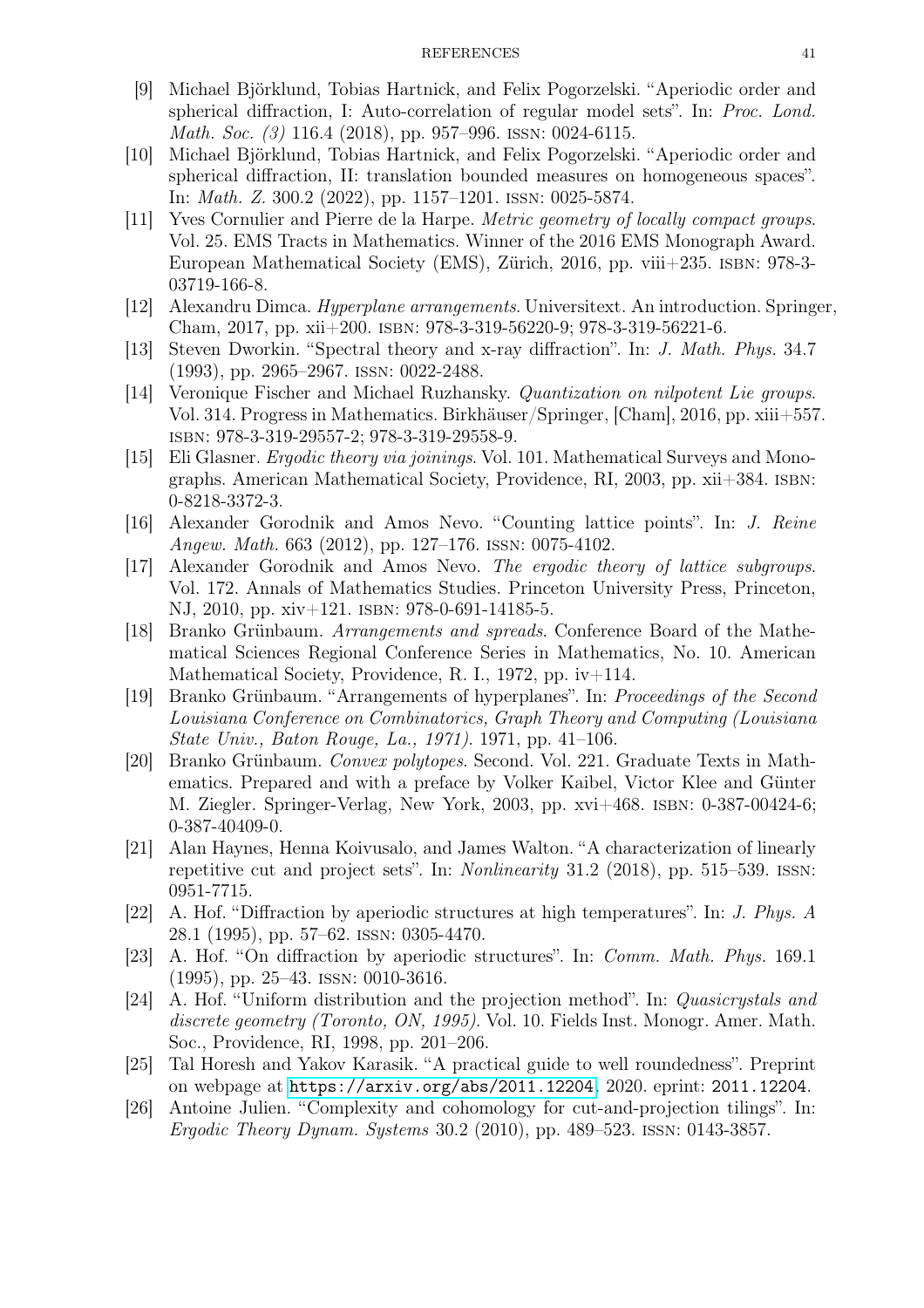- [9] Michael Björklund, Tobias Hartnick, and Felix Pogorzelski. "Aperiodic order and spherical diffraction, I: Auto-correlation of regular model sets". In: Proc. Lond. Math. Soc. (3) 116.4 (2018), pp. 957–996. ISSN: 0024-6115.
- [10] Michael Björklund, Tobias Hartnick, and Felix Pogorzelski. "Aperiodic order and spherical diffraction, II: translation bounded measures on homogeneous spaces". In: Math. Z. 300.2 (2022), pp. 1157–1201. issn: 0025-5874.
- [11] Yves Cornulier and Pierre de la Harpe. Metric geometry of locally compact groups. Vol. 25. EMS Tracts in Mathematics. Winner of the 2016 EMS Monograph Award. European Mathematical Society (EMS), Zürich, 2016, pp. viii+235. isbn: 978-3- 03719-166-8.
- [12] Alexandru Dimca. Hyperplane arrangements. Universitext. An introduction. Springer, Cham, 2017, pp. xii+200. isbn: 978-3-319-56220-9; 978-3-319-56221-6.
- [13] Steven Dworkin. "Spectral theory and x-ray diffraction". In: J. Math. Phys. 34.7 (1993), pp. 2965–2967. issn: 0022-2488.
- [14] Veronique Fischer and Michael Ruzhansky. Quantization on nilpotent Lie groups. Vol. 314. Progress in Mathematics. Birkhäuser/Springer, [Cham], 2016, pp. xiii+557. isbn: 978-3-319-29557-2; 978-3-319-29558-9.
- [15] Eli Glasner. Ergodic theory via joinings. Vol. 101. Mathematical Surveys and Monographs. American Mathematical Society, Providence, RI, 2003, pp. xii+384. isbn: 0-8218-3372-3.
- [16] Alexander Gorodnik and Amos Nevo. "Counting lattice points". In: J. Reine Angew. Math. 663 (2012), pp. 127–176. issn: 0075-4102.
- [17] Alexander Gorodnik and Amos Nevo. The ergodic theory of lattice subgroups. Vol. 172. Annals of Mathematics Studies. Princeton University Press, Princeton, NJ, 2010, pp. xiv+121. isbn: 978-0-691-14185-5.
- [18] Branko Grünbaum. Arrangements and spreads. Conference Board of the Mathematical Sciences Regional Conference Series in Mathematics, No. 10. American Mathematical Society, Providence, R. I., 1972, pp. iv+114.
- [19] Branko Grünbaum. "Arrangements of hyperplanes". In: Proceedings of the Second Louisiana Conference on Combinatorics, Graph Theory and Computing (Louisiana State Univ., Baton Rouge, La., 1971). 1971, pp. 41–106.
- [20] Branko Grünbaum. Convex polytopes. Second. Vol. 221. Graduate Texts in Mathematics. Prepared and with a preface by Volker Kaibel, Victor Klee and Günter M. Ziegler. Springer-Verlag, New York, 2003, pp. xvi+468. isbn: 0-387-00424-6; 0-387-40409-0.
- [21] Alan Haynes, Henna Koivusalo, and James Walton. "A characterization of linearly repetitive cut and project sets". In: Nonlinearity 31.2 (2018), pp. 515–539. issn: 0951-7715.
- [22] A. Hof. "Diffraction by aperiodic structures at high temperatures". In: J. Phys. A 28.1 (1995), pp. 57–62. issn: 0305-4470.
- [23] A. Hof. "On diffraction by aperiodic structures". In: Comm. Math. Phys. 169.1 (1995), pp. 25–43. issn: 0010-3616.
- [24] A. Hof. "Uniform distribution and the projection method". In: Quasicrystals and discrete geometry (Toronto, ON, 1995). Vol. 10. Fields Inst. Monogr. Amer. Math. Soc., Providence, RI, 1998, pp. 201–206.
- [25] Tal Horesh and Yakov Karasik. "A practical guide to well roundedness". Preprint on webpage at <https://arxiv.org/abs/2011.12204>. 2020. eprint: 2011.12204.
- [26] Antoine Julien. "Complexity and cohomology for cut-and-projection tilings". In: Ergodic Theory Dynam. Systems 30.2 (2010), pp. 489–523. issn: 0143-3857.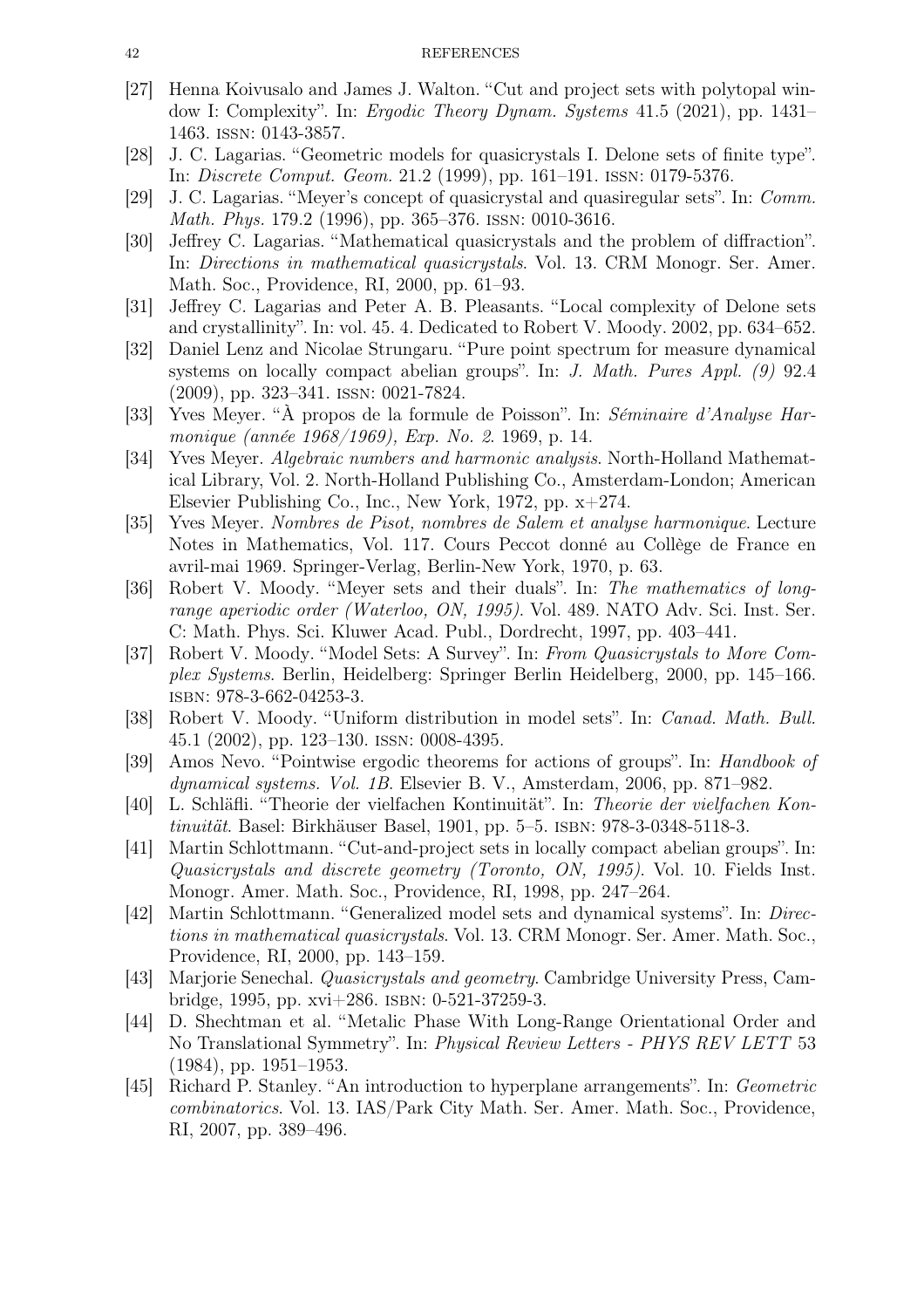#### 42 REFERENCES

- [27] Henna Koivusalo and James J. Walton. "Cut and project sets with polytopal window I: Complexity". In: Ergodic Theory Dynam. Systems 41.5 (2021), pp. 1431– 1463. issn: 0143-3857.
- [28] J. C. Lagarias. "Geometric models for quasicrystals I. Delone sets of finite type". In: Discrete Comput. Geom. 21.2 (1999), pp. 161–191. issn: 0179-5376.
- [29] J. C. Lagarias. "Meyer's concept of quasicrystal and quasiregular sets". In: Comm. Math. Phys. 179.2 (1996), pp. 365–376. issn: 0010-3616.
- [30] Jeffrey C. Lagarias. "Mathematical quasicrystals and the problem of diffraction". In: Directions in mathematical quasicrystals. Vol. 13. CRM Monogr. Ser. Amer. Math. Soc., Providence, RI, 2000, pp. 61–93.
- [31] Jeffrey C. Lagarias and Peter A. B. Pleasants. "Local complexity of Delone sets and crystallinity". In: vol. 45. 4. Dedicated to Robert V. Moody. 2002, pp. 634–652.
- [32] Daniel Lenz and Nicolae Strungaru. "Pure point spectrum for measure dynamical systems on locally compact abelian groups". In: *J. Math. Pures Appl.* (9) 92.4 (2009), pp. 323–341. issn: 0021-7824.
- [33] Yves Meyer. "À propos de la formule de Poisson". In: Séminaire d'Analyse Harmonique (année 1968/1969), Exp. No. 2. 1969, p. 14.
- [34] Yves Meyer. Algebraic numbers and harmonic analysis. North-Holland Mathematical Library, Vol. 2. North-Holland Publishing Co., Amsterdam-London; American Elsevier Publishing Co., Inc., New York, 1972, pp. x+274.
- [35] Yves Meyer. Nombres de Pisot, nombres de Salem et analyse harmonique. Lecture Notes in Mathematics, Vol. 117. Cours Peccot donné au Collège de France en avril-mai 1969. Springer-Verlag, Berlin-New York, 1970, p. 63.
- [36] Robert V. Moody. "Meyer sets and their duals". In: The mathematics of longrange aperiodic order (Waterloo, ON, 1995). Vol. 489. NATO Adv. Sci. Inst. Ser. C: Math. Phys. Sci. Kluwer Acad. Publ., Dordrecht, 1997, pp. 403–441.
- [37] Robert V. Moody. "Model Sets: A Survey". In: From Quasicrystals to More Complex Systems. Berlin, Heidelberg: Springer Berlin Heidelberg, 2000, pp. 145–166. isbn: 978-3-662-04253-3.
- [38] Robert V. Moody. "Uniform distribution in model sets". In: Canad. Math. Bull. 45.1 (2002), pp. 123–130. issn: 0008-4395.
- [39] Amos Nevo. "Pointwise ergodic theorems for actions of groups". In: Handbook of dynamical systems. Vol. 1B. Elsevier B. V., Amsterdam, 2006, pp. 871–982.
- [40] L. Schläfli. "Theorie der vielfachen Kontinuität". In: Theorie der vielfachen Kontinuität. Basel: Birkhäuser Basel, 1901, pp. 5–5. isbn: 978-3-0348-5118-3.
- [41] Martin Schlottmann. "Cut-and-project sets in locally compact abelian groups". In: Quasicrystals and discrete geometry (Toronto, ON, 1995). Vol. 10. Fields Inst. Monogr. Amer. Math. Soc., Providence, RI, 1998, pp. 247–264.
- [42] Martin Schlottmann. "Generalized model sets and dynamical systems". In: Directions in mathematical quasicrystals. Vol. 13. CRM Monogr. Ser. Amer. Math. Soc., Providence, RI, 2000, pp. 143–159.
- [43] Marjorie Senechal. Quasicrystals and geometry. Cambridge University Press, Cambridge, 1995, pp. xvi+286. isbn: 0-521-37259-3.
- [44] D. Shechtman et al. "Metalic Phase With Long-Range Orientational Order and No Translational Symmetry". In: Physical Review Letters - PHYS REV LETT 53 (1984), pp. 1951–1953.
- [45] Richard P. Stanley. "An introduction to hyperplane arrangements". In: Geometric combinatorics. Vol. 13. IAS/Park City Math. Ser. Amer. Math. Soc., Providence, RI, 2007, pp. 389–496.